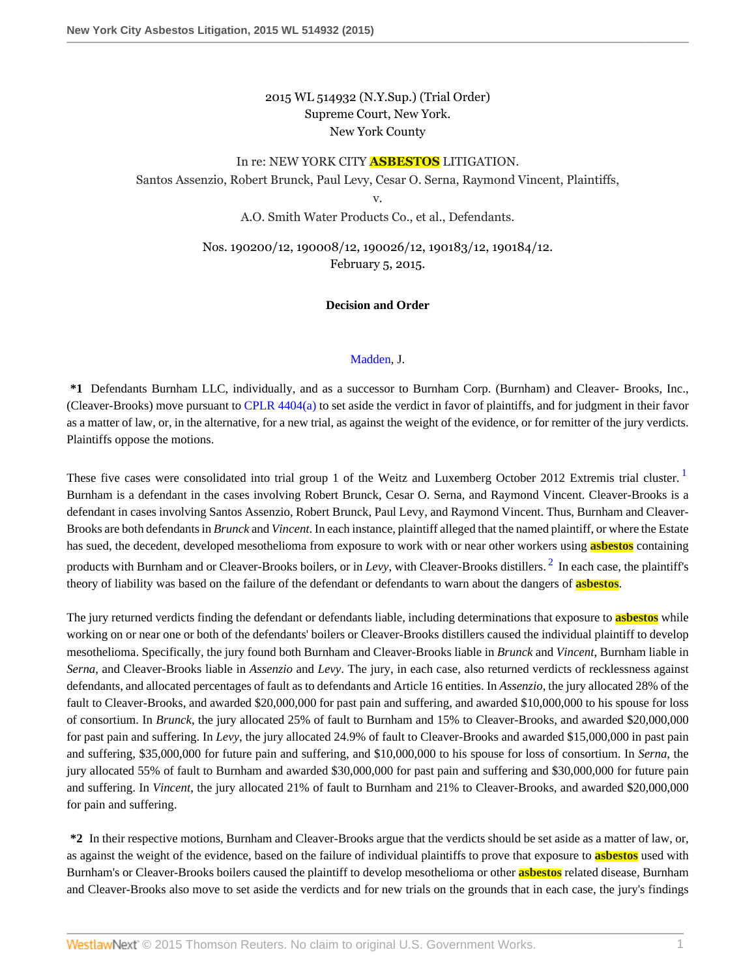# 2015 WL 514932 (N.Y.Sup.) (Trial Order) Supreme Court, New York. New York County

# In re: NEW YORK CITY **ASBESTOS** LITIGATION. Santos Assenzio, Robert Brunck, Paul Levy, Cesar O. Serna, Raymond Vincent, Plaintiffs, v.

A.O. Smith Water Products Co., et al., Defendants.

Nos. 190200/12, 190008/12, 190026/12, 190183/12, 190184/12. February 5, 2015.

#### **Decision and Order**

#### <span id="page-0-1"></span><span id="page-0-0"></span>[Madden,](http://www.westlaw.com/Link/Document/FullText?findType=h&pubNum=176284&cite=0254031901&originatingDoc=I6ed2fbecb0fe11e4b86bd602cb8781fa&refType=RQ&originationContext=document&vr=3.0&rs=cblt1.0&transitionType=DocumentItem&contextData=(sc.Search)) J.

**\*1** Defendants Burnham LLC, individually, and as a successor to Burnham Corp. (Burnham) and Cleaver- Brooks, Inc., (Cleaver-Brooks) move pursuant to [CPLR 4404\(a\)](http://www.westlaw.com/Link/Document/FullText?findType=L&pubNum=1000059&cite=NYCPR4404&originatingDoc=I6ed2fbecb0fe11e4b86bd602cb8781fa&refType=LQ&originationContext=document&vr=3.0&rs=cblt1.0&transitionType=DocumentItem&contextData=(sc.Search)) to set aside the verdict in favor of plaintiffs, and for judgment in their favor as a matter of law, or, in the alternative, for a new trial, as against the weight of the evidence, or for remitter of the jury verdicts. Plaintiffs oppose the motions.

These five cases were consolidated into trial group [1](#page-26-0) of the Weitz and Luxemberg October 2012 Extremis trial cluster. Burnham is a defendant in the cases involving Robert Brunck, Cesar O. Serna, and Raymond Vincent. Cleaver-Brooks is a defendant in cases involving Santos Assenzio, Robert Brunck, Paul Levy, and Raymond Vincent. Thus, Burnham and Cleaver-Brooks are both defendants in *Brunck* and *Vincent*. In each instance, plaintiff alleged that the named plaintiff, or where the Estate has sued, the decedent, developed mesothelioma from exposure to work with or near other workers using **asbestos** containing products with Burnham and or Cleaver-Brooks boilers, or in *Levy*, with Cleaver-Brooks distillers. <sup>[2](#page-26-1)</sup> In each case, the plaintiff's theory of liability was based on the failure of the defendant or defendants to warn about the dangers of **asbestos**.

The jury returned verdicts finding the defendant or defendants liable, including determinations that exposure to **asbestos** while working on or near one or both of the defendants' boilers or Cleaver-Brooks distillers caused the individual plaintiff to develop mesothelioma. Specifically, the jury found both Burnham and Cleaver-Brooks liable in *Brunck* and *Vincent*, Burnham liable in *Serna*, and Cleaver-Brooks liable in *Assenzio* and *Levy*. The jury, in each case, also returned verdicts of recklessness against defendants, and allocated percentages of fault as to defendants and Article 16 entities. In *Assenzio*, the jury allocated 28% of the fault to Cleaver-Brooks, and awarded \$20,000,000 for past pain and suffering, and awarded \$10,000,000 to his spouse for loss of consortium. In *Brunck*, the jury allocated 25% of fault to Burnham and 15% to Cleaver-Brooks, and awarded \$20,000,000 for past pain and suffering. In *Levy*, the jury allocated 24.9% of fault to Cleaver-Brooks and awarded \$15,000,000 in past pain and suffering, \$35,000,000 for future pain and suffering, and \$10,000,000 to his spouse for loss of consortium. In *Serna*, the jury allocated 55% of fault to Burnham and awarded \$30,000,000 for past pain and suffering and \$30,000,000 for future pain and suffering. In *Vincent*, the jury allocated 21% of fault to Burnham and 21% to Cleaver-Brooks, and awarded \$20,000,000 for pain and suffering.

**\*2** In their respective motions, Burnham and Cleaver-Brooks argue that the verdicts should be set aside as a matter of law, or, as against the weight of the evidence, based on the failure of individual plaintiffs to prove that exposure to **asbestos** used with Burnham's or Cleaver-Brooks boilers caused the plaintiff to develop mesothelioma or other **asbestos** related disease, Burnham and Cleaver-Brooks also move to set aside the verdicts and for new trials on the grounds that in each case, the jury's findings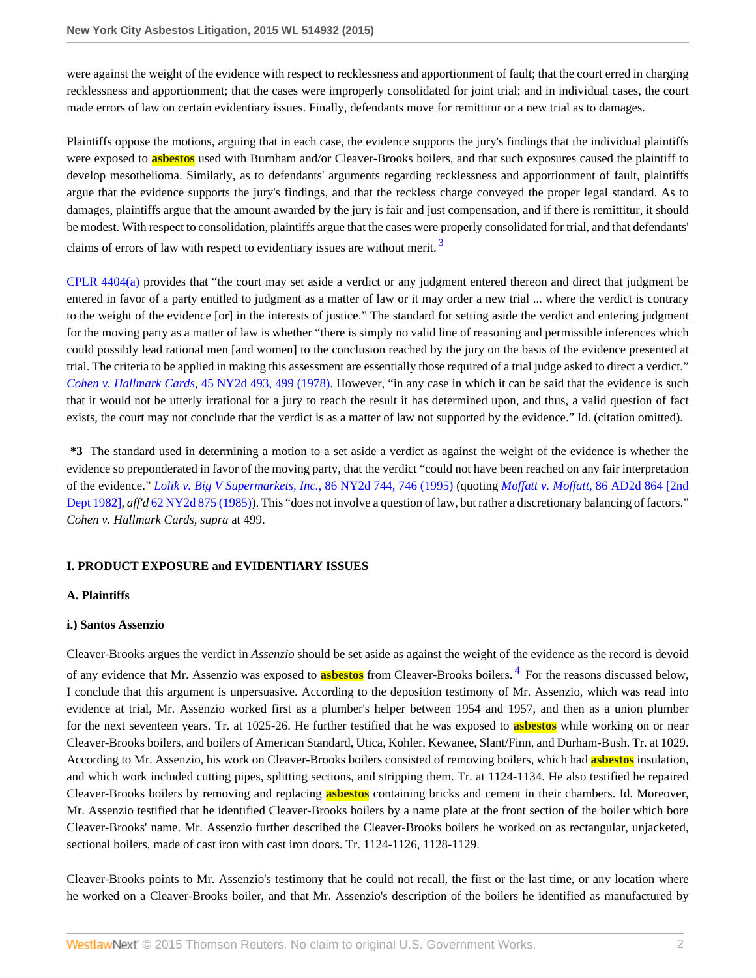were against the weight of the evidence with respect to recklessness and apportionment of fault; that the court erred in charging recklessness and apportionment; that the cases were improperly consolidated for joint trial; and in individual cases, the court made errors of law on certain evidentiary issues. Finally, defendants move for remittitur or a new trial as to damages.

Plaintiffs oppose the motions, arguing that in each case, the evidence supports the jury's findings that the individual plaintiffs were exposed to **asbestos** used with Burnham and/or Cleaver-Brooks boilers, and that such exposures caused the plaintiff to develop mesothelioma. Similarly, as to defendants' arguments regarding recklessness and apportionment of fault, plaintiffs argue that the evidence supports the jury's findings, and that the reckless charge conveyed the proper legal standard. As to damages, plaintiffs argue that the amount awarded by the jury is fair and just compensation, and if there is remittitur, it should be modest. With respect to consolidation, plaintiffs argue that the cases were properly consolidated for trial, and that defendants' claims of errors of law with respect to evidentiary issues are without merit.<sup>[3](#page-26-2)</sup>

<span id="page-1-0"></span>[CPLR 4404\(a\)](http://www.westlaw.com/Link/Document/FullText?findType=L&pubNum=1000059&cite=NYCPR4404&originatingDoc=I6ed2fbecb0fe11e4b86bd602cb8781fa&refType=LQ&originationContext=document&vr=3.0&rs=cblt1.0&transitionType=DocumentItem&contextData=(sc.Search)) provides that "the court may set aside a verdict or any judgment entered thereon and direct that judgment be entered in favor of a party entitled to judgment as a matter of law or it may order a new trial ... where the verdict is contrary to the weight of the evidence [or] in the interests of justice." The standard for setting aside the verdict and entering judgment for the moving party as a matter of law is whether "there is simply no valid line of reasoning and permissible inferences which could possibly lead rational men [and women] to the conclusion reached by the jury on the basis of the evidence presented at trial. The criteria to be applied in making this assessment are essentially those required of a trial judge asked to direct a verdict." *Cohen v. Hallmark Cards,* [45 NY2d 493, 499 \(1978\)](http://www.westlaw.com/Link/Document/FullText?findType=Y&serNum=1978126293&pubNum=0000605&originatingDoc=I6ed2fbecb0fe11e4b86bd602cb8781fa&refType=RP&fi=co_pp_sp_605_499&originationContext=document&vr=3.0&rs=cblt1.0&transitionType=DocumentItem&contextData=(sc.Search)#co_pp_sp_605_499). However, "in any case in which it can be said that the evidence is such that it would not be utterly irrational for a jury to reach the result it has determined upon, and thus, a valid question of fact exists, the court may not conclude that the verdict is as a matter of law not supported by the evidence." Id. (citation omitted).

**\*3** The standard used in determining a motion to a set aside a verdict as against the weight of the evidence is whether the evidence so preponderated in favor of the moving party, that the verdict "could not have been reached on any fair interpretation of the evidence." *[Lolik v. Big V Supermarkets, Inc.](http://www.westlaw.com/Link/Document/FullText?findType=Y&serNum=1995141624&pubNum=0000605&originatingDoc=I6ed2fbecb0fe11e4b86bd602cb8781fa&refType=RP&fi=co_pp_sp_605_746&originationContext=document&vr=3.0&rs=cblt1.0&transitionType=DocumentItem&contextData=(sc.Search)#co_pp_sp_605_746)*, 86 NY2d 744, 746 (1995) (quoting *Moffatt v. Moffatt,* [86 AD2d 864 \[2nd](http://www.westlaw.com/Link/Document/FullText?findType=Y&serNum=1982108281&pubNum=0000155&originatingDoc=I6ed2fbecb0fe11e4b86bd602cb8781fa&refType=RP&originationContext=document&vr=3.0&rs=cblt1.0&transitionType=DocumentItem&contextData=(sc.Search)) [Dept 1982\],](http://www.westlaw.com/Link/Document/FullText?findType=Y&serNum=1982108281&pubNum=0000155&originatingDoc=I6ed2fbecb0fe11e4b86bd602cb8781fa&refType=RP&originationContext=document&vr=3.0&rs=cblt1.0&transitionType=DocumentItem&contextData=(sc.Search)) *aff'd* [62 NY2d 875 \(1985\)\)](http://www.westlaw.com/Link/Document/FullText?findType=Y&serNum=1984234113&pubNum=0000605&originatingDoc=I6ed2fbecb0fe11e4b86bd602cb8781fa&refType=RP&originationContext=document&vr=3.0&rs=cblt1.0&transitionType=DocumentItem&contextData=(sc.Search)). This "does not involve a question of law, but rather a discretionary balancing of factors." *Cohen v. Hallmark Cards, supra* at 499.

### **I. PRODUCT EXPOSURE and EVIDENTIARY ISSUES**

# **A. Plaintiffs**

### **i.) Santos Assenzio**

<span id="page-1-1"></span>Cleaver-Brooks argues the verdict in *Assenzio* should be set aside as against the weight of the evidence as the record is devoid of any evidence that Mr. Assenzio was exposed to **asbestos** from Cleaver-Brooks boilers. [4](#page-27-0) For the reasons discussed below, I conclude that this argument is unpersuasive. According to the deposition testimony of Mr. Assenzio, which was read into evidence at trial, Mr. Assenzio worked first as a plumber's helper between 1954 and 1957, and then as a union plumber for the next seventeen years. Tr. at 1025-26. He further testified that he was exposed to **asbestos** while working on or near Cleaver-Brooks boilers, and boilers of American Standard, Utica, Kohler, Kewanee, Slant/Finn, and Durham-Bush. Tr. at 1029. According to Mr. Assenzio, his work on Cleaver-Brooks boilers consisted of removing boilers, which had **asbestos** insulation, and which work included cutting pipes, splitting sections, and stripping them. Tr. at 1124-1134. He also testified he repaired Cleaver-Brooks boilers by removing and replacing **asbestos** containing bricks and cement in their chambers. Id. Moreover, Mr. Assenzio testified that he identified Cleaver-Brooks boilers by a name plate at the front section of the boiler which bore Cleaver-Brooks' name. Mr. Assenzio further described the Cleaver-Brooks boilers he worked on as rectangular, unjacketed, sectional boilers, made of cast iron with cast iron doors. Tr. 1124-1126, 1128-1129.

Cleaver-Brooks points to Mr. Assenzio's testimony that he could not recall, the first or the last time, or any location where he worked on a Cleaver-Brooks boiler, and that Mr. Assenzio's description of the boilers he identified as manufactured by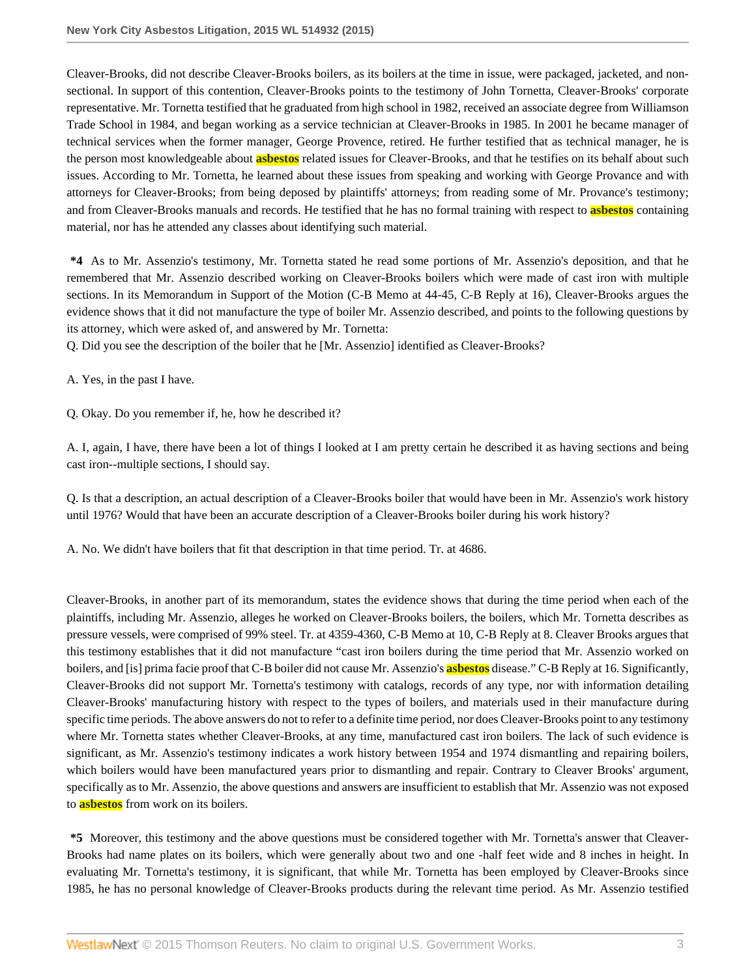Cleaver-Brooks, did not describe Cleaver-Brooks boilers, as its boilers at the time in issue, were packaged, jacketed, and nonsectional. In support of this contention, Cleaver-Brooks points to the testimony of John Tornetta, Cleaver-Brooks' corporate representative. Mr. Tornetta testified that he graduated from high school in 1982, received an associate degree from Williamson Trade School in 1984, and began working as a service technician at Cleaver-Brooks in 1985. In 2001 he became manager of technical services when the former manager, George Provence, retired. He further testified that as technical manager, he is the person most knowledgeable about **asbestos** related issues for Cleaver-Brooks, and that he testifies on its behalf about such issues. According to Mr. Tornetta, he learned about these issues from speaking and working with George Provance and with attorneys for Cleaver-Brooks; from being deposed by plaintiffs' attorneys; from reading some of Mr. Provance's testimony; and from Cleaver-Brooks manuals and records. He testified that he has no formal training with respect to **asbestos** containing material, nor has he attended any classes about identifying such material.

**\*4** As to Mr. Assenzio's testimony, Mr. Tornetta stated he read some portions of Mr. Assenzio's deposition, and that he remembered that Mr. Assenzio described working on Cleaver-Brooks boilers which were made of cast iron with multiple sections. In its Memorandum in Support of the Motion (C-B Memo at 44-45, C-B Reply at 16), Cleaver-Brooks argues the evidence shows that it did not manufacture the type of boiler Mr. Assenzio described, and points to the following questions by its attorney, which were asked of, and answered by Mr. Tornetta:

Q. Did you see the description of the boiler that he [Mr. Assenzio] identified as Cleaver-Brooks?

A. Yes, in the past I have.

Q. Okay. Do you remember if, he, how he described it?

A. I, again, I have, there have been a lot of things I looked at I am pretty certain he described it as having sections and being cast iron--multiple sections, I should say.

Q. Is that a description, an actual description of a Cleaver-Brooks boiler that would have been in Mr. Assenzio's work history until 1976? Would that have been an accurate description of a Cleaver-Brooks boiler during his work history?

A. No. We didn't have boilers that fit that description in that time period. Tr. at 4686.

Cleaver-Brooks, in another part of its memorandum, states the evidence shows that during the time period when each of the plaintiffs, including Mr. Assenzio, alleges he worked on Cleaver-Brooks boilers, the boilers, which Mr. Tornetta describes as pressure vessels, were comprised of 99% steel. Tr. at 4359-4360, C-B Memo at 10, C-B Reply at 8. Cleaver Brooks argues that this testimony establishes that it did not manufacture "cast iron boilers during the time period that Mr. Assenzio worked on boilers, and [is] prima facie proof that C-B boiler did not cause Mr. Assenzio's **asbestos** disease." C-B Reply at 16. Significantly, Cleaver-Brooks did not support Mr. Tornetta's testimony with catalogs, records of any type, nor with information detailing Cleaver-Brooks' manufacturing history with respect to the types of boilers, and materials used in their manufacture during specific time periods. The above answers do not to refer to a definite time period, nor does Cleaver-Brooks point to any testimony where Mr. Tornetta states whether Cleaver-Brooks, at any time, manufactured cast iron boilers. The lack of such evidence is significant, as Mr. Assenzio's testimony indicates a work history between 1954 and 1974 dismantling and repairing boilers, which boilers would have been manufactured years prior to dismantling and repair. Contrary to Cleaver Brooks' argument, specifically as to Mr. Assenzio, the above questions and answers are insufficient to establish that Mr. Assenzio was not exposed to **asbestos** from work on its boilers.

**\*5** Moreover, this testimony and the above questions must be considered together with Mr. Tornetta's answer that Cleaver-Brooks had name plates on its boilers, which were generally about two and one -half feet wide and 8 inches in height. In evaluating Mr. Tornetta's testimony, it is significant, that while Mr. Tornetta has been employed by Cleaver-Brooks since 1985, he has no personal knowledge of Cleaver-Brooks products during the relevant time period. As Mr. Assenzio testified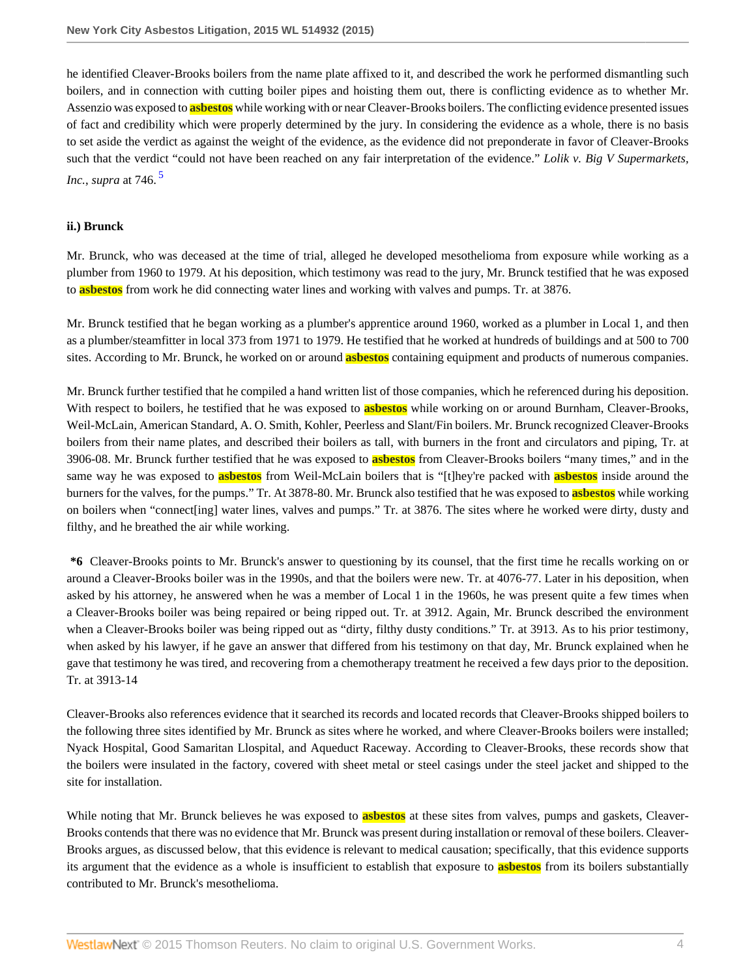he identified Cleaver-Brooks boilers from the name plate affixed to it, and described the work he performed dismantling such boilers, and in connection with cutting boiler pipes and hoisting them out, there is conflicting evidence as to whether Mr. Assenzio was exposed to **asbestos** while working with or near Cleaver-Brooks boilers. The conflicting evidence presented issues of fact and credibility which were properly determined by the jury. In considering the evidence as a whole, there is no basis to set aside the verdict as against the weight of the evidence, as the evidence did not preponderate in favor of Cleaver-Brooks such that the verdict "could not have been reached on any fair interpretation of the evidence." *Lolik v. Big V Supermarkets, Inc.*, *supra* at 746. [5](#page-27-1)

#### <span id="page-3-0"></span>**ii.) Brunck**

Mr. Brunck, who was deceased at the time of trial, alleged he developed mesothelioma from exposure while working as a plumber from 1960 to 1979. At his deposition, which testimony was read to the jury, Mr. Brunck testified that he was exposed to **asbestos** from work he did connecting water lines and working with valves and pumps. Tr. at 3876.

Mr. Brunck testified that he began working as a plumber's apprentice around 1960, worked as a plumber in Local 1, and then as a plumber/steamfitter in local 373 from 1971 to 1979. He testified that he worked at hundreds of buildings and at 500 to 700 sites. According to Mr. Brunck, he worked on or around **asbestos** containing equipment and products of numerous companies.

Mr. Brunck further testified that he compiled a hand written list of those companies, which he referenced during his deposition. With respect to boilers, he testified that he was exposed to **asbestos** while working on or around Burnham, Cleaver-Brooks, Weil-McLain, American Standard, A. O. Smith, Kohler, Peerless and Slant/Fin boilers. Mr. Brunck recognized Cleaver-Brooks boilers from their name plates, and described their boilers as tall, with burners in the front and circulators and piping, Tr. at 3906-08. Mr. Brunck further testified that he was exposed to **asbestos** from Cleaver-Brooks boilers "many times," and in the same way he was exposed to **asbestos** from Weil-McLain boilers that is "[t]hey're packed with **asbestos** inside around the burners for the valves, for the pumps." Tr. At 3878-80. Mr. Brunck also testified that he was exposed to **asbestos** while working on boilers when "connect[ing] water lines, valves and pumps." Tr. at 3876. The sites where he worked were dirty, dusty and filthy, and he breathed the air while working.

**\*6** Cleaver-Brooks points to Mr. Brunck's answer to questioning by its counsel, that the first time he recalls working on or around a Cleaver-Brooks boiler was in the 1990s, and that the boilers were new. Tr. at 4076-77. Later in his deposition, when asked by his attorney, he answered when he was a member of Local 1 in the 1960s, he was present quite a few times when a Cleaver-Brooks boiler was being repaired or being ripped out. Tr. at 3912. Again, Mr. Brunck described the environment when a Cleaver-Brooks boiler was being ripped out as "dirty, filthy dusty conditions." Tr. at 3913. As to his prior testimony, when asked by his lawyer, if he gave an answer that differed from his testimony on that day, Mr. Brunck explained when he gave that testimony he was tired, and recovering from a chemotherapy treatment he received a few days prior to the deposition. Tr. at 3913-14

Cleaver-Brooks also references evidence that it searched its records and located records that Cleaver-Brooks shipped boilers to the following three sites identified by Mr. Brunck as sites where he worked, and where Cleaver-Brooks boilers were installed; Nyack Hospital, Good Samaritan Llospital, and Aqueduct Raceway. According to Cleaver-Brooks, these records show that the boilers were insulated in the factory, covered with sheet metal or steel casings under the steel jacket and shipped to the site for installation.

While noting that Mr. Brunck believes he was exposed to **asbestos** at these sites from valves, pumps and gaskets, Cleaver-Brooks contends that there was no evidence that Mr. Brunck was present during installation or removal of these boilers. Cleaver-Brooks argues, as discussed below, that this evidence is relevant to medical causation; specifically, that this evidence supports its argument that the evidence as a whole is insufficient to establish that exposure to **asbestos** from its boilers substantially contributed to Mr. Brunck's mesothelioma.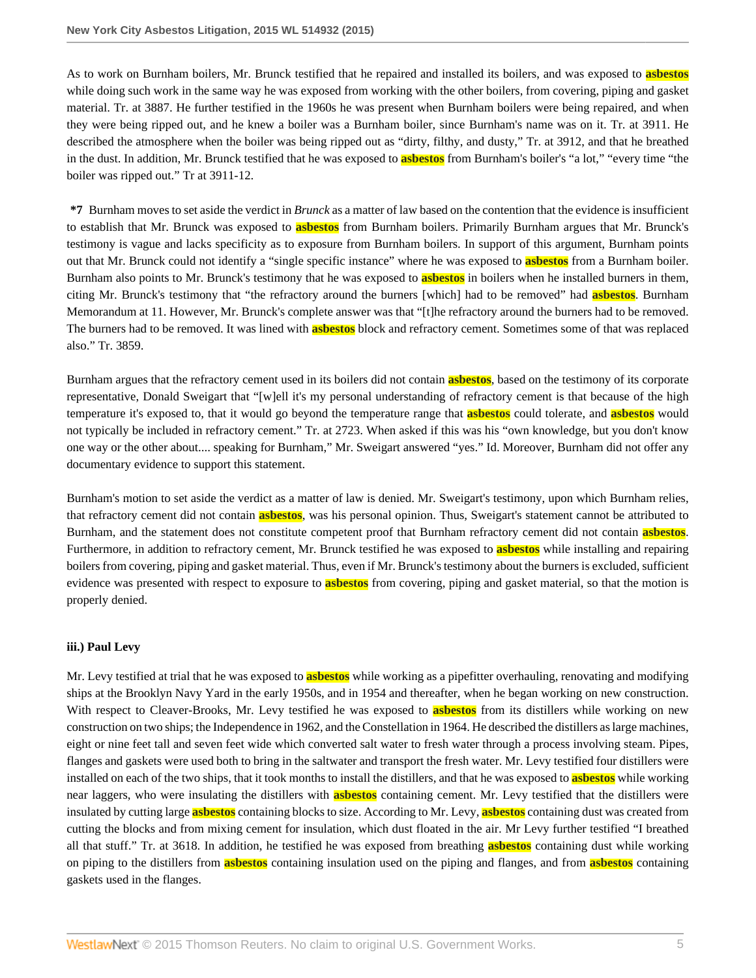As to work on Burnham boilers, Mr. Brunck testified that he repaired and installed its boilers, and was exposed to **asbestos** while doing such work in the same way he was exposed from working with the other boilers, from covering, piping and gasket material. Tr. at 3887. He further testified in the 1960s he was present when Burnham boilers were being repaired, and when they were being ripped out, and he knew a boiler was a Burnham boiler, since Burnham's name was on it. Tr. at 3911. He described the atmosphere when the boiler was being ripped out as "dirty, filthy, and dusty," Tr. at 3912, and that he breathed in the dust. In addition, Mr. Brunck testified that he was exposed to **asbestos** from Burnham's boiler's "a lot," "every time "the boiler was ripped out." Tr at 3911-12.

**\*7** Burnham moves to set aside the verdict in *Brunck* as a matter of law based on the contention that the evidence is insufficient to establish that Mr. Brunck was exposed to **asbestos** from Burnham boilers. Primarily Burnham argues that Mr. Brunck's testimony is vague and lacks specificity as to exposure from Burnham boilers. In support of this argument, Burnham points out that Mr. Brunck could not identify a "single specific instance" where he was exposed to **asbestos** from a Burnham boiler. Burnham also points to Mr. Brunck's testimony that he was exposed to **asbestos** in boilers when he installed burners in them, citing Mr. Brunck's testimony that "the refractory around the burners [which] had to be removed" had **asbestos**. Burnham Memorandum at 11. However, Mr. Brunck's complete answer was that "[t]he refractory around the burners had to be removed. The burners had to be removed. It was lined with **asbestos** block and refractory cement. Sometimes some of that was replaced also." Tr. 3859.

Burnham argues that the refractory cement used in its boilers did not contain **asbestos**, based on the testimony of its corporate representative, Donald Sweigart that "[w]ell it's my personal understanding of refractory cement is that because of the high temperature it's exposed to, that it would go beyond the temperature range that **asbestos** could tolerate, and **asbestos** would not typically be included in refractory cement." Tr. at 2723. When asked if this was his "own knowledge, but you don't know one way or the other about.... speaking for Burnham," Mr. Sweigart answered "yes." Id. Moreover, Burnham did not offer any documentary evidence to support this statement.

Burnham's motion to set aside the verdict as a matter of law is denied. Mr. Sweigart's testimony, upon which Burnham relies, that refractory cement did not contain **asbestos**, was his personal opinion. Thus, Sweigart's statement cannot be attributed to Burnham, and the statement does not constitute competent proof that Burnham refractory cement did not contain **asbestos**. Furthermore, in addition to refractory cement, Mr. Brunck testified he was exposed to **asbestos** while installing and repairing boilers from covering, piping and gasket material. Thus, even if Mr. Brunck's testimony about the burners is excluded, sufficient evidence was presented with respect to exposure to **asbestos** from covering, piping and gasket material, so that the motion is properly denied.

### **iii.) Paul Levy**

Mr. Levy testified at trial that he was exposed to **asbestos** while working as a pipefitter overhauling, renovating and modifying ships at the Brooklyn Navy Yard in the early 1950s, and in 1954 and thereafter, when he began working on new construction. With respect to Cleaver-Brooks, Mr. Levy testified he was exposed to **asbestos** from its distillers while working on new construction on two ships; the Independence in 1962, and the Constellation in 1964. He described the distillers as large machines, eight or nine feet tall and seven feet wide which converted salt water to fresh water through a process involving steam. Pipes, flanges and gaskets were used both to bring in the saltwater and transport the fresh water. Mr. Levy testified four distillers were installed on each of the two ships, that it took months to install the distillers, and that he was exposed to **asbestos** while working near laggers, who were insulating the distillers with **asbestos** containing cement. Mr. Levy testified that the distillers were insulated by cutting large **asbestos** containing blocks to size. According to Mr. Levy, **asbestos** containing dust was created from cutting the blocks and from mixing cement for insulation, which dust floated in the air. Mr Levy further testified "I breathed all that stuff." Tr. at 3618. In addition, he testified he was exposed from breathing **asbestos** containing dust while working on piping to the distillers from **asbestos** containing insulation used on the piping and flanges, and from **asbestos** containing gaskets used in the flanges.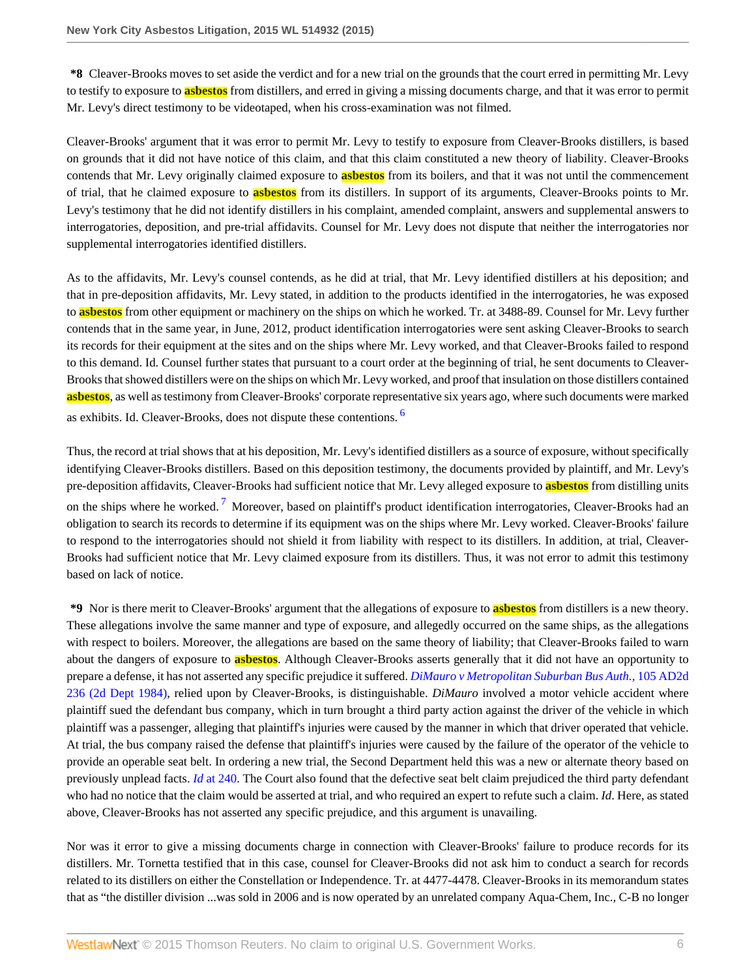**\*8** Cleaver-Brooks moves to set aside the verdict and for a new trial on the grounds that the court erred in permitting Mr. Levy to testify to exposure to **asbestos** from distillers, and erred in giving a missing documents charge, and that it was error to permit Mr. Levy's direct testimony to be videotaped, when his cross-examination was not filmed.

Cleaver-Brooks' argument that it was error to permit Mr. Levy to testify to exposure from Cleaver-Brooks distillers, is based on grounds that it did not have notice of this claim, and that this claim constituted a new theory of liability. Cleaver-Brooks contends that Mr. Levy originally claimed exposure to **asbestos** from its boilers, and that it was not until the commencement of trial, that he claimed exposure to **asbestos** from its distillers. In support of its arguments, Cleaver-Brooks points to Mr. Levy's testimony that he did not identify distillers in his complaint, amended complaint, answers and supplemental answers to interrogatories, deposition, and pre-trial affidavits. Counsel for Mr. Levy does not dispute that neither the interrogatories nor supplemental interrogatories identified distillers.

As to the affidavits, Mr. Levy's counsel contends, as he did at trial, that Mr. Levy identified distillers at his deposition; and that in pre-deposition affidavits, Mr. Levy stated, in addition to the products identified in the interrogatories, he was exposed to **asbestos** from other equipment or machinery on the ships on which he worked. Tr. at 3488-89. Counsel for Mr. Levy further contends that in the same year, in June, 2012, product identification interrogatories were sent asking Cleaver-Brooks to search its records for their equipment at the sites and on the ships where Mr. Levy worked, and that Cleaver-Brooks failed to respond to this demand. Id. Counsel further states that pursuant to a court order at the beginning of trial, he sent documents to Cleaver-Brooks that showed distillers were on the ships on which Mr. Levy worked, and proof that insulation on those distillers contained **asbestos**, as well as testimony from Cleaver-Brooks' corporate representative six years ago, where such documents were marked as exhibits. Id. Cleaver-Brooks, does not dispute these contentions. [6](#page-27-2)

<span id="page-5-1"></span><span id="page-5-0"></span>Thus, the record at trial shows that at his deposition, Mr. Levy's identified distillers as a source of exposure, without specifically identifying Cleaver-Brooks distillers. Based on this deposition testimony, the documents provided by plaintiff, and Mr. Levy's pre-deposition affidavits, Cleaver-Brooks had sufficient notice that Mr. Levy alleged exposure to **asbestos** from distilling units on the ships where he worked.<sup>[7](#page-27-3)</sup> Moreover, based on plaintiff's product identification interrogatories, Cleaver-Brooks had an obligation to search its records to determine if its equipment was on the ships where Mr. Levy worked. Cleaver-Brooks' failure to respond to the interrogatories should not shield it from liability with respect to its distillers. In addition, at trial, Cleaver-Brooks had sufficient notice that Mr. Levy claimed exposure from its distillers. Thus, it was not error to admit this testimony based on lack of notice.

**\*9** Nor is there merit to Cleaver-Brooks' argument that the allegations of exposure to **asbestos** from distillers is a new theory. These allegations involve the same manner and type of exposure, and allegedly occurred on the same ships, as the allegations with respect to boilers. Moreover, the allegations are based on the same theory of liability; that Cleaver-Brooks failed to warn about the dangers of exposure to **asbestos**. Although Cleaver-Brooks asserts generally that it did not have an opportunity to prepare a defense, it has not asserted any specific prejudice it suffered. *[DiMauro v Metropolitan Suburban Bus Auth.,](http://www.westlaw.com/Link/Document/FullText?findType=Y&serNum=1985100808&pubNum=0000155&originatingDoc=I6ed2fbecb0fe11e4b86bd602cb8781fa&refType=RP&originationContext=document&vr=3.0&rs=cblt1.0&transitionType=DocumentItem&contextData=(sc.Search))* 105 AD2d [236 \(2d Dept 1984\)](http://www.westlaw.com/Link/Document/FullText?findType=Y&serNum=1985100808&pubNum=0000155&originatingDoc=I6ed2fbecb0fe11e4b86bd602cb8781fa&refType=RP&originationContext=document&vr=3.0&rs=cblt1.0&transitionType=DocumentItem&contextData=(sc.Search)), relied upon by Cleaver-Brooks, is distinguishable. *DiMauro* involved a motor vehicle accident where plaintiff sued the defendant bus company, which in turn brought a third party action against the driver of the vehicle in which plaintiff was a passenger, alleging that plaintiff's injuries were caused by the manner in which that driver operated that vehicle. At trial, the bus company raised the defense that plaintiff's injuries were caused by the failure of the operator of the vehicle to provide an operable seat belt. In ordering a new trial, the Second Department held this was a new or alternate theory based on previously unplead facts. *Id* [at 240.](http://www.westlaw.com/Link/Document/FullText?findType=Y&serNum=1985100808&pubNum=0000155&originatingDoc=I6ed2fbecb0fe11e4b86bd602cb8781fa&refType=RP&fi=co_pp_sp_155_240&originationContext=document&vr=3.0&rs=cblt1.0&transitionType=DocumentItem&contextData=(sc.Search)#co_pp_sp_155_240) The Court also found that the defective seat belt claim prejudiced the third party defendant who had no notice that the claim would be asserted at trial, and who required an expert to refute such a claim. *Id*. Here, as stated above, Cleaver-Brooks has not asserted any specific prejudice, and this argument is unavailing.

Nor was it error to give a missing documents charge in connection with Cleaver-Brooks' failure to produce records for its distillers. Mr. Tornetta testified that in this case, counsel for Cleaver-Brooks did not ask him to conduct a search for records related to its distillers on either the Constellation or Independence. Tr. at 4477-4478. Cleaver-Brooks in its memorandum states that as "the distiller division ...was sold in 2006 and is now operated by an unrelated company Aqua-Chem, Inc., C-B no longer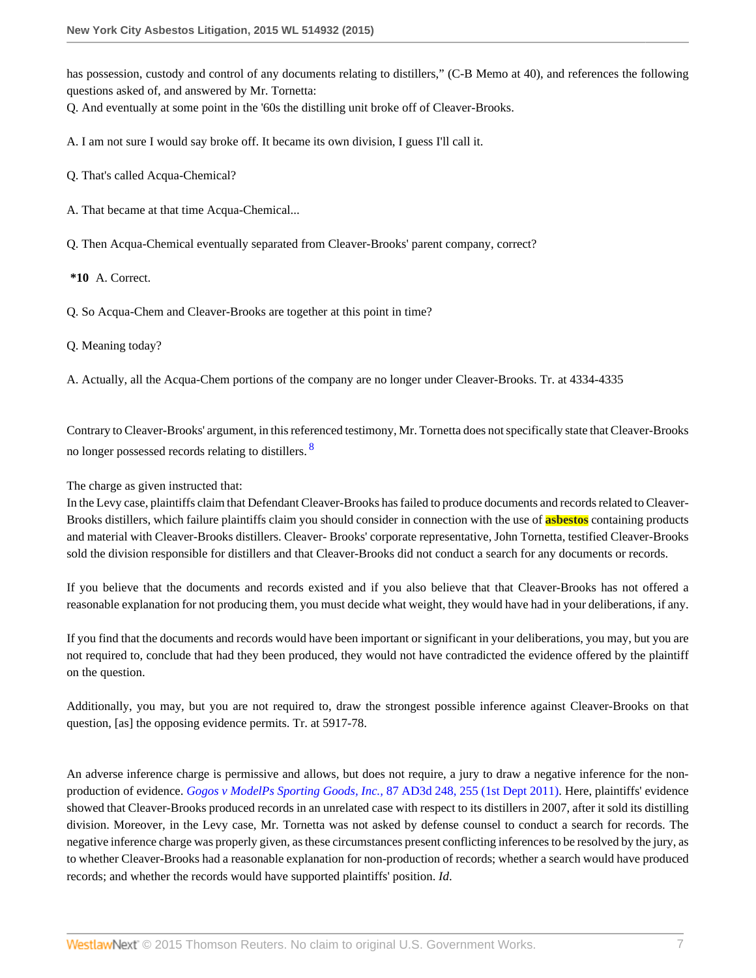has possession, custody and control of any documents relating to distillers," (C-B Memo at 40), and references the following questions asked of, and answered by Mr. Tornetta:

Q. And eventually at some point in the '60s the distilling unit broke off of Cleaver-Brooks.

A. I am not sure I would say broke off. It became its own division, I guess I'll call it.

Q. That's called Acqua-Chemical?

A. That became at that time Acqua-Chemical...

Q. Then Acqua-Chemical eventually separated from Cleaver-Brooks' parent company, correct?

**\*10** A. Correct.

Q. So Acqua-Chem and Cleaver-Brooks are together at this point in time?

Q. Meaning today?

A. Actually, all the Acqua-Chem portions of the company are no longer under Cleaver-Brooks. Tr. at 4334-4335

<span id="page-6-0"></span>Contrary to Cleaver-Brooks' argument, in this referenced testimony, Mr. Tornetta does not specifically state that Cleaver-Brooks no longer possessed records relating to distillers.<sup>[8](#page-27-4)</sup>

#### The charge as given instructed that:

In the Levy case, plaintiffs claim that Defendant Cleaver-Brooks has failed to produce documents and records related to Cleaver-Brooks distillers, which failure plaintiffs claim you should consider in connection with the use of **asbestos** containing products and material with Cleaver-Brooks distillers. Cleaver- Brooks' corporate representative, John Tornetta, testified Cleaver-Brooks sold the division responsible for distillers and that Cleaver-Brooks did not conduct a search for any documents or records.

If you believe that the documents and records existed and if you also believe that that Cleaver-Brooks has not offered a reasonable explanation for not producing them, you must decide what weight, they would have had in your deliberations, if any.

If you find that the documents and records would have been important or significant in your deliberations, you may, but you are not required to, conclude that had they been produced, they would not have contradicted the evidence offered by the plaintiff on the question.

Additionally, you may, but you are not required to, draw the strongest possible inference against Cleaver-Brooks on that question, [as] the opposing evidence permits. Tr. at 5917-78.

An adverse inference charge is permissive and allows, but does not require, a jury to draw a negative inference for the nonproduction of evidence. *[Gogos v ModelPs Sporting Goods, Inc.,](http://www.westlaw.com/Link/Document/FullText?findType=Y&serNum=2025537018&pubNum=0007049&originatingDoc=I6ed2fbecb0fe11e4b86bd602cb8781fa&refType=RP&fi=co_pp_sp_7049_255&originationContext=document&vr=3.0&rs=cblt1.0&transitionType=DocumentItem&contextData=(sc.Search)#co_pp_sp_7049_255)* 87 AD3d 248, 255 (1st Dept 2011). Here, plaintiffs' evidence showed that Cleaver-Brooks produced records in an unrelated case with respect to its distillers in 2007, after it sold its distilling division. Moreover, in the Levy case, Mr. Tornetta was not asked by defense counsel to conduct a search for records. The negative inference charge was properly given, as these circumstances present conflicting inferences to be resolved by the jury, as to whether Cleaver-Brooks had a reasonable explanation for non-production of records; whether a search would have produced records; and whether the records would have supported plaintiffs' position. *Id*.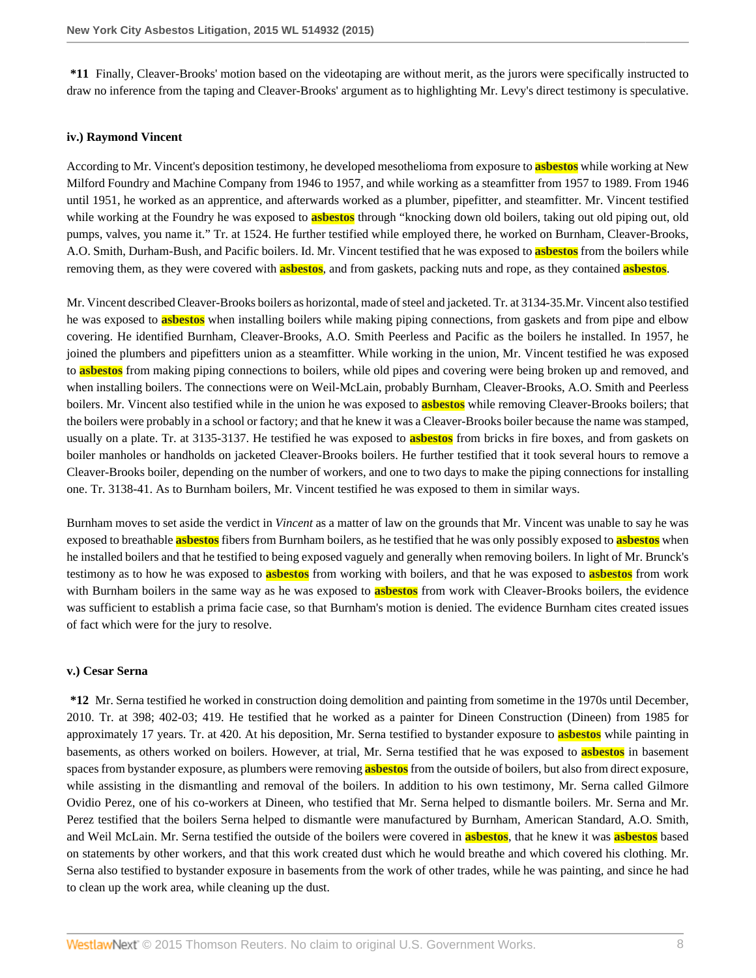**\*11** Finally, Cleaver-Brooks' motion based on the videotaping are without merit, as the jurors were specifically instructed to draw no inference from the taping and Cleaver-Brooks' argument as to highlighting Mr. Levy's direct testimony is speculative.

#### **iv.) Raymond Vincent**

According to Mr. Vincent's deposition testimony, he developed mesothelioma from exposure to **asbestos** while working at New Milford Foundry and Machine Company from 1946 to 1957, and while working as a steamfitter from 1957 to 1989. From 1946 until 1951, he worked as an apprentice, and afterwards worked as a plumber, pipefitter, and steamfitter. Mr. Vincent testified while working at the Foundry he was exposed to **asbestos** through "knocking down old boilers, taking out old piping out, old pumps, valves, you name it." Tr. at 1524. He further testified while employed there, he worked on Burnham, Cleaver-Brooks, A.O. Smith, Durham-Bush, and Pacific boilers. Id. Mr. Vincent testified that he was exposed to **asbestos** from the boilers while removing them, as they were covered with **asbestos**, and from gaskets, packing nuts and rope, as they contained **asbestos**.

Mr. Vincent described Cleaver-Brooks boilers as horizontal, made of steel and jacketed. Tr. at 3134-35.Mr. Vincent also testified he was exposed to **asbestos** when installing boilers while making piping connections, from gaskets and from pipe and elbow covering. He identified Burnham, Cleaver-Brooks, A.O. Smith Peerless and Pacific as the boilers he installed. In 1957, he joined the plumbers and pipefitters union as a steamfitter. While working in the union, Mr. Vincent testified he was exposed to **asbestos** from making piping connections to boilers, while old pipes and covering were being broken up and removed, and when installing boilers. The connections were on Weil-McLain, probably Burnham, Cleaver-Brooks, A.O. Smith and Peerless boilers. Mr. Vincent also testified while in the union he was exposed to **asbestos** while removing Cleaver-Brooks boilers; that the boilers were probably in a school or factory; and that he knew it was a Cleaver-Brooks boiler because the name was stamped, usually on a plate. Tr. at 3135-3137. He testified he was exposed to **asbestos** from bricks in fire boxes, and from gaskets on boiler manholes or handholds on jacketed Cleaver-Brooks boilers. He further testified that it took several hours to remove a Cleaver-Brooks boiler, depending on the number of workers, and one to two days to make the piping connections for installing one. Tr. 3138-41. As to Burnham boilers, Mr. Vincent testified he was exposed to them in similar ways.

Burnham moves to set aside the verdict in *Vincent* as a matter of law on the grounds that Mr. Vincent was unable to say he was exposed to breathable **asbestos** fibers from Burnham boilers, as he testified that he was only possibly exposed to **asbestos** when he installed boilers and that he testified to being exposed vaguely and generally when removing boilers. In light of Mr. Brunck's testimony as to how he was exposed to **asbestos** from working with boilers, and that he was exposed to **asbestos** from work with Burnham boilers in the same way as he was exposed to **asbestos** from work with Cleaver-Brooks boilers, the evidence was sufficient to establish a prima facie case, so that Burnham's motion is denied. The evidence Burnham cites created issues of fact which were for the jury to resolve.

#### **v.) Cesar Serna**

**\*12** Mr. Serna testified he worked in construction doing demolition and painting from sometime in the 1970s until December, 2010. Tr. at 398; 402-03; 419. He testified that he worked as a painter for Dineen Construction (Dineen) from 1985 for approximately 17 years. Tr. at 420. At his deposition, Mr. Serna testified to bystander exposure to **asbestos** while painting in basements, as others worked on boilers. However, at trial, Mr. Serna testified that he was exposed to **asbestos** in basement spaces from bystander exposure, as plumbers were removing **asbestos** from the outside of boilers, but also from direct exposure, while assisting in the dismantling and removal of the boilers. In addition to his own testimony, Mr. Serna called Gilmore Ovidio Perez, one of his co-workers at Dineen, who testified that Mr. Serna helped to dismantle boilers. Mr. Serna and Mr. Perez testified that the boilers Serna helped to dismantle were manufactured by Burnham, American Standard, A.O. Smith, and Weil McLain. Mr. Serna testified the outside of the boilers were covered in **asbestos**, that he knew it was **asbestos** based on statements by other workers, and that this work created dust which he would breathe and which covered his clothing. Mr. Serna also testified to bystander exposure in basements from the work of other trades, while he was painting, and since he had to clean up the work area, while cleaning up the dust.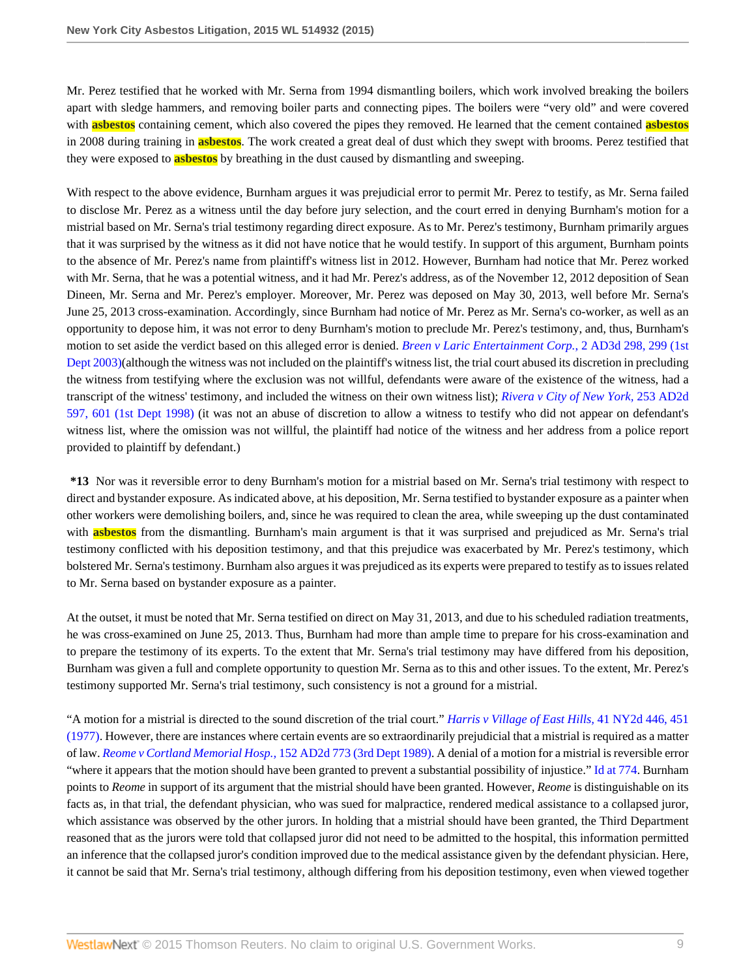Mr. Perez testified that he worked with Mr. Serna from 1994 dismantling boilers, which work involved breaking the boilers apart with sledge hammers, and removing boiler parts and connecting pipes. The boilers were "very old" and were covered with **asbestos** containing cement, which also covered the pipes they removed. He learned that the cement contained **asbestos** in 2008 during training in **asbestos**. The work created a great deal of dust which they swept with brooms. Perez testified that they were exposed to **asbestos** by breathing in the dust caused by dismantling and sweeping.

With respect to the above evidence, Burnham argues it was prejudicial error to permit Mr. Perez to testify, as Mr. Serna failed to disclose Mr. Perez as a witness until the day before jury selection, and the court erred in denying Burnham's motion for a mistrial based on Mr. Serna's trial testimony regarding direct exposure. As to Mr. Perez's testimony, Burnham primarily argues that it was surprised by the witness as it did not have notice that he would testify. In support of this argument, Burnham points to the absence of Mr. Perez's name from plaintiff's witness list in 2012. However, Burnham had notice that Mr. Perez worked with Mr. Serna, that he was a potential witness, and it had Mr. Perez's address, as of the November 12, 2012 deposition of Sean Dineen, Mr. Serna and Mr. Perez's employer. Moreover, Mr. Perez was deposed on May 30, 2013, well before Mr. Serna's June 25, 2013 cross-examination. Accordingly, since Burnham had notice of Mr. Perez as Mr. Serna's co-worker, as well as an opportunity to depose him, it was not error to deny Burnham's motion to preclude Mr. Perez's testimony, and, thus, Burnham's motion to set aside the verdict based on this alleged error is denied. *[Breen v Laric Entertainment Corp.](http://www.westlaw.com/Link/Document/FullText?findType=Y&serNum=2003939828&pubNum=0007049&originatingDoc=I6ed2fbecb0fe11e4b86bd602cb8781fa&refType=RP&fi=co_pp_sp_7049_299&originationContext=document&vr=3.0&rs=cblt1.0&transitionType=DocumentItem&contextData=(sc.Search)#co_pp_sp_7049_299)*, 2 AD3d 298, 299 (1st [Dept 2003\)\(](http://www.westlaw.com/Link/Document/FullText?findType=Y&serNum=2003939828&pubNum=0007049&originatingDoc=I6ed2fbecb0fe11e4b86bd602cb8781fa&refType=RP&fi=co_pp_sp_7049_299&originationContext=document&vr=3.0&rs=cblt1.0&transitionType=DocumentItem&contextData=(sc.Search)#co_pp_sp_7049_299)although the witness was not included on the plaintiff's witness list, the trial court abused its discretion in precluding the witness from testifying where the exclusion was not willful, defendants were aware of the existence of the witness, had a transcript of the witness' testimony, and included the witness on their own witness list); *[Rivera v City of New York,](http://www.westlaw.com/Link/Document/FullText?findType=Y&serNum=1998187678&pubNum=0000155&originatingDoc=I6ed2fbecb0fe11e4b86bd602cb8781fa&refType=RP&fi=co_pp_sp_155_601&originationContext=document&vr=3.0&rs=cblt1.0&transitionType=DocumentItem&contextData=(sc.Search)#co_pp_sp_155_601)* 253 AD2d [597, 601 \(1st Dept 1998\)](http://www.westlaw.com/Link/Document/FullText?findType=Y&serNum=1998187678&pubNum=0000155&originatingDoc=I6ed2fbecb0fe11e4b86bd602cb8781fa&refType=RP&fi=co_pp_sp_155_601&originationContext=document&vr=3.0&rs=cblt1.0&transitionType=DocumentItem&contextData=(sc.Search)#co_pp_sp_155_601) (it was not an abuse of discretion to allow a witness to testify who did not appear on defendant's witness list, where the omission was not willful, the plaintiff had notice of the witness and her address from a police report provided to plaintiff by defendant.)

**\*13** Nor was it reversible error to deny Burnham's motion for a mistrial based on Mr. Serna's trial testimony with respect to direct and bystander exposure. As indicated above, at his deposition, Mr. Serna testified to bystander exposure as a painter when other workers were demolishing boilers, and, since he was required to clean the area, while sweeping up the dust contaminated with **asbestos** from the dismantling. Burnham's main argument is that it was surprised and prejudiced as Mr. Serna's trial testimony conflicted with his deposition testimony, and that this prejudice was exacerbated by Mr. Perez's testimony, which bolstered Mr. Serna's testimony. Burnham also argues it was prejudiced as its experts were prepared to testify as to issues related to Mr. Serna based on bystander exposure as a painter.

At the outset, it must be noted that Mr. Serna testified on direct on May 31, 2013, and due to his scheduled radiation treatments, he was cross-examined on June 25, 2013. Thus, Burnham had more than ample time to prepare for his cross-examination and to prepare the testimony of its experts. To the extent that Mr. Serna's trial testimony may have differed from his deposition, Burnham was given a full and complete opportunity to question Mr. Serna as to this and other issues. To the extent, Mr. Perez's testimony supported Mr. Serna's trial testimony, such consistency is not a ground for a mistrial.

"A motion for a mistrial is directed to the sound discretion of the trial court." *[Harris v Village of East Hills,](http://www.westlaw.com/Link/Document/FullText?findType=Y&serNum=1977108084&pubNum=0000605&originatingDoc=I6ed2fbecb0fe11e4b86bd602cb8781fa&refType=RP&fi=co_pp_sp_605_451&originationContext=document&vr=3.0&rs=cblt1.0&transitionType=DocumentItem&contextData=(sc.Search)#co_pp_sp_605_451)* 41 NY2d 446, 451 [\(1977\).](http://www.westlaw.com/Link/Document/FullText?findType=Y&serNum=1977108084&pubNum=0000605&originatingDoc=I6ed2fbecb0fe11e4b86bd602cb8781fa&refType=RP&fi=co_pp_sp_605_451&originationContext=document&vr=3.0&rs=cblt1.0&transitionType=DocumentItem&contextData=(sc.Search)#co_pp_sp_605_451) However, there are instances where certain events are so extraordinarily prejudicial that a mistrial is required as a matter of law. *[Reome v Cortland Memorial Hosp.,](http://www.westlaw.com/Link/Document/FullText?findType=Y&serNum=1989100997&pubNum=0000155&originatingDoc=I6ed2fbecb0fe11e4b86bd602cb8781fa&refType=RP&originationContext=document&vr=3.0&rs=cblt1.0&transitionType=DocumentItem&contextData=(sc.Search))* 152 AD2d 773 (3rd Dept 1989). A denial of a motion for a mistrial is reversible error "where it appears that the motion should have been granted to prevent a substantial possibility of injustice." [Id at 774](http://www.westlaw.com/Link/Document/FullText?findType=Y&serNum=1989100997&pubNum=0000155&originatingDoc=I6ed2fbecb0fe11e4b86bd602cb8781fa&refType=RP&fi=co_pp_sp_155_774&originationContext=document&vr=3.0&rs=cblt1.0&transitionType=DocumentItem&contextData=(sc.Search)#co_pp_sp_155_774). Burnham points to *Reome* in support of its argument that the mistrial should have been granted. However, *Reome* is distinguishable on its facts as, in that trial, the defendant physician, who was sued for malpractice, rendered medical assistance to a collapsed juror, which assistance was observed by the other jurors. In holding that a mistrial should have been granted, the Third Department reasoned that as the jurors were told that collapsed juror did not need to be admitted to the hospital, this information permitted an inference that the collapsed juror's condition improved due to the medical assistance given by the defendant physician. Here, it cannot be said that Mr. Serna's trial testimony, although differing from his deposition testimony, even when viewed together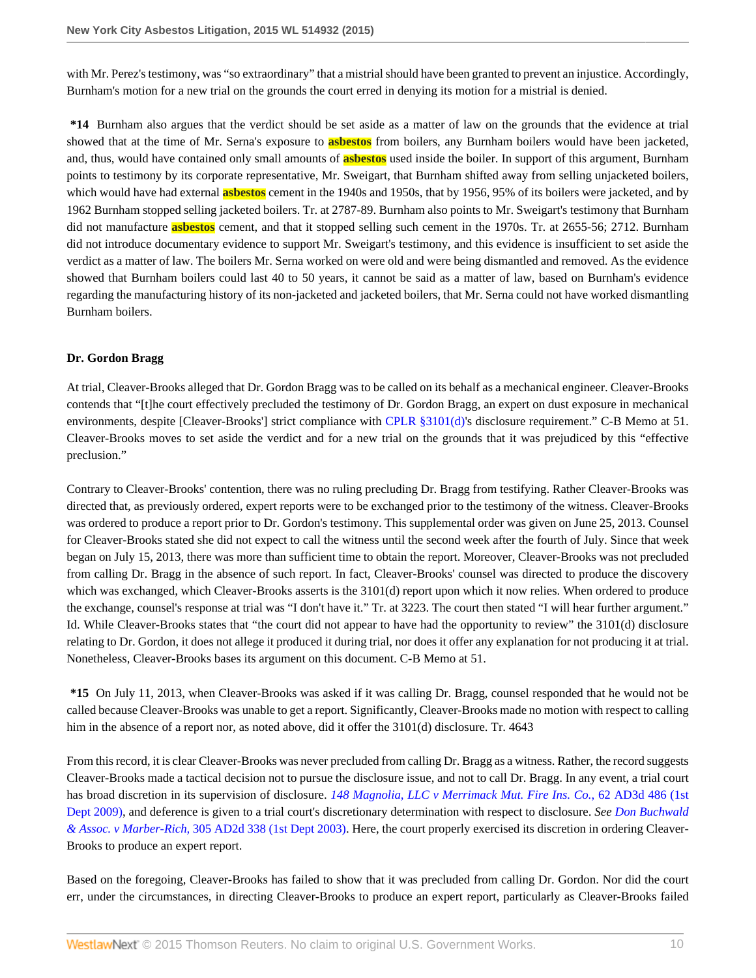with Mr. Perez's testimony, was "so extraordinary" that a mistrial should have been granted to prevent an injustice. Accordingly, Burnham's motion for a new trial on the grounds the court erred in denying its motion for a mistrial is denied.

**\*14** Burnham also argues that the verdict should be set aside as a matter of law on the grounds that the evidence at trial showed that at the time of Mr. Serna's exposure to **asbestos** from boilers, any Burnham boilers would have been jacketed, and, thus, would have contained only small amounts of **asbestos** used inside the boiler. In support of this argument, Burnham points to testimony by its corporate representative, Mr. Sweigart, that Burnham shifted away from selling unjacketed boilers, which would have had external **asbestos** cement in the 1940s and 1950s, that by 1956, 95% of its boilers were jacketed, and by 1962 Burnham stopped selling jacketed boilers. Tr. at 2787-89. Burnham also points to Mr. Sweigart's testimony that Burnham did not manufacture **asbestos** cement, and that it stopped selling such cement in the 1970s. Tr. at 2655-56; 2712. Burnham did not introduce documentary evidence to support Mr. Sweigart's testimony, and this evidence is insufficient to set aside the verdict as a matter of law. The boilers Mr. Serna worked on were old and were being dismantled and removed. As the evidence showed that Burnham boilers could last 40 to 50 years, it cannot be said as a matter of law, based on Burnham's evidence regarding the manufacturing history of its non-jacketed and jacketed boilers, that Mr. Serna could not have worked dismantling Burnham boilers.

### **Dr. Gordon Bragg**

At trial, Cleaver-Brooks alleged that Dr. Gordon Bragg was to be called on its behalf as a mechanical engineer. Cleaver-Brooks contends that "[t]he court effectively precluded the testimony of Dr. Gordon Bragg, an expert on dust exposure in mechanical environments, despite [Cleaver-Brooks'] strict compliance with [CPLR §3101\(d\)](http://www.westlaw.com/Link/Document/FullText?findType=L&pubNum=1000059&cite=NYCPS3101&originatingDoc=I6ed2fbecb0fe11e4b86bd602cb8781fa&refType=LQ&originationContext=document&vr=3.0&rs=cblt1.0&transitionType=DocumentItem&contextData=(sc.Search))'s disclosure requirement." C-B Memo at 51. Cleaver-Brooks moves to set aside the verdict and for a new trial on the grounds that it was prejudiced by this "effective preclusion."

Contrary to Cleaver-Brooks' contention, there was no ruling precluding Dr. Bragg from testifying. Rather Cleaver-Brooks was directed that, as previously ordered, expert reports were to be exchanged prior to the testimony of the witness. Cleaver-Brooks was ordered to produce a report prior to Dr. Gordon's testimony. This supplemental order was given on June 25, 2013. Counsel for Cleaver-Brooks stated she did not expect to call the witness until the second week after the fourth of July. Since that week began on July 15, 2013, there was more than sufficient time to obtain the report. Moreover, Cleaver-Brooks was not precluded from calling Dr. Bragg in the absence of such report. In fact, Cleaver-Brooks' counsel was directed to produce the discovery which was exchanged, which Cleaver-Brooks asserts is the 3101(d) report upon which it now relies. When ordered to produce the exchange, counsel's response at trial was "I don't have it." Tr. at 3223. The court then stated "I will hear further argument." Id. While Cleaver-Brooks states that "the court did not appear to have had the opportunity to review" the 3101(d) disclosure relating to Dr. Gordon, it does not allege it produced it during trial, nor does it offer any explanation for not producing it at trial. Nonetheless, Cleaver-Brooks bases its argument on this document. C-B Memo at 51.

**\*15** On July 11, 2013, when Cleaver-Brooks was asked if it was calling Dr. Bragg, counsel responded that he would not be called because Cleaver-Brooks was unable to get a report. Significantly, Cleaver-Brooks made no motion with respect to calling him in the absence of a report nor, as noted above, did it offer the 3101(d) disclosure. Tr. 4643

From this record, it is clear Cleaver-Brooks was never precluded from calling Dr. Bragg as a witness. Rather, the record suggests Cleaver-Brooks made a tactical decision not to pursue the disclosure issue, and not to call Dr. Bragg. In any event, a trial court has broad discretion in its supervision of disclosure. *[148 Magnolia, LLC v Merrimack Mut. Fire Ins. Co.](http://www.westlaw.com/Link/Document/FullText?findType=Y&serNum=2018802481&pubNum=0007049&originatingDoc=I6ed2fbecb0fe11e4b86bd602cb8781fa&refType=RP&originationContext=document&vr=3.0&rs=cblt1.0&transitionType=DocumentItem&contextData=(sc.Search))*, 62 AD3d 486 (1st [Dept 2009\)](http://www.westlaw.com/Link/Document/FullText?findType=Y&serNum=2018802481&pubNum=0007049&originatingDoc=I6ed2fbecb0fe11e4b86bd602cb8781fa&refType=RP&originationContext=document&vr=3.0&rs=cblt1.0&transitionType=DocumentItem&contextData=(sc.Search)), and deference is given to a trial court's discretionary determination with respect to disclosure. *See [Don Buchwald](http://www.westlaw.com/Link/Document/FullText?findType=Y&serNum=2003385382&pubNum=0000155&originatingDoc=I6ed2fbecb0fe11e4b86bd602cb8781fa&refType=RP&originationContext=document&vr=3.0&rs=cblt1.0&transitionType=DocumentItem&contextData=(sc.Search)) & Assoc. v Marber-Rich,* [305 AD2d 338 \(1st Dept 2003\)](http://www.westlaw.com/Link/Document/FullText?findType=Y&serNum=2003385382&pubNum=0000155&originatingDoc=I6ed2fbecb0fe11e4b86bd602cb8781fa&refType=RP&originationContext=document&vr=3.0&rs=cblt1.0&transitionType=DocumentItem&contextData=(sc.Search)). Here, the court properly exercised its discretion in ordering Cleaver-Brooks to produce an expert report.

Based on the foregoing, Cleaver-Brooks has failed to show that it was precluded from calling Dr. Gordon. Nor did the court err, under the circumstances, in directing Cleaver-Brooks to produce an expert report, particularly as Cleaver-Brooks failed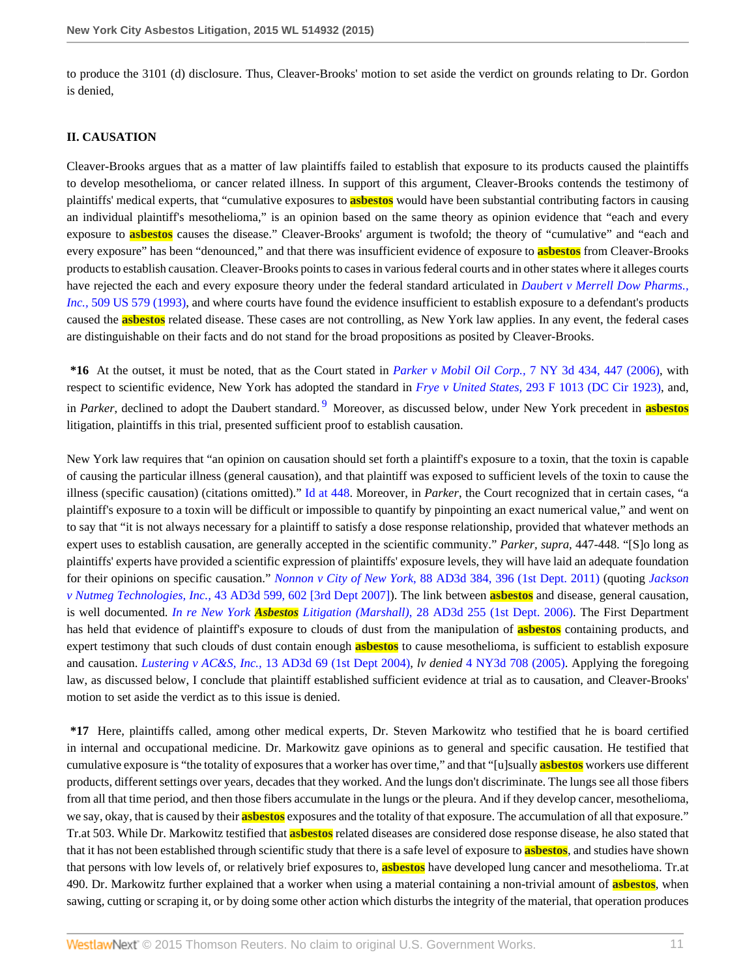to produce the 3101 (d) disclosure. Thus, Cleaver-Brooks' motion to set aside the verdict on grounds relating to Dr. Gordon is denied,

#### **II. CAUSATION**

Cleaver-Brooks argues that as a matter of law plaintiffs failed to establish that exposure to its products caused the plaintiffs to develop mesothelioma, or cancer related illness. In support of this argument, Cleaver-Brooks contends the testimony of plaintiffs' medical experts, that "cumulative exposures to **asbestos** would have been substantial contributing factors in causing an individual plaintiff's mesothelioma," is an opinion based on the same theory as opinion evidence that "each and every exposure to **asbestos** causes the disease." Cleaver-Brooks' argument is twofold; the theory of "cumulative" and "each and every exposure" has been "denounced," and that there was insufficient evidence of exposure to **asbestos** from Cleaver-Brooks products to establish causation. Cleaver-Brooks points to cases in various federal courts and in other states where it alleges courts have rejected the each and every exposure theory under the federal standard articulated in *[Daubert v Merrell Dow Pharms.,](http://www.westlaw.com/Link/Document/FullText?findType=Y&serNum=1993130674&pubNum=0000780&originatingDoc=I6ed2fbecb0fe11e4b86bd602cb8781fa&refType=RP&originationContext=document&vr=3.0&rs=cblt1.0&transitionType=DocumentItem&contextData=(sc.Search)) Inc.,* [509 US 579 \(1993\),](http://www.westlaw.com/Link/Document/FullText?findType=Y&serNum=1993130674&pubNum=0000780&originatingDoc=I6ed2fbecb0fe11e4b86bd602cb8781fa&refType=RP&originationContext=document&vr=3.0&rs=cblt1.0&transitionType=DocumentItem&contextData=(sc.Search)) and where courts have found the evidence insufficient to establish exposure to a defendant's products caused the **asbestos** related disease. These cases are not controlling, as New York law applies. In any event, the federal cases are distinguishable on their facts and do not stand for the broad propositions as posited by Cleaver-Brooks.

<span id="page-10-0"></span>**\*16** At the outset, it must be noted, that as the Court stated in *Parker v Mobil Oil Corp.,* [7 NY 3d 434, 447 \(2006\)](http://www.westlaw.com/Link/Document/FullText?findType=Y&serNum=2010465660&pubNum=0007048&originatingDoc=I6ed2fbecb0fe11e4b86bd602cb8781fa&refType=RP&fi=co_pp_sp_7048_447&originationContext=document&vr=3.0&rs=cblt1.0&transitionType=DocumentItem&contextData=(sc.Search)#co_pp_sp_7048_447), with respect to scientific evidence, New York has adopted the standard in *Frye v United States,* [293 F 1013 \(DC Cir 1923\)](http://www.westlaw.com/Link/Document/FullText?findType=Y&serNum=1924122438&pubNum=0000348&originatingDoc=I6ed2fbecb0fe11e4b86bd602cb8781fa&refType=RP&originationContext=document&vr=3.0&rs=cblt1.0&transitionType=DocumentItem&contextData=(sc.Search)), and, in *Parker*, declined to adopt the Daubert standard. [9](#page-27-5) Moreover, as discussed below, under New York precedent in **asbestos** litigation, plaintiffs in this trial, presented sufficient proof to establish causation.

New York law requires that "an opinion on causation should set forth a plaintiff's exposure to a toxin, that the toxin is capable of causing the particular illness (general causation), and that plaintiff was exposed to sufficient levels of the toxin to cause the illness (specific causation) (citations omitted)." [Id at 448](http://www.westlaw.com/Link/Document/FullText?findType=Y&serNum=2010465660&pubNum=0007048&originatingDoc=I6ed2fbecb0fe11e4b86bd602cb8781fa&refType=RP&fi=co_pp_sp_7048_448&originationContext=document&vr=3.0&rs=cblt1.0&transitionType=DocumentItem&contextData=(sc.Search)#co_pp_sp_7048_448). Moreover, in *Parker*, the Court recognized that in certain cases, "a plaintiff's exposure to a toxin will be difficult or impossible to quantify by pinpointing an exact numerical value," and went on to say that "it is not always necessary for a plaintiff to satisfy a dose response relationship, provided that whatever methods an expert uses to establish causation, are generally accepted in the scientific community." *Parker, supra,* 447-448. "[S]o long as plaintiffs' experts have provided a scientific expression of plaintiffs' exposure levels, they will have laid an adequate foundation for their opinions on specific causation." *Nonnon v City of New York*[, 88 AD3d 384, 396 \(1st Dept. 2011\)](http://www.westlaw.com/Link/Document/FullText?findType=Y&serNum=2026154830&pubNum=0007049&originatingDoc=I6ed2fbecb0fe11e4b86bd602cb8781fa&refType=RP&fi=co_pp_sp_7049_396&originationContext=document&vr=3.0&rs=cblt1.0&transitionType=DocumentItem&contextData=(sc.Search)#co_pp_sp_7049_396) (quoting *[Jackson](http://www.westlaw.com/Link/Document/FullText?findType=Y&serNum=2012880237&pubNum=0007049&originatingDoc=I6ed2fbecb0fe11e4b86bd602cb8781fa&refType=RP&fi=co_pp_sp_7049_602&originationContext=document&vr=3.0&rs=cblt1.0&transitionType=DocumentItem&contextData=(sc.Search)#co_pp_sp_7049_602) v Nutmeg Technologies, Inc.,* [43 AD3d 599, 602 \[3rd Dept 2007\]](http://www.westlaw.com/Link/Document/FullText?findType=Y&serNum=2012880237&pubNum=0007049&originatingDoc=I6ed2fbecb0fe11e4b86bd602cb8781fa&refType=RP&fi=co_pp_sp_7049_602&originationContext=document&vr=3.0&rs=cblt1.0&transitionType=DocumentItem&contextData=(sc.Search)#co_pp_sp_7049_602)). The link between **asbestos** and disease, general causation, is well documented. *In re New York Asbestos Litigation (Marshall)*[, 28 AD3d 255 \(1st Dept. 2006\)](http://www.westlaw.com/Link/Document/FullText?findType=Y&serNum=2008888317&pubNum=0007049&originatingDoc=I6ed2fbecb0fe11e4b86bd602cb8781fa&refType=RP&originationContext=document&vr=3.0&rs=cblt1.0&transitionType=DocumentItem&contextData=(sc.Search)). The First Department has held that evidence of plaintiff's exposure to clouds of dust from the manipulation of **asbestos** containing products, and expert testimony that such clouds of dust contain enough **asbestos** to cause mesothelioma, is sufficient to establish exposure and causation. *Lustering v AC&S, Inc.,* [13 AD3d 69 \(1st Dept 2004\)](http://www.westlaw.com/Link/Document/FullText?findType=Y&serNum=2005661140&pubNum=0007049&originatingDoc=I6ed2fbecb0fe11e4b86bd602cb8781fa&refType=RP&originationContext=document&vr=3.0&rs=cblt1.0&transitionType=DocumentItem&contextData=(sc.Search)), *lv denied* [4 NY3d 708 \(2005\).](http://www.westlaw.com/Link/Document/FullText?findType=Y&serNum=2006445299&pubNum=0007048&originatingDoc=I6ed2fbecb0fe11e4b86bd602cb8781fa&refType=RP&originationContext=document&vr=3.0&rs=cblt1.0&transitionType=DocumentItem&contextData=(sc.Search)) Applying the foregoing law, as discussed below, I conclude that plaintiff established sufficient evidence at trial as to causation, and Cleaver-Brooks' motion to set aside the verdict as to this issue is denied.

**\*17** Here, plaintiffs called, among other medical experts, Dr. Steven Markowitz who testified that he is board certified in internal and occupational medicine. Dr. Markowitz gave opinions as to general and specific causation. He testified that cumulative exposure is "the totality of exposures that a worker has over time," and that "[u]sually **asbestos** workers use different products, different settings over years, decades that they worked. And the lungs don't discriminate. The lungs see all those fibers from all that time period, and then those fibers accumulate in the lungs or the pleura. And if they develop cancer, mesothelioma, we say, okay, that is caused by their **asbestos** exposures and the totality of that exposure. The accumulation of all that exposure." Tr.at 503. While Dr. Markowitz testified that **asbestos** related diseases are considered dose response disease, he also stated that that it has not been established through scientific study that there is a safe level of exposure to **asbestos**, and studies have shown that persons with low levels of, or relatively brief exposures to, **asbestos** have developed lung cancer and mesothelioma. Tr.at 490. Dr. Markowitz further explained that a worker when using a material containing a non-trivial amount of **asbestos**, when sawing, cutting or scraping it, or by doing some other action which disturbs the integrity of the material, that operation produces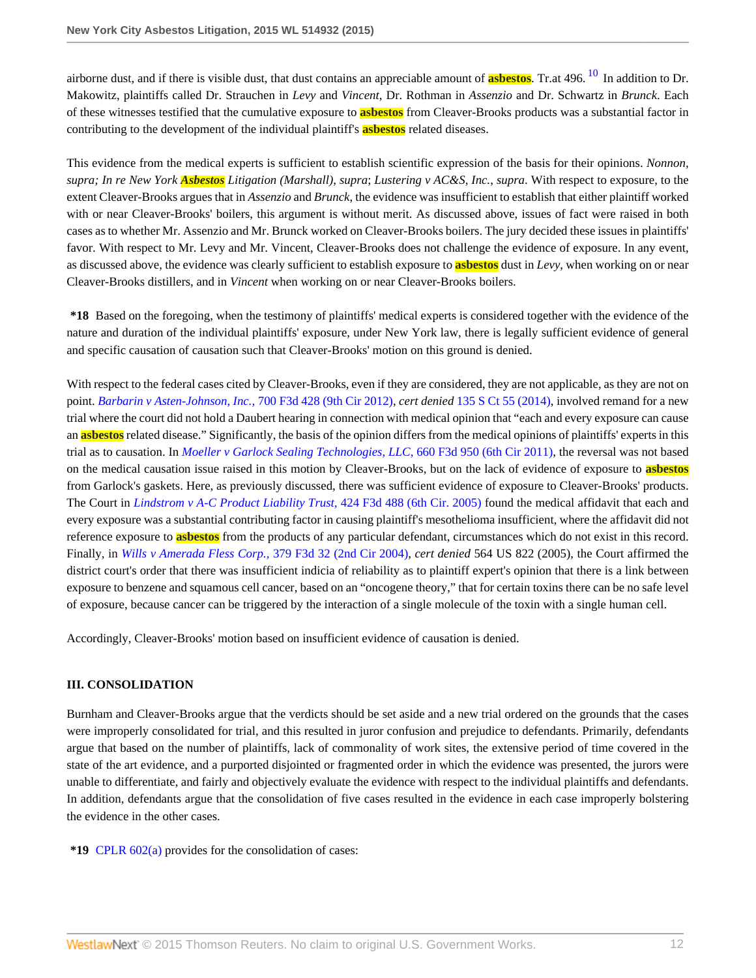<span id="page-11-0"></span>airborne dust, and if there is visible dust, that dust contains an appreciable amount of **asbestos**. Tr.at 496. [10](#page-27-6) In addition to Dr. Makowitz, plaintiffs called Dr. Strauchen in *Levy* and *Vincent*, Dr. Rothman in *Assenzio* and Dr. Schwartz in *Brunck*. Each of these witnesses testified that the cumulative exposure to **asbestos** from Cleaver-Brooks products was a substantial factor in contributing to the development of the individual plaintiff's **asbestos** related diseases.

This evidence from the medical experts is sufficient to establish scientific expression of the basis for their opinions. *Nonnon, supra; In re New York Asbestos Litigation (Marshall)*, *supra*; *Lustering v AC&S, Inc.*, *supra*. With respect to exposure, to the extent Cleaver-Brooks argues that in *Assenzio* and *Brunck*, the evidence was insufficient to establish that either plaintiff worked with or near Cleaver-Brooks' boilers, this argument is without merit. As discussed above, issues of fact were raised in both cases as to whether Mr. Assenzio and Mr. Brunck worked on Cleaver-Brooks boilers. The jury decided these issues in plaintiffs' favor. With respect to Mr. Levy and Mr. Vincent, Cleaver-Brooks does not challenge the evidence of exposure. In any event, as discussed above, the evidence was clearly sufficient to establish exposure to **asbestos** dust in *Levy*, when working on or near Cleaver-Brooks distillers, and in *Vincent* when working on or near Cleaver-Brooks boilers.

**\*18** Based on the foregoing, when the testimony of plaintiffs' medical experts is considered together with the evidence of the nature and duration of the individual plaintiffs' exposure, under New York law, there is legally sufficient evidence of general and specific causation of causation such that Cleaver-Brooks' motion on this ground is denied.

With respect to the federal cases cited by Cleaver-Brooks, even if they are considered, they are not applicable, as they are not on point. *[Barbarin v Asten-Johnson, Inc.,](http://www.westlaw.com/Link/Document/FullText?findType=Y&serNum=2029219750&pubNum=0000506&originatingDoc=I6ed2fbecb0fe11e4b86bd602cb8781fa&refType=RP&originationContext=document&vr=3.0&rs=cblt1.0&transitionType=DocumentItem&contextData=(sc.Search))* 700 F3d 428 (9th Cir 2012), *cert denied* [135 S Ct 55 \(2014\)](http://www.westlaw.com/Link/Document/FullText?findType=Y&serNum=2033172944&pubNum=0000708&originatingDoc=I6ed2fbecb0fe11e4b86bd602cb8781fa&refType=RP&originationContext=document&vr=3.0&rs=cblt1.0&transitionType=DocumentItem&contextData=(sc.Search)), involved remand for a new trial where the court did not hold a Daubert hearing in connection with medical opinion that "each and every exposure can cause an **asbestos** related disease." Significantly, the basis of the opinion differs from the medical opinions of plaintiffs' experts in this trial as to causation. In *[Moeller v Garlock Sealing Technologies, LLC,](http://www.westlaw.com/Link/Document/FullText?findType=Y&serNum=2026232849&pubNum=0000506&originatingDoc=I6ed2fbecb0fe11e4b86bd602cb8781fa&refType=RP&originationContext=document&vr=3.0&rs=cblt1.0&transitionType=DocumentItem&contextData=(sc.Search))* 660 F3d 950 (6th Cir 2011), the reversal was not based on the medical causation issue raised in this motion by Cleaver-Brooks, but on the lack of evidence of exposure to **asbestos** from Garlock's gaskets. Here, as previously discussed, there was sufficient evidence of exposure to Cleaver-Brooks' products. The Court in *[Lindstrom v A-C Product Liability Trust,](http://www.westlaw.com/Link/Document/FullText?findType=Y&serNum=2007384955&pubNum=0000506&originatingDoc=I6ed2fbecb0fe11e4b86bd602cb8781fa&refType=RP&originationContext=document&vr=3.0&rs=cblt1.0&transitionType=DocumentItem&contextData=(sc.Search))* 424 F3d 488 (6th Cir. 2005) found the medical affidavit that each and every exposure was a substantial contributing factor in causing plaintiff's mesothelioma insufficient, where the affidavit did not reference exposure to **asbestos** from the products of any particular defendant, circumstances which do not exist in this record. Finally, in *[Wills v Amerada Fless Corp.,](http://www.westlaw.com/Link/Document/FullText?findType=Y&serNum=2004845056&pubNum=0000506&originatingDoc=I6ed2fbecb0fe11e4b86bd602cb8781fa&refType=RP&originationContext=document&vr=3.0&rs=cblt1.0&transitionType=DocumentItem&contextData=(sc.Search))* 379 F3d 32 (2nd Cir 2004), *cert denied* 564 US 822 (2005), the Court affirmed the district court's order that there was insufficient indicia of reliability as to plaintiff expert's opinion that there is a link between exposure to benzene and squamous cell cancer, based on an "oncogene theory," that for certain toxins there can be no safe level of exposure, because cancer can be triggered by the interaction of a single molecule of the toxin with a single human cell.

Accordingly, Cleaver-Brooks' motion based on insufficient evidence of causation is denied.

### **III. CONSOLIDATION**

Burnham and Cleaver-Brooks argue that the verdicts should be set aside and a new trial ordered on the grounds that the cases were improperly consolidated for trial, and this resulted in juror confusion and prejudice to defendants. Primarily, defendants argue that based on the number of plaintiffs, lack of commonality of work sites, the extensive period of time covered in the state of the art evidence, and a purported disjointed or fragmented order in which the evidence was presented, the jurors were unable to differentiate, and fairly and objectively evaluate the evidence with respect to the individual plaintiffs and defendants. In addition, defendants argue that the consolidation of five cases resulted in the evidence in each case improperly bolstering the evidence in the other cases.

**\*19** [CPLR 602\(a\)](http://www.westlaw.com/Link/Document/FullText?findType=L&pubNum=1000059&cite=NYCPS602&originatingDoc=I6ed2fbecb0fe11e4b86bd602cb8781fa&refType=LQ&originationContext=document&vr=3.0&rs=cblt1.0&transitionType=DocumentItem&contextData=(sc.Search)) provides for the consolidation of cases: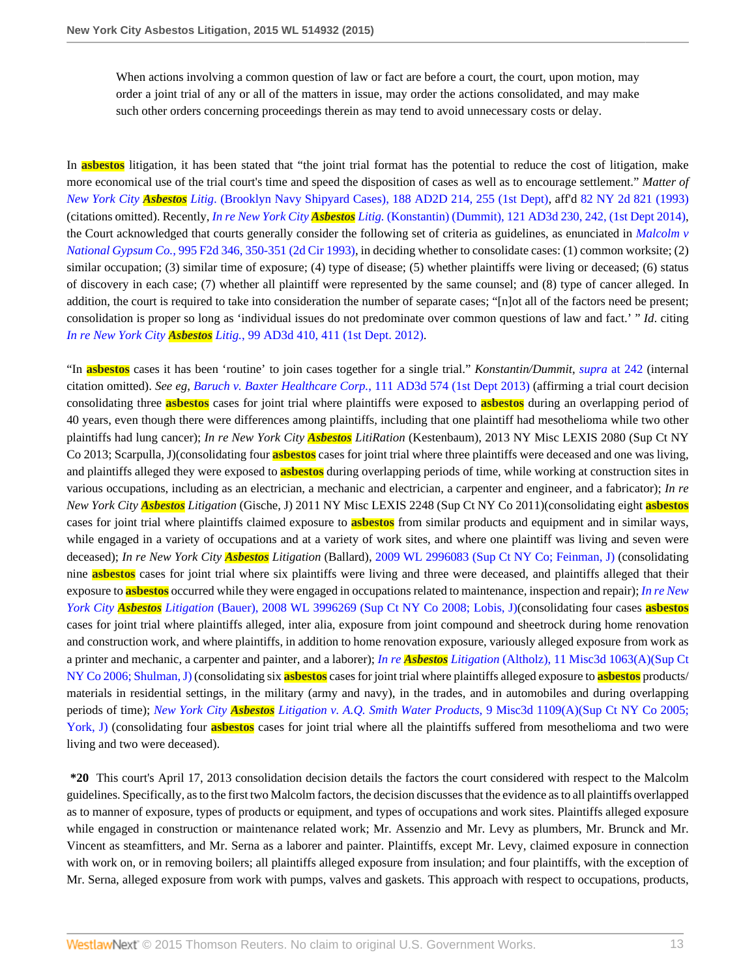When actions involving a common question of law or fact are before a court, the court, upon motion, may order a joint trial of any or all of the matters in issue, may order the actions consolidated, and may make such other orders concerning proceedings therein as may tend to avoid unnecessary costs or delay.

In **asbestos** litigation, it has been stated that "the joint trial format has the potential to reduce the cost of litigation, make more economical use of the trial court's time and speed the disposition of cases as well as to encourage settlement." *Matter of New York City Asbestos Litig*[. \(Brooklyn Navy Shipyard Cases\), 188 AD2D 214, 255 \(1st Dept\)](http://www.westlaw.com/Link/Document/FullText?findType=Y&serNum=1993046158&pubNum=0000155&originatingDoc=I6ed2fbecb0fe11e4b86bd602cb8781fa&refType=RP&fi=co_pp_sp_155_255&originationContext=document&vr=3.0&rs=cblt1.0&transitionType=DocumentItem&contextData=(sc.Search)#co_pp_sp_155_255), aff'd [82 NY 2d 821 \(1993\)](http://www.westlaw.com/Link/Document/FullText?findType=Y&serNum=1994030568&pubNum=0000605&originatingDoc=I6ed2fbecb0fe11e4b86bd602cb8781fa&refType=RP&originationContext=document&vr=3.0&rs=cblt1.0&transitionType=DocumentItem&contextData=(sc.Search)) (citations omitted). Recently, *In re New York City Asbestos Litig.* [\(Konstantin\) \(Dummit\), 121 AD3d 230, 242, \(1st Dept 2014\),](http://www.westlaw.com/Link/Document/FullText?findType=Y&serNum=2033758918&pubNum=0007049&originatingDoc=I6ed2fbecb0fe11e4b86bd602cb8781fa&refType=RP&fi=co_pp_sp_7049_242&originationContext=document&vr=3.0&rs=cblt1.0&transitionType=DocumentItem&contextData=(sc.Search)#co_pp_sp_7049_242) the Court acknowledged that courts generally consider the following set of criteria as guidelines, as enunciated in *[Malcolm v](http://www.westlaw.com/Link/Document/FullText?findType=Y&serNum=1993113448&pubNum=0000350&originatingDoc=I6ed2fbecb0fe11e4b86bd602cb8781fa&refType=RP&fi=co_pp_sp_350_350&originationContext=document&vr=3.0&rs=cblt1.0&transitionType=DocumentItem&contextData=(sc.Search)#co_pp_sp_350_350) National Gypsum Co.*[, 995 F2d 346, 350-351 \(2d Cir 1993\),](http://www.westlaw.com/Link/Document/FullText?findType=Y&serNum=1993113448&pubNum=0000350&originatingDoc=I6ed2fbecb0fe11e4b86bd602cb8781fa&refType=RP&fi=co_pp_sp_350_350&originationContext=document&vr=3.0&rs=cblt1.0&transitionType=DocumentItem&contextData=(sc.Search)#co_pp_sp_350_350) in deciding whether to consolidate cases: (1) common worksite; (2) similar occupation; (3) similar time of exposure; (4) type of disease; (5) whether plaintiffs were living or deceased; (6) status of discovery in each case; (7) whether all plaintiff were represented by the same counsel; and (8) type of cancer alleged. In addition, the court is required to take into consideration the number of separate cases; "[n]ot all of the factors need be present; consolidation is proper so long as 'individual issues do not predominate over common questions of law and fact.' " *Id*. citing *In re New York City Asbestos Litig.*[, 99 AD3d 410, 411 \(1st Dept. 2012\)](http://www.westlaw.com/Link/Document/FullText?findType=Y&serNum=2028749137&pubNum=0007049&originatingDoc=I6ed2fbecb0fe11e4b86bd602cb8781fa&refType=RP&fi=co_pp_sp_7049_411&originationContext=document&vr=3.0&rs=cblt1.0&transitionType=DocumentItem&contextData=(sc.Search)#co_pp_sp_7049_411).

"In **asbestos** cases it has been 'routine' to join cases together for a single trial." *Konstantin/Dummit*, *supra* [at 242](http://www.westlaw.com/Link/Document/FullText?findType=Y&serNum=2033758918&pubNum=0007049&originatingDoc=I6ed2fbecb0fe11e4b86bd602cb8781fa&refType=RP&fi=co_pp_sp_7049_242&originationContext=document&vr=3.0&rs=cblt1.0&transitionType=DocumentItem&contextData=(sc.Search)#co_pp_sp_7049_242) (internal citation omitted). *See eg*, *[Baruch v. Baxter Healthcare Corp.](http://www.westlaw.com/Link/Document/FullText?findType=Y&serNum=2032139872&pubNum=0007049&originatingDoc=I6ed2fbecb0fe11e4b86bd602cb8781fa&refType=RP&originationContext=document&vr=3.0&rs=cblt1.0&transitionType=DocumentItem&contextData=(sc.Search))*, 111 AD3d 574 (1st Dept 2013) (affirming a trial court decision consolidating three **asbestos** cases for joint trial where plaintiffs were exposed to **asbestos** during an overlapping period of 40 years, even though there were differences among plaintiffs, including that one plaintiff had mesothelioma while two other plaintiffs had lung cancer); *In re New York City Asbestos LitiRation* (Kestenbaum), 2013 NY Misc LEXIS 2080 (Sup Ct NY Co 2013; Scarpulla, J)(consolidating four **asbestos** cases for joint trial where three plaintiffs were deceased and one was living, and plaintiffs alleged they were exposed to **asbestos** during overlapping periods of time, while working at construction sites in various occupations, including as an electrician, a mechanic and electrician, a carpenter and engineer, and a fabricator); *In re New York City Asbestos Litigation* (Gische, J) 2011 NY Misc LEXIS 2248 (Sup Ct NY Co 2011)(consolidating eight **asbestos** cases for joint trial where plaintiffs claimed exposure to **asbestos** from similar products and equipment and in similar ways, while engaged in a variety of occupations and at a variety of work sites, and where one plaintiff was living and seven were deceased); *In re New York City Asbestos Litigation* (Ballard), [2009 WL 2996083 \(Sup Ct NY Co; Feinman, J\)](http://www.westlaw.com/Link/Document/FullText?findType=Y&serNum=2019849138&pubNum=0000999&originatingDoc=I6ed2fbecb0fe11e4b86bd602cb8781fa&refType=RP&originationContext=document&vr=3.0&rs=cblt1.0&transitionType=DocumentItem&contextData=(sc.Search)) (consolidating nine **asbestos** cases for joint trial where six plaintiffs were living and three were deceased, and plaintiffs alleged that their exposure to **asbestos** occurred while they were engaged in occupations related to maintenance, inspection and repair); *[In re New](http://www.westlaw.com/Link/Document/FullText?findType=Y&serNum=2016874567&pubNum=0000999&originatingDoc=I6ed2fbecb0fe11e4b86bd602cb8781fa&refType=RP&originationContext=document&vr=3.0&rs=cblt1.0&transitionType=DocumentItem&contextData=(sc.Search)) York City Asbestos Litigation* [\(Bauer\), 2008 WL 3996269 \(Sup Ct NY Co 2008; Lobis, J\)](http://www.westlaw.com/Link/Document/FullText?findType=Y&serNum=2016874567&pubNum=0000999&originatingDoc=I6ed2fbecb0fe11e4b86bd602cb8781fa&refType=RP&originationContext=document&vr=3.0&rs=cblt1.0&transitionType=DocumentItem&contextData=(sc.Search))(consolidating four cases **asbestos** cases for joint trial where plaintiffs alleged, inter alia, exposure from joint compound and sheetrock during home renovation and construction work, and where plaintiffs, in addition to home renovation exposure, variously alleged exposure from work as a printer and mechanic, a carpenter and painter, and a laborer); *In re Asbestos Litigation* [\(Altholz\), 11 Misc3d 1063\(A\)\(Sup Ct](http://www.westlaw.com/Link/Document/FullText?findType=Y&serNum=2008701620&pubNum=0007050&originatingDoc=I6ed2fbecb0fe11e4b86bd602cb8781fa&refType=RP&originationContext=document&vr=3.0&rs=cblt1.0&transitionType=DocumentItem&contextData=(sc.Search)) [NY Co 2006; Shulman, J\)](http://www.westlaw.com/Link/Document/FullText?findType=Y&serNum=2008701620&pubNum=0007050&originatingDoc=I6ed2fbecb0fe11e4b86bd602cb8781fa&refType=RP&originationContext=document&vr=3.0&rs=cblt1.0&transitionType=DocumentItem&contextData=(sc.Search)) (consolidating six **asbestos** cases for joint trial where plaintiffs alleged exposure to **asbestos** products/ materials in residential settings, in the military (army and navy), in the trades, and in automobiles and during overlapping periods of time); *New York City Asbestos Litigation v. A.Q. Smith Water Products*[, 9 Misc3d 1109\(A\)\(Sup Ct NY Co 2005;](http://www.westlaw.com/Link/Document/FullText?findType=Y&serNum=2007313037&pubNum=0007050&originatingDoc=I6ed2fbecb0fe11e4b86bd602cb8781fa&refType=RP&originationContext=document&vr=3.0&rs=cblt1.0&transitionType=DocumentItem&contextData=(sc.Search)) [York, J\)](http://www.westlaw.com/Link/Document/FullText?findType=Y&serNum=2007313037&pubNum=0007050&originatingDoc=I6ed2fbecb0fe11e4b86bd602cb8781fa&refType=RP&originationContext=document&vr=3.0&rs=cblt1.0&transitionType=DocumentItem&contextData=(sc.Search)) (consolidating four **asbestos** cases for joint trial where all the plaintiffs suffered from mesothelioma and two were living and two were deceased).

**\*20** This court's April 17, 2013 consolidation decision details the factors the court considered with respect to the Malcolm guidelines. Specifically, as to the first two Malcolm factors, the decision discusses that the evidence as to all plaintiffs overlapped as to manner of exposure, types of products or equipment, and types of occupations and work sites. Plaintiffs alleged exposure while engaged in construction or maintenance related work; Mr. Assenzio and Mr. Levy as plumbers, Mr. Brunck and Mr. Vincent as steamfitters, and Mr. Serna as a laborer and painter. Plaintiffs, except Mr. Levy, claimed exposure in connection with work on, or in removing boilers; all plaintiffs alleged exposure from insulation; and four plaintiffs, with the exception of Mr. Serna, alleged exposure from work with pumps, valves and gaskets. This approach with respect to occupations, products,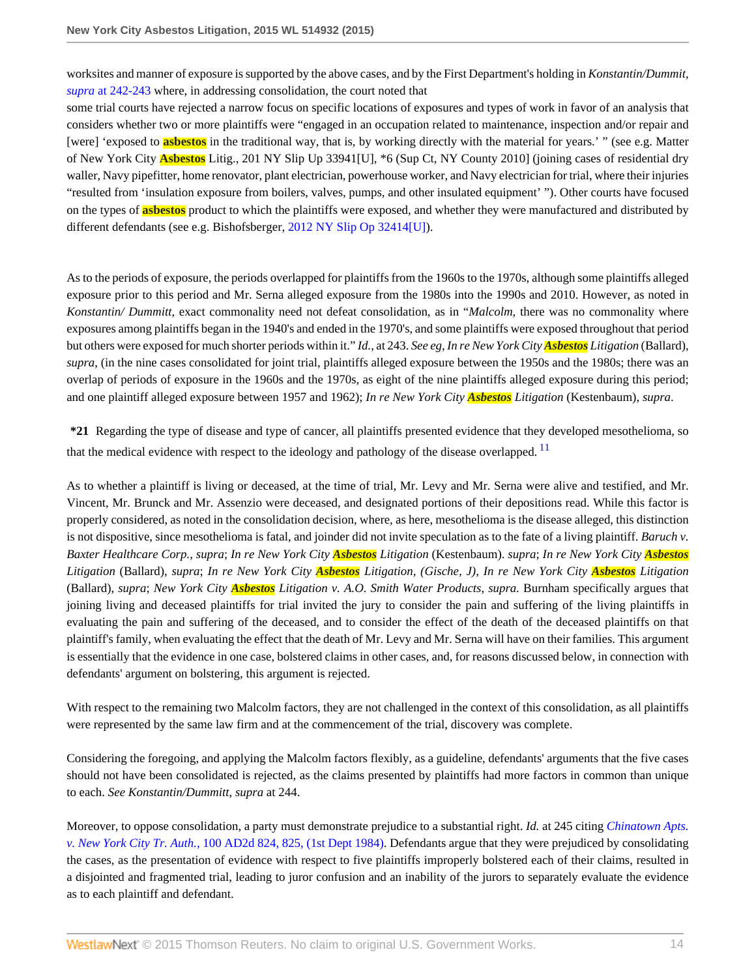worksites and manner of exposure is supported by the above cases, and by the First Department's holding in *Konstantin/Dummit, supra* [at 242-243](http://www.westlaw.com/Link/Document/FullText?findType=Y&serNum=2033758918&pubNum=0007049&originatingDoc=I6ed2fbecb0fe11e4b86bd602cb8781fa&refType=RP&fi=co_pp_sp_7049_242&originationContext=document&vr=3.0&rs=cblt1.0&transitionType=DocumentItem&contextData=(sc.Search)#co_pp_sp_7049_242) where, in addressing consolidation, the court noted that

some trial courts have rejected a narrow focus on specific locations of exposures and types of work in favor of an analysis that considers whether two or more plaintiffs were "engaged in an occupation related to maintenance, inspection and/or repair and [were] 'exposed to **asbestos** in the traditional way, that is, by working directly with the material for years.' " (see e.g. Matter of New York City **Asbestos** Litig., 201 NY Slip Up 33941[U], \*6 (Sup Ct, NY County 2010] (joining cases of residential dry waller, Navy pipefitter, home renovator, plant electrician, powerhouse worker, and Navy electrician for trial, where their injuries "resulted from 'insulation exposure from boilers, valves, pumps, and other insulated equipment' "). Other courts have focused on the types of **asbestos** product to which the plaintiffs were exposed, and whether they were manufactured and distributed by different defendants (see e.g. Bishofsberger, [2012 NY Slip Op 32414\[U\]](http://www.westlaw.com/Link/Document/FullText?findType=Y&pubNum=0004603&cite=2012NYSLIPOP32414%5bU%5d&originatingDoc=I6ed2fbecb0fe11e4b86bd602cb8781fa&refType=RP&originationContext=document&vr=3.0&rs=cblt1.0&transitionType=DocumentItem&contextData=(sc.Search))).

As to the periods of exposure, the periods overlapped for plaintiffs from the 1960s to the 1970s, although some plaintiffs alleged exposure prior to this period and Mr. Serna alleged exposure from the 1980s into the 1990s and 2010. However, as noted in *Konstantin/ Dummitt*, exact commonality need not defeat consolidation, as in "*Malcolm*, there was no commonality where exposures among plaintiffs began in the 1940's and ended in the 1970's, and some plaintiffs were exposed throughout that period but others were exposed for much shorter periods within it." *Id.*, at 243. *See eg*, *In re New York City Asbestos Litigation* (Ballard), *supra*, (in the nine cases consolidated for joint trial, plaintiffs alleged exposure between the 1950s and the 1980s; there was an overlap of periods of exposure in the 1960s and the 1970s, as eight of the nine plaintiffs alleged exposure during this period; and one plaintiff alleged exposure between 1957 and 1962); *In re New York City Asbestos Litigation* (Kestenbaum), *supra*.

<span id="page-13-0"></span>**\*21** Regarding the type of disease and type of cancer, all plaintiffs presented evidence that they developed mesothelioma, so that the medical evidence with respect to the ideology and pathology of the disease overlapped.<sup>[11](#page-27-7)</sup>

As to whether a plaintiff is living or deceased, at the time of trial, Mr. Levy and Mr. Serna were alive and testified, and Mr. Vincent, Mr. Brunck and Mr. Assenzio were deceased, and designated portions of their depositions read. While this factor is properly considered, as noted in the consolidation decision, where, as here, mesothelioma is the disease alleged, this distinction is not dispositive, since mesothelioma is fatal, and joinder did not invite speculation as to the fate of a living plaintiff. *Baruch v. Baxter Healthcare Corp., supra*; *In re New York City Asbestos Litigation* (Kestenbaum). *supra*; *In re New York City Asbestos Litigation* (Ballard), *supra*; *In re New York City Asbestos Litigation, (Gische, J)*, *In re New York City Asbestos Litigation* (Ballard), *supra*; *New York City Asbestos Litigation v. A.O. Smith Water Products*, *supra.* Burnham specifically argues that joining living and deceased plaintiffs for trial invited the jury to consider the pain and suffering of the living plaintiffs in evaluating the pain and suffering of the deceased, and to consider the effect of the death of the deceased plaintiffs on that plaintiff's family, when evaluating the effect that the death of Mr. Levy and Mr. Serna will have on their families. This argument is essentially that the evidence in one case, bolstered claims in other cases, and, for reasons discussed below, in connection with defendants' argument on bolstering, this argument is rejected.

With respect to the remaining two Malcolm factors, they are not challenged in the context of this consolidation, as all plaintiffs were represented by the same law firm and at the commencement of the trial, discovery was complete.

Considering the foregoing, and applying the Malcolm factors flexibly, as a guideline, defendants' arguments that the five cases should not have been consolidated is rejected, as the claims presented by plaintiffs had more factors in common than unique to each. *See Konstantin/Dummitt*, *supra* at 244.

Moreover, to oppose consolidation, a party must demonstrate prejudice to a substantial right. *Id.* at 245 citing *[Chinatown Apts.](http://www.westlaw.com/Link/Document/FullText?findType=Y&serNum=1984121339&pubNum=0000155&originatingDoc=I6ed2fbecb0fe11e4b86bd602cb8781fa&refType=RP&fi=co_pp_sp_155_825&originationContext=document&vr=3.0&rs=cblt1.0&transitionType=DocumentItem&contextData=(sc.Search)#co_pp_sp_155_825) v. New York City Tr. Auth.,* [100 AD2d 824, 825, \(1st Dept 1984\).](http://www.westlaw.com/Link/Document/FullText?findType=Y&serNum=1984121339&pubNum=0000155&originatingDoc=I6ed2fbecb0fe11e4b86bd602cb8781fa&refType=RP&fi=co_pp_sp_155_825&originationContext=document&vr=3.0&rs=cblt1.0&transitionType=DocumentItem&contextData=(sc.Search)#co_pp_sp_155_825) Defendants argue that they were prejudiced by consolidating the cases, as the presentation of evidence with respect to five plaintiffs improperly bolstered each of their claims, resulted in a disjointed and fragmented trial, leading to juror confusion and an inability of the jurors to separately evaluate the evidence as to each plaintiff and defendant.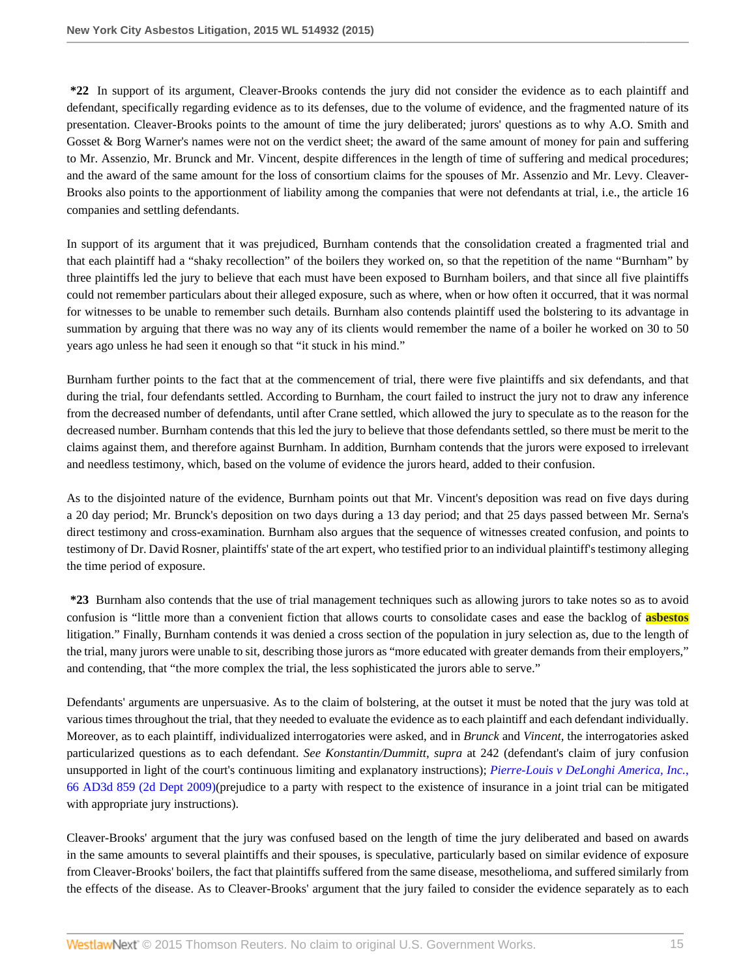**\*22** In support of its argument, Cleaver-Brooks contends the jury did not consider the evidence as to each plaintiff and defendant, specifically regarding evidence as to its defenses, due to the volume of evidence, and the fragmented nature of its presentation. Cleaver-Brooks points to the amount of time the jury deliberated; jurors' questions as to why A.O. Smith and Gosset & Borg Warner's names were not on the verdict sheet; the award of the same amount of money for pain and suffering to Mr. Assenzio, Mr. Brunck and Mr. Vincent, despite differences in the length of time of suffering and medical procedures; and the award of the same amount for the loss of consortium claims for the spouses of Mr. Assenzio and Mr. Levy. Cleaver-Brooks also points to the apportionment of liability among the companies that were not defendants at trial, i.e., the article 16 companies and settling defendants.

In support of its argument that it was prejudiced, Burnham contends that the consolidation created a fragmented trial and that each plaintiff had a "shaky recollection" of the boilers they worked on, so that the repetition of the name "Burnham" by three plaintiffs led the jury to believe that each must have been exposed to Burnham boilers, and that since all five plaintiffs could not remember particulars about their alleged exposure, such as where, when or how often it occurred, that it was normal for witnesses to be unable to remember such details. Burnham also contends plaintiff used the bolstering to its advantage in summation by arguing that there was no way any of its clients would remember the name of a boiler he worked on 30 to 50 years ago unless he had seen it enough so that "it stuck in his mind."

Burnham further points to the fact that at the commencement of trial, there were five plaintiffs and six defendants, and that during the trial, four defendants settled. According to Burnham, the court failed to instruct the jury not to draw any inference from the decreased number of defendants, until after Crane settled, which allowed the jury to speculate as to the reason for the decreased number. Burnham contends that this led the jury to believe that those defendants settled, so there must be merit to the claims against them, and therefore against Burnham. In addition, Burnham contends that the jurors were exposed to irrelevant and needless testimony, which, based on the volume of evidence the jurors heard, added to their confusion.

As to the disjointed nature of the evidence, Burnham points out that Mr. Vincent's deposition was read on five days during a 20 day period; Mr. Brunck's deposition on two days during a 13 day period; and that 25 days passed between Mr. Serna's direct testimony and cross-examination. Burnham also argues that the sequence of witnesses created confusion, and points to testimony of Dr. David Rosner, plaintiffs' state of the art expert, who testified prior to an individual plaintiff's testimony alleging the time period of exposure.

**\*23** Burnham also contends that the use of trial management techniques such as allowing jurors to take notes so as to avoid confusion is "little more than a convenient fiction that allows courts to consolidate cases and ease the backlog of **asbestos** litigation." Finally, Burnham contends it was denied a cross section of the population in jury selection as, due to the length of the trial, many jurors were unable to sit, describing those jurors as "more educated with greater demands from their employers," and contending, that "the more complex the trial, the less sophisticated the jurors able to serve."

Defendants' arguments are unpersuasive. As to the claim of bolstering, at the outset it must be noted that the jury was told at various times throughout the trial, that they needed to evaluate the evidence as to each plaintiff and each defendant individually. Moreover, as to each plaintiff, individualized interrogatories were asked, and in *Brunck* and *Vincent*, the interrogatories asked particularized questions as to each defendant. *See Konstantin/Dummitt, supra* at 242 (defendant's claim of jury confusion unsupported in light of the court's continuous limiting and explanatory instructions); *[Pierre-Louis v DeLonghi America, Inc.](http://www.westlaw.com/Link/Document/FullText?findType=Y&serNum=2020174751&pubNum=0007049&originatingDoc=I6ed2fbecb0fe11e4b86bd602cb8781fa&refType=RP&originationContext=document&vr=3.0&rs=cblt1.0&transitionType=DocumentItem&contextData=(sc.Search))*, [66 AD3d 859 \(2d Dept 2009\)\(](http://www.westlaw.com/Link/Document/FullText?findType=Y&serNum=2020174751&pubNum=0007049&originatingDoc=I6ed2fbecb0fe11e4b86bd602cb8781fa&refType=RP&originationContext=document&vr=3.0&rs=cblt1.0&transitionType=DocumentItem&contextData=(sc.Search))prejudice to a party with respect to the existence of insurance in a joint trial can be mitigated with appropriate jury instructions).

Cleaver-Brooks' argument that the jury was confused based on the length of time the jury deliberated and based on awards in the same amounts to several plaintiffs and their spouses, is speculative, particularly based on similar evidence of exposure from Cleaver-Brooks' boilers, the fact that plaintiffs suffered from the same disease, mesothelioma, and suffered similarly from the effects of the disease. As to Cleaver-Brooks' argument that the jury failed to consider the evidence separately as to each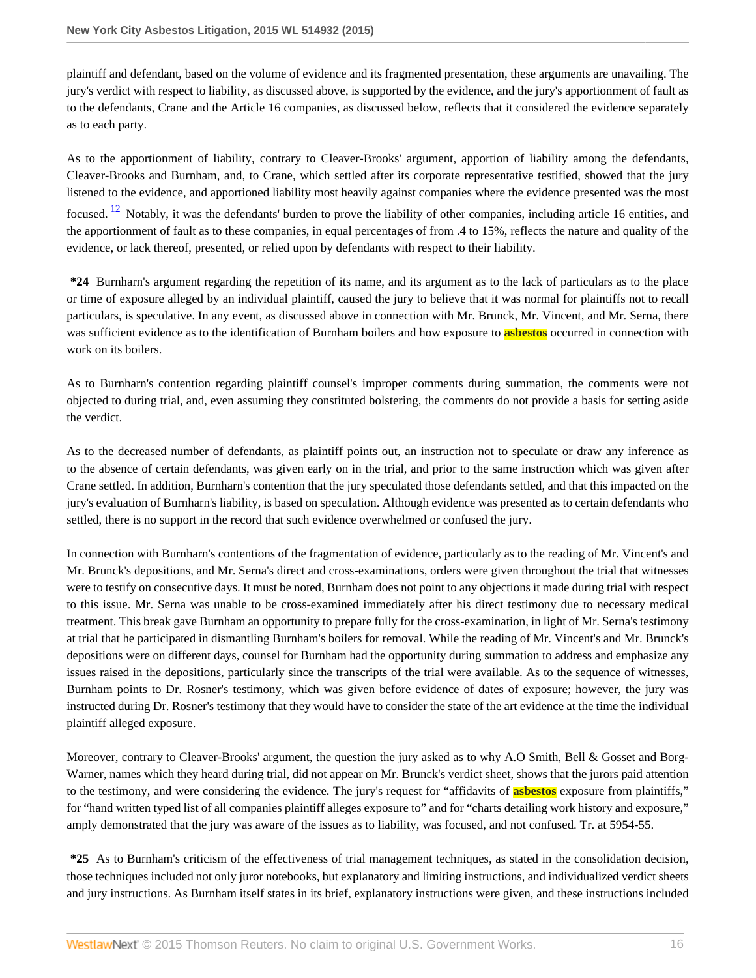plaintiff and defendant, based on the volume of evidence and its fragmented presentation, these arguments are unavailing. The jury's verdict with respect to liability, as discussed above, is supported by the evidence, and the jury's apportionment of fault as to the defendants, Crane and the Article 16 companies, as discussed below, reflects that it considered the evidence separately as to each party.

<span id="page-15-0"></span>As to the apportionment of liability, contrary to Cleaver-Brooks' argument, apportion of liability among the defendants, Cleaver-Brooks and Burnham, and, to Crane, which settled after its corporate representative testified, showed that the jury listened to the evidence, and apportioned liability most heavily against companies where the evidence presented was the most focused. <sup>[12](#page-27-8)</sup> Notably, it was the defendants' burden to prove the liability of other companies, including article 16 entities, and the apportionment of fault as to these companies, in equal percentages of from .4 to 15%, reflects the nature and quality of the evidence, or lack thereof, presented, or relied upon by defendants with respect to their liability.

**\*24** Burnharn's argument regarding the repetition of its name, and its argument as to the lack of particulars as to the place or time of exposure alleged by an individual plaintiff, caused the jury to believe that it was normal for plaintiffs not to recall particulars, is speculative. In any event, as discussed above in connection with Mr. Brunck, Mr. Vincent, and Mr. Serna, there was sufficient evidence as to the identification of Burnham boilers and how exposure to **asbestos** occurred in connection with work on its boilers.

As to Burnharn's contention regarding plaintiff counsel's improper comments during summation, the comments were not objected to during trial, and, even assuming they constituted bolstering, the comments do not provide a basis for setting aside the verdict.

As to the decreased number of defendants, as plaintiff points out, an instruction not to speculate or draw any inference as to the absence of certain defendants, was given early on in the trial, and prior to the same instruction which was given after Crane settled. In addition, Burnharn's contention that the jury speculated those defendants settled, and that this impacted on the jury's evaluation of Burnharn's liability, is based on speculation. Although evidence was presented as to certain defendants who settled, there is no support in the record that such evidence overwhelmed or confused the jury.

In connection with Burnharn's contentions of the fragmentation of evidence, particularly as to the reading of Mr. Vincent's and Mr. Brunck's depositions, and Mr. Serna's direct and cross-examinations, orders were given throughout the trial that witnesses were to testify on consecutive days. It must be noted, Burnham does not point to any objections it made during trial with respect to this issue. Mr. Serna was unable to be cross-examined immediately after his direct testimony due to necessary medical treatment. This break gave Burnham an opportunity to prepare fully for the cross-examination, in light of Mr. Serna's testimony at trial that he participated in dismantling Burnham's boilers for removal. While the reading of Mr. Vincent's and Mr. Brunck's depositions were on different days, counsel for Burnham had the opportunity during summation to address and emphasize any issues raised in the depositions, particularly since the transcripts of the trial were available. As to the sequence of witnesses, Burnham points to Dr. Rosner's testimony, which was given before evidence of dates of exposure; however, the jury was instructed during Dr. Rosner's testimony that they would have to consider the state of the art evidence at the time the individual plaintiff alleged exposure.

Moreover, contrary to Cleaver-Brooks' argument, the question the jury asked as to why A.O Smith, Bell & Gosset and Borg-Warner, names which they heard during trial, did not appear on Mr. Brunck's verdict sheet, shows that the jurors paid attention to the testimony, and were considering the evidence. The jury's request for "affidavits of **asbestos** exposure from plaintiffs," for "hand written typed list of all companies plaintiff alleges exposure to" and for "charts detailing work history and exposure," amply demonstrated that the jury was aware of the issues as to liability, was focused, and not confused. Tr. at 5954-55.

**\*25** As to Burnham's criticism of the effectiveness of trial management techniques, as stated in the consolidation decision, those techniques included not only juror notebooks, but explanatory and limiting instructions, and individualized verdict sheets and jury instructions. As Burnham itself states in its brief, explanatory instructions were given, and these instructions included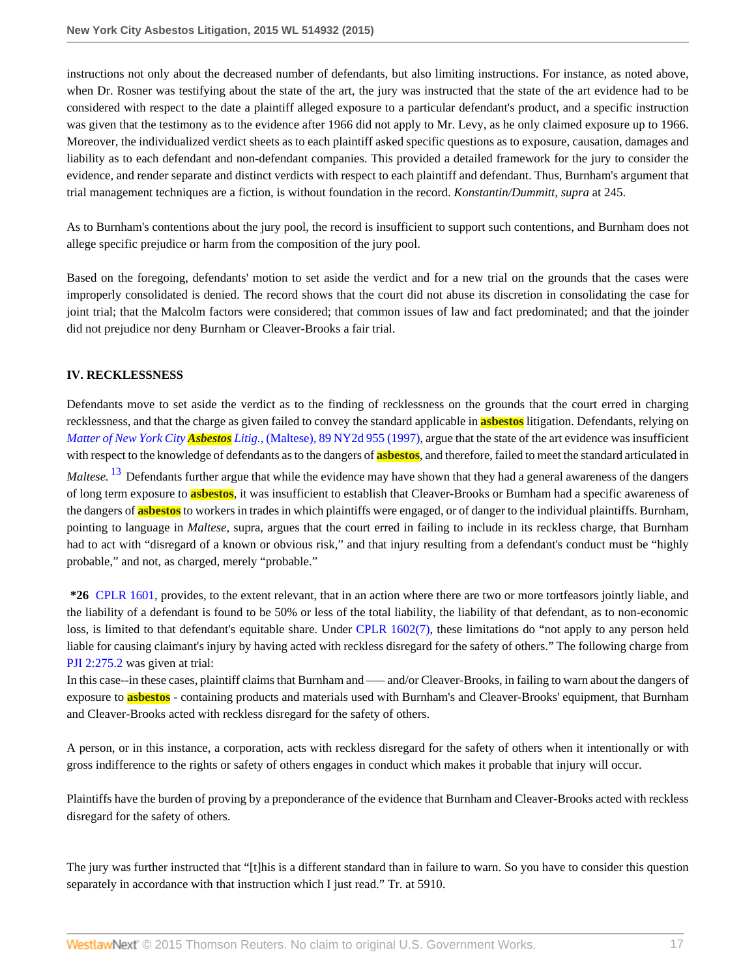instructions not only about the decreased number of defendants, but also limiting instructions. For instance, as noted above, when Dr. Rosner was testifying about the state of the art, the jury was instructed that the state of the art evidence had to be considered with respect to the date a plaintiff alleged exposure to a particular defendant's product, and a specific instruction was given that the testimony as to the evidence after 1966 did not apply to Mr. Levy, as he only claimed exposure up to 1966. Moreover, the individualized verdict sheets as to each plaintiff asked specific questions as to exposure, causation, damages and liability as to each defendant and non-defendant companies. This provided a detailed framework for the jury to consider the evidence, and render separate and distinct verdicts with respect to each plaintiff and defendant. Thus, Burnham's argument that trial management techniques are a fiction, is without foundation in the record. *Konstantin/Dummitt, supra* at 245.

As to Burnham's contentions about the jury pool, the record is insufficient to support such contentions, and Burnham does not allege specific prejudice or harm from the composition of the jury pool.

Based on the foregoing, defendants' motion to set aside the verdict and for a new trial on the grounds that the cases were improperly consolidated is denied. The record shows that the court did not abuse its discretion in consolidating the case for joint trial; that the Malcolm factors were considered; that common issues of law and fact predominated; and that the joinder did not prejudice nor deny Burnham or Cleaver-Brooks a fair trial.

### **IV. RECKLESSNESS**

<span id="page-16-0"></span>Defendants move to set aside the verdict as to the finding of recklessness on the grounds that the court erred in charging recklessness, and that the charge as given failed to convey the standard applicable in **asbestos** litigation. Defendants, relying on *Matter of New York City Asbestos Litig.,* [\(Maltese\), 89 NY2d 955 \(1997\)](http://www.westlaw.com/Link/Document/FullText?findType=Y&serNum=1997051185&pubNum=0000605&originatingDoc=I6ed2fbecb0fe11e4b86bd602cb8781fa&refType=RP&originationContext=document&vr=3.0&rs=cblt1.0&transitionType=DocumentItem&contextData=(sc.Search)), argue that the state of the art evidence was insufficient with respect to the knowledge of defendants as to the dangers of **asbestos**, and therefore, failed to meet the standard articulated in *Maltese*.<sup>[13](#page-27-9)</sup> Defendants further argue that while the evidence may have shown that they had a general awareness of the dangers of long term exposure to **asbestos**, it was insufficient to establish that Cleaver-Brooks or Bumham had a specific awareness of the dangers of **asbestos** to workers in trades in which plaintiffs were engaged, or of danger to the individual plaintiffs. Burnham, pointing to language in *Maltese*, supra, argues that the court erred in failing to include in its reckless charge, that Burnham

probable," and not, as charged, merely "probable." **\*26** [CPLR 1601](http://www.westlaw.com/Link/Document/FullText?findType=L&pubNum=1000059&cite=NYCPS1601&originatingDoc=I6ed2fbecb0fe11e4b86bd602cb8781fa&refType=LQ&originationContext=document&vr=3.0&rs=cblt1.0&transitionType=DocumentItem&contextData=(sc.Search)), provides, to the extent relevant, that in an action where there are two or more tortfeasors jointly liable, and the liability of a defendant is found to be 50% or less of the total liability, the liability of that defendant, as to non-economic loss, is limited to that defendant's equitable share. Under [CPLR 1602\(7\)](http://www.westlaw.com/Link/Document/FullText?findType=L&pubNum=1000059&cite=NYCPS1602&originatingDoc=I6ed2fbecb0fe11e4b86bd602cb8781fa&refType=LQ&originationContext=document&vr=3.0&rs=cblt1.0&transitionType=DocumentItem&contextData=(sc.Search)), these limitations do "not apply to any person held liable for causing claimant's injury by having acted with reckless disregard for the safety of others." The following charge from

had to act with "disregard of a known or obvious risk," and that injury resulting from a defendant's conduct must be "highly

# [PJI 2:275.2](http://www.westlaw.com/Link/Document/FullText?findType=Y&pubNum=0123649&cite=NYPJI2%3a275.2&originatingDoc=I6ed2fbecb0fe11e4b86bd602cb8781fa&refType=TS&originationContext=document&vr=3.0&rs=cblt1.0&transitionType=DocumentItem&contextData=(sc.Search)) was given at trial:

In this case--in these cases, plaintiff claims that Burnham and —— and/or Cleaver-Brooks, in failing to warn about the dangers of exposure to **asbestos** - containing products and materials used with Burnham's and Cleaver-Brooks' equipment, that Burnham and Cleaver-Brooks acted with reckless disregard for the safety of others.

A person, or in this instance, a corporation, acts with reckless disregard for the safety of others when it intentionally or with gross indifference to the rights or safety of others engages in conduct which makes it probable that injury will occur.

Plaintiffs have the burden of proving by a preponderance of the evidence that Burnham and Cleaver-Brooks acted with reckless disregard for the safety of others.

The jury was further instructed that "[t]his is a different standard than in failure to warn. So you have to consider this question separately in accordance with that instruction which I just read." Tr. at 5910.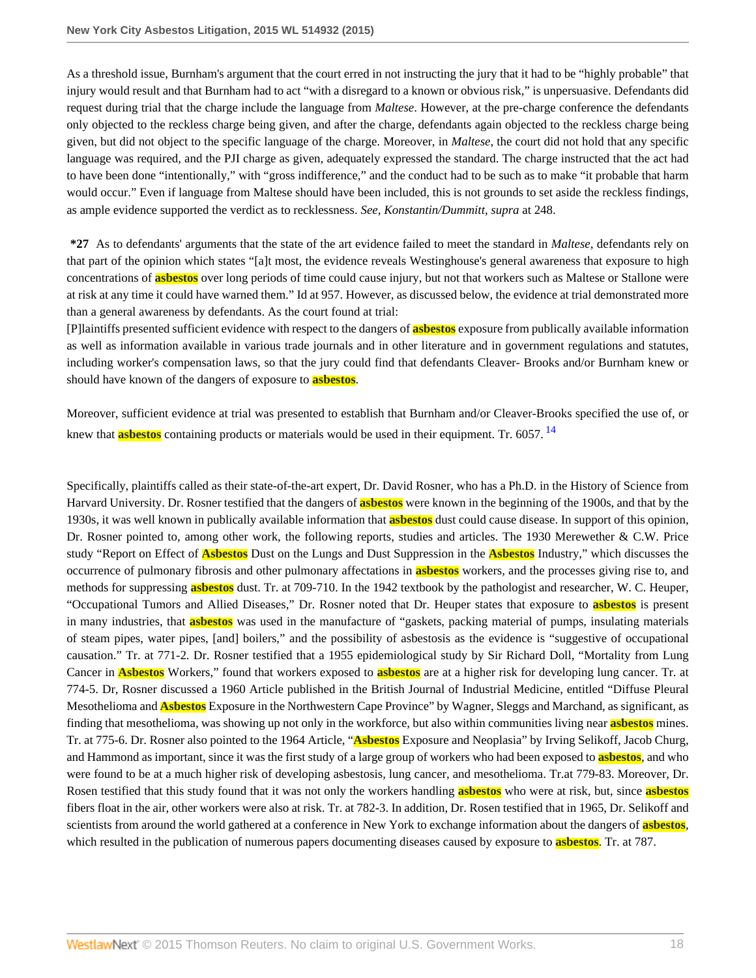As a threshold issue, Burnham's argument that the court erred in not instructing the jury that it had to be "highly probable" that injury would result and that Burnham had to act "with a disregard to a known or obvious risk," is unpersuasive. Defendants did request during trial that the charge include the language from *Maltese*. However, at the pre-charge conference the defendants only objected to the reckless charge being given, and after the charge, defendants again objected to the reckless charge being given, but did not object to the specific language of the charge. Moreover, in *Maltese*, the court did not hold that any specific language was required, and the PJI charge as given, adequately expressed the standard. The charge instructed that the act had to have been done "intentionally," with "gross indifference," and the conduct had to be such as to make "it probable that harm would occur." Even if language from Maltese should have been included, this is not grounds to set aside the reckless findings, as ample evidence supported the verdict as to recklessness. *See*, *Konstantin/Dummitt*, *supra* at 248.

**\*27** As to defendants' arguments that the state of the art evidence failed to meet the standard in *Maltese*, defendants rely on that part of the opinion which states "[a]t most, the evidence reveals Westinghouse's general awareness that exposure to high concentrations of **asbestos** over long periods of time could cause injury, but not that workers such as Maltese or Stallone were at risk at any time it could have warned them." Id at 957. However, as discussed below, the evidence at trial demonstrated more than a general awareness by defendants. As the court found at trial:

[P]laintiffs presented sufficient evidence with respect to the dangers of **asbestos** exposure from publically available information as well as information available in various trade journals and in other literature and in government regulations and statutes, including worker's compensation laws, so that the jury could find that defendants Cleaver- Brooks and/or Burnham knew or should have known of the dangers of exposure to **asbestos**.

<span id="page-17-0"></span>Moreover, sufficient evidence at trial was presented to establish that Burnham and/or Cleaver-Brooks specified the use of, or knew that **asbestos** containing products or materials would be used in their equipment. Tr. 6057. [14](#page-27-10)

Specifically, plaintiffs called as their state-of-the-art expert, Dr. David Rosner, who has a Ph.D. in the History of Science from Harvard University. Dr. Rosner testified that the dangers of **asbestos** were known in the beginning of the 1900s, and that by the 1930s, it was well known in publically available information that **asbestos** dust could cause disease. In support of this opinion, Dr. Rosner pointed to, among other work, the following reports, studies and articles. The 1930 Merewether & C.W. Price study "Report on Effect of **Asbestos** Dust on the Lungs and Dust Suppression in the **Asbestos** Industry," which discusses the occurrence of pulmonary fibrosis and other pulmonary affectations in **asbestos** workers, and the processes giving rise to, and methods for suppressing **asbestos** dust. Tr. at 709-710. In the 1942 textbook by the pathologist and researcher, W. C. Heuper, "Occupational Tumors and Allied Diseases," Dr. Rosner noted that Dr. Heuper states that exposure to **asbestos** is present in many industries, that **asbestos** was used in the manufacture of "gaskets, packing material of pumps, insulating materials of steam pipes, water pipes, [and] boilers," and the possibility of asbestosis as the evidence is "suggestive of occupational causation." Tr. at 771-2. Dr. Rosner testified that a 1955 epidemiological study by Sir Richard Doll, "Mortality from Lung Cancer in **Asbestos** Workers," found that workers exposed to **asbestos** are at a higher risk for developing lung cancer. Tr. at 774-5. Dr, Rosner discussed a 1960 Article published in the British Journal of Industrial Medicine, entitled "Diffuse Pleural Mesothelioma and **Asbestos** Exposure in the Northwestern Cape Province" by Wagner, Sleggs and Marchand, as significant, as finding that mesothelioma, was showing up not only in the workforce, but also within communities living near **asbestos** mines. Tr. at 775-6. Dr. Rosner also pointed to the 1964 Article, "**Asbestos** Exposure and Neoplasia" by Irving Selikoff, Jacob Churg, and Hammond as important, since it was the first study of a large group of workers who had been exposed to **asbestos**, and who were found to be at a much higher risk of developing asbestosis, lung cancer, and mesothelioma. Tr.at 779-83. Moreover, Dr. Rosen testified that this study found that it was not only the workers handling **asbestos** who were at risk, but, since **asbestos** fibers float in the air, other workers were also at risk. Tr. at 782-3. In addition, Dr. Rosen testified that in 1965, Dr. Selikoff and scientists from around the world gathered at a conference in New York to exchange information about the dangers of **asbestos**, which resulted in the publication of numerous papers documenting diseases caused by exposure to **asbestos**. Tr. at 787.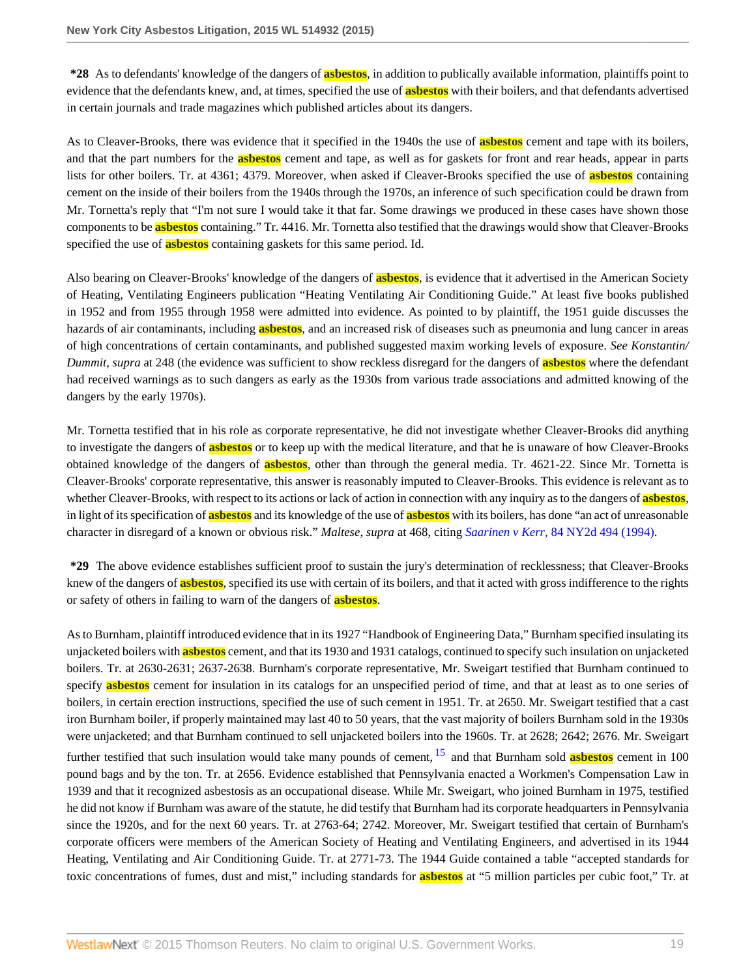**\*28** As to defendants' knowledge of the dangers of **asbestos**, in addition to publically available information, plaintiffs point to evidence that the defendants knew, and, at times, specified the use of **asbestos** with their boilers, and that defendants advertised in certain journals and trade magazines which published articles about its dangers.

As to Cleaver-Brooks, there was evidence that it specified in the 1940s the use of **asbestos** cement and tape with its boilers, and that the part numbers for the **asbestos** cement and tape, as well as for gaskets for front and rear heads, appear in parts lists for other boilers. Tr. at 4361; 4379. Moreover, when asked if Cleaver-Brooks specified the use of **asbestos** containing cement on the inside of their boilers from the 1940s through the 1970s, an inference of such specification could be drawn from Mr. Tornetta's reply that "I'm not sure I would take it that far. Some drawings we produced in these cases have shown those components to be **asbestos** containing." Tr. 4416. Mr. Tornetta also testified that the drawings would show that Cleaver-Brooks specified the use of **asbestos** containing gaskets for this same period. Id.

Also bearing on Cleaver-Brooks' knowledge of the dangers of **asbestos**, is evidence that it advertised in the American Society of Heating, Ventilating Engineers publication "Heating Ventilating Air Conditioning Guide." At least five books published in 1952 and from 1955 through 1958 were admitted into evidence. As pointed to by plaintiff, the 1951 guide discusses the hazards of air contaminants, including **asbestos**, and an increased risk of diseases such as pneumonia and lung cancer in areas of high concentrations of certain contaminants, and published suggested maxim working levels of exposure. *See Konstantin/ Dummit*, *supra* at 248 (the evidence was sufficient to show reckless disregard for the dangers of **asbestos** where the defendant had received warnings as to such dangers as early as the 1930s from various trade associations and admitted knowing of the dangers by the early 1970s).

Mr. Tornetta testified that in his role as corporate representative, he did not investigate whether Cleaver-Brooks did anything to investigate the dangers of **asbestos** or to keep up with the medical literature, and that he is unaware of how Cleaver-Brooks obtained knowledge of the dangers of **asbestos**, other than through the general media. Tr. 4621-22. Since Mr. Tornetta is Cleaver-Brooks' corporate representative, this answer is reasonably imputed to Cleaver-Brooks. This evidence is relevant as to whether Cleaver-Brooks, with respect to its actions or lack of action in connection with any inquiry as to the dangers of **asbestos**, in light of its specification of **asbestos** and its knowledge of the use of **asbestos** with its boilers, has done "an act of unreasonable character in disregard of a known or obvious risk." *Maltese*, *supra* at 468, citing *Saarinen v Kerr*[, 84 NY2d 494 \(1994\)](http://www.westlaw.com/Link/Document/FullText?findType=Y&serNum=1994238600&pubNum=0000605&originatingDoc=I6ed2fbecb0fe11e4b86bd602cb8781fa&refType=RP&originationContext=document&vr=3.0&rs=cblt1.0&transitionType=DocumentItem&contextData=(sc.Search)).

**\*29** The above evidence establishes sufficient proof to sustain the jury's determination of recklessness; that Cleaver-Brooks knew of the dangers of **asbestos**, specified its use with certain of its boilers, and that it acted with gross indifference to the rights or safety of others in failing to warn of the dangers of **asbestos**.

<span id="page-18-0"></span>As to Burnham, plaintiff introduced evidence that in its 1927 "Handbook of Engineering Data," Burnham specified insulating its unjacketed boilers with **asbestos** cement, and that its 1930 and 1931 catalogs, continued to specify such insulation on unjacketed boilers. Tr. at 2630-2631; 2637-2638. Burnham's corporate representative, Mr. Sweigart testified that Burnham continued to specify **asbestos** cement for insulation in its catalogs for an unspecified period of time, and that at least as to one series of boilers, in certain erection instructions, specified the use of such cement in 1951. Tr. at 2650. Mr. Sweigart testified that a cast iron Burnham boiler, if properly maintained may last 40 to 50 years, that the vast majority of boilers Burnham sold in the 1930s were unjacketed; and that Burnham continued to sell unjacketed boilers into the 1960s. Tr. at 2628; 2642; 2676. Mr. Sweigart further testified that such insulation would take many pounds of cement, [15](#page-27-11) and that Burnham sold **asbestos** cement in 100 pound bags and by the ton. Tr. at 2656. Evidence established that Pennsylvania enacted a Workmen's Compensation Law in 1939 and that it recognized asbestosis as an occupational disease. While Mr. Sweigart, who joined Burnham in 1975, testified he did not know if Burnham was aware of the statute, he did testify that Burnham had its corporate headquarters in Pennsylvania since the 1920s, and for the next 60 years. Tr. at 2763-64; 2742. Moreover, Mr. Sweigart testified that certain of Burnham's corporate officers were members of the American Society of Heating and Ventilating Engineers, and advertised in its 1944 Heating, Ventilating and Air Conditioning Guide. Tr. at 2771-73. The 1944 Guide contained a table "accepted standards for toxic concentrations of fumes, dust and mist," including standards for **asbestos** at "5 million particles per cubic foot," Tr. at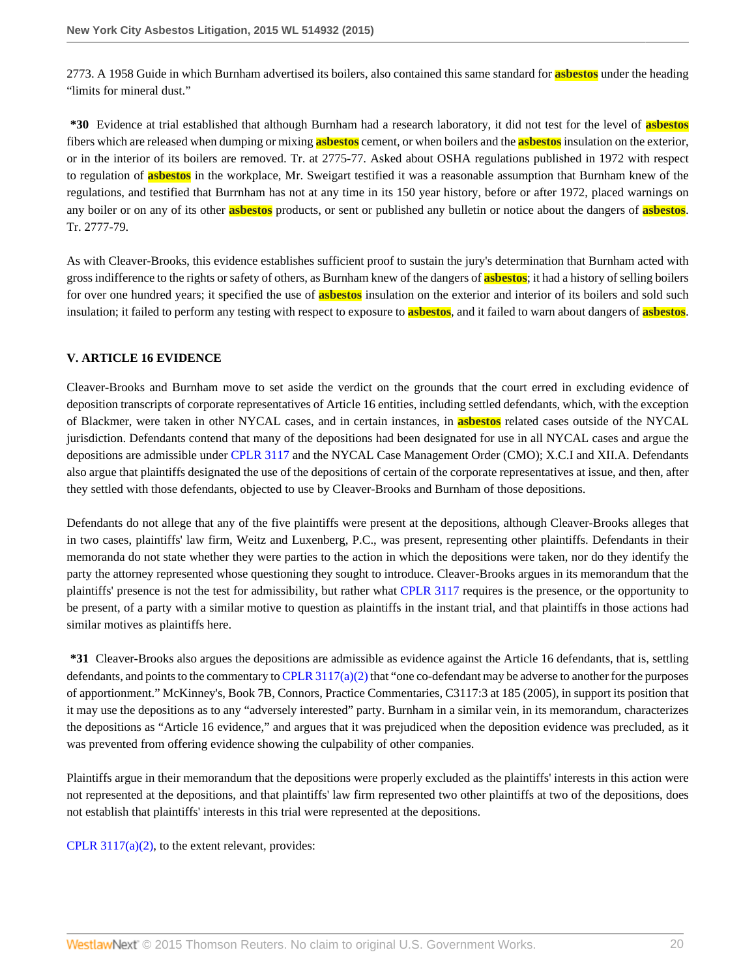2773. A 1958 Guide in which Burnham advertised its boilers, also contained this same standard for **asbestos** under the heading "limits for mineral dust."

**\*30** Evidence at trial established that although Burnham had a research laboratory, it did not test for the level of **asbestos** fibers which are released when dumping or mixing **asbestos** cement, or when boilers and the **asbestos** insulation on the exterior, or in the interior of its boilers are removed. Tr. at 2775-77. Asked about OSHA regulations published in 1972 with respect to regulation of **asbestos** in the workplace, Mr. Sweigart testified it was a reasonable assumption that Burnham knew of the regulations, and testified that Burrnham has not at any time in its 150 year history, before or after 1972, placed warnings on any boiler or on any of its other **asbestos** products, or sent or published any bulletin or notice about the dangers of **asbestos**. Tr. 2777-79.

As with Cleaver-Brooks, this evidence establishes sufficient proof to sustain the jury's determination that Burnham acted with gross indifference to the rights or safety of others, as Burnham knew of the dangers of **asbestos**; it had a history of selling boilers for over one hundred years; it specified the use of **asbestos** insulation on the exterior and interior of its boilers and sold such insulation; it failed to perform any testing with respect to exposure to **asbestos**, and it failed to warn about dangers of **asbestos**.

# **V. ARTICLE 16 EVIDENCE**

Cleaver-Brooks and Burnham move to set aside the verdict on the grounds that the court erred in excluding evidence of deposition transcripts of corporate representatives of Article 16 entities, including settled defendants, which, with the exception of Blackmer, were taken in other NYCAL cases, and in certain instances, in **asbestos** related cases outside of the NYCAL jurisdiction. Defendants contend that many of the depositions had been designated for use in all NYCAL cases and argue the depositions are admissible under [CPLR 3117](http://www.westlaw.com/Link/Document/FullText?findType=L&pubNum=1000059&cite=NYCPR3117&originatingDoc=I6ed2fbecb0fe11e4b86bd602cb8781fa&refType=LQ&originationContext=document&vr=3.0&rs=cblt1.0&transitionType=DocumentItem&contextData=(sc.Search)) and the NYCAL Case Management Order (CMO); X.C.I and XII.A. Defendants also argue that plaintiffs designated the use of the depositions of certain of the corporate representatives at issue, and then, after they settled with those defendants, objected to use by Cleaver-Brooks and Burnham of those depositions.

Defendants do not allege that any of the five plaintiffs were present at the depositions, although Cleaver-Brooks alleges that in two cases, plaintiffs' law firm, Weitz and Luxenberg, P.C., was present, representing other plaintiffs. Defendants in their memoranda do not state whether they were parties to the action in which the depositions were taken, nor do they identify the party the attorney represented whose questioning they sought to introduce. Cleaver-Brooks argues in its memorandum that the plaintiffs' presence is not the test for admissibility, but rather what [CPLR 3117](http://www.westlaw.com/Link/Document/FullText?findType=L&pubNum=1000059&cite=NYCPR3117&originatingDoc=I6ed2fbecb0fe11e4b86bd602cb8781fa&refType=LQ&originationContext=document&vr=3.0&rs=cblt1.0&transitionType=DocumentItem&contextData=(sc.Search)) requires is the presence, or the opportunity to be present, of a party with a similar motive to question as plaintiffs in the instant trial, and that plaintiffs in those actions had similar motives as plaintiffs here.

**\*31** Cleaver-Brooks also argues the depositions are admissible as evidence against the Article 16 defendants, that is, settling defendants, and points to the commentary to CPLR  $3117(a)(2)$  that "one co-defendant may be adverse to another for the purposes of apportionment." McKinney's, Book 7B, Connors, Practice Commentaries, C3117:3 at 185 (2005), in support its position that it may use the depositions as to any "adversely interested" party. Burnham in a similar vein, in its memorandum, characterizes the depositions as "Article 16 evidence," and argues that it was prejudiced when the deposition evidence was precluded, as it was prevented from offering evidence showing the culpability of other companies.

Plaintiffs argue in their memorandum that the depositions were properly excluded as the plaintiffs' interests in this action were not represented at the depositions, and that plaintiffs' law firm represented two other plaintiffs at two of the depositions, does not establish that plaintiffs' interests in this trial were represented at the depositions.

CPLR  $3117(a)(2)$ , to the extent relevant, provides: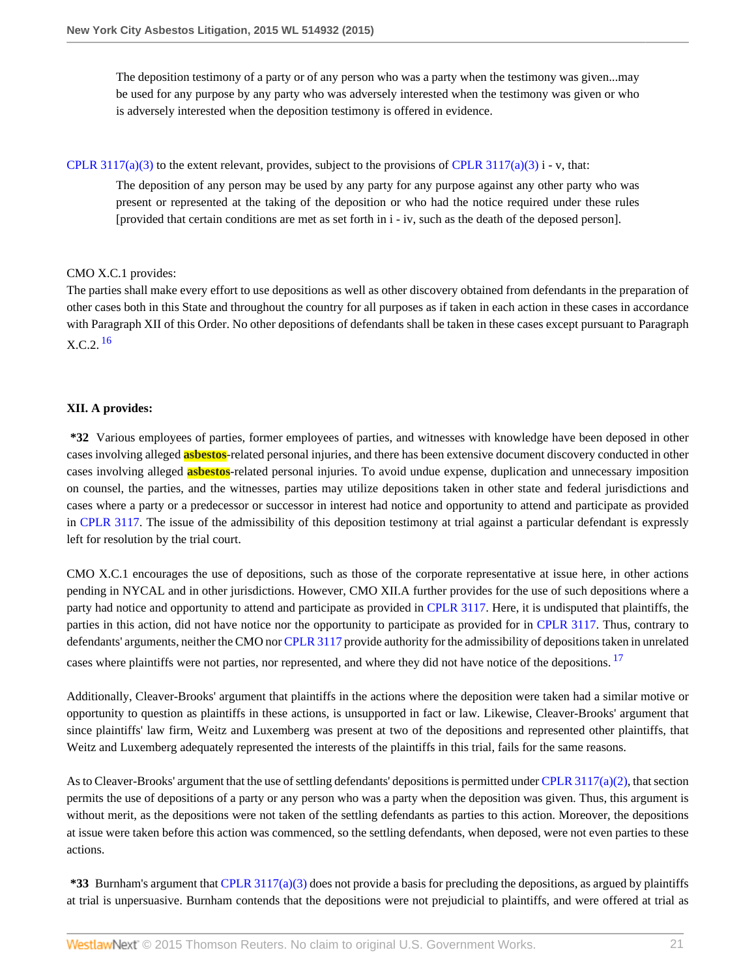The deposition testimony of a party or of any person who was a party when the testimony was given...may be used for any purpose by any party who was adversely interested when the testimony was given or who is adversely interested when the deposition testimony is offered in evidence.

[CPLR 3117\(a\)\(3\)](http://www.westlaw.com/Link/Document/FullText?findType=L&pubNum=1000059&cite=NYCPR3117&originatingDoc=I6ed2fbecb0fe11e4b86bd602cb8781fa&refType=LQ&originationContext=document&vr=3.0&rs=cblt1.0&transitionType=DocumentItem&contextData=(sc.Search)) to the extent relevant, provides, subject to the provisions of [CPLR 3117\(a\)\(3\)](http://www.westlaw.com/Link/Document/FullText?findType=L&pubNum=1000059&cite=NYCPR3117&originatingDoc=I6ed2fbecb0fe11e4b86bd602cb8781fa&refType=LQ&originationContext=document&vr=3.0&rs=cblt1.0&transitionType=DocumentItem&contextData=(sc.Search)) i - v, that:

The deposition of any person may be used by any party for any purpose against any other party who was present or represented at the taking of the deposition or who had the notice required under these rules [provided that certain conditions are met as set forth in i - iv, such as the death of the deposed person].

### CMO X.C.1 provides:

<span id="page-20-0"></span>The parties shall make every effort to use depositions as well as other discovery obtained from defendants in the preparation of other cases both in this State and throughout the country for all purposes as if taken in each action in these cases in accordance with Paragraph XII of this Order. No other depositions of defendants shall be taken in these cases except pursuant to Paragraph  $X.C.2<sup>16</sup>$  $X.C.2<sup>16</sup>$  $X.C.2<sup>16</sup>$ 

# **XII. A provides:**

**\*32** Various employees of parties, former employees of parties, and witnesses with knowledge have been deposed in other cases involving alleged **asbestos**-related personal injuries, and there has been extensive document discovery conducted in other cases involving alleged **asbestos**-related personal injuries. To avoid undue expense, duplication and unnecessary imposition on counsel, the parties, and the witnesses, parties may utilize depositions taken in other state and federal jurisdictions and cases where a party or a predecessor or successor in interest had notice and opportunity to attend and participate as provided in [CPLR 3117.](http://www.westlaw.com/Link/Document/FullText?findType=L&pubNum=1000059&cite=NYCPR3117&originatingDoc=I6ed2fbecb0fe11e4b86bd602cb8781fa&refType=LQ&originationContext=document&vr=3.0&rs=cblt1.0&transitionType=DocumentItem&contextData=(sc.Search)) The issue of the admissibility of this deposition testimony at trial against a particular defendant is expressly left for resolution by the trial court.

CMO X.C.1 encourages the use of depositions, such as those of the corporate representative at issue here, in other actions pending in NYCAL and in other jurisdictions. However, CMO XII.A further provides for the use of such depositions where a party had notice and opportunity to attend and participate as provided in [CPLR 3117.](http://www.westlaw.com/Link/Document/FullText?findType=L&pubNum=1000059&cite=NYCPR3117&originatingDoc=I6ed2fbecb0fe11e4b86bd602cb8781fa&refType=LQ&originationContext=document&vr=3.0&rs=cblt1.0&transitionType=DocumentItem&contextData=(sc.Search)) Here, it is undisputed that plaintiffs, the parties in this action, did not have notice nor the opportunity to participate as provided for in [CPLR 3117.](http://www.westlaw.com/Link/Document/FullText?findType=L&pubNum=1000059&cite=NYCPR3117&originatingDoc=I6ed2fbecb0fe11e4b86bd602cb8781fa&refType=LQ&originationContext=document&vr=3.0&rs=cblt1.0&transitionType=DocumentItem&contextData=(sc.Search)) Thus, contrary to defendants' arguments, neither the CMO nor [CPLR 3117](http://www.westlaw.com/Link/Document/FullText?findType=L&pubNum=1000059&cite=NYCPR3117&originatingDoc=I6ed2fbecb0fe11e4b86bd602cb8781fa&refType=LQ&originationContext=document&vr=3.0&rs=cblt1.0&transitionType=DocumentItem&contextData=(sc.Search)) provide authority for the admissibility of depositions taken in unrelated cases where plaintiffs were not parties, nor represented, and where they did not have notice of the depositions. <sup>[17](#page-27-13)</sup>

<span id="page-20-1"></span>Additionally, Cleaver-Brooks' argument that plaintiffs in the actions where the deposition were taken had a similar motive or opportunity to question as plaintiffs in these actions, is unsupported in fact or law. Likewise, Cleaver-Brooks' argument that since plaintiffs' law firm, Weitz and Luxemberg was present at two of the depositions and represented other plaintiffs, that Weitz and Luxemberg adequately represented the interests of the plaintiffs in this trial, fails for the same reasons.

As to Cleaver-Brooks' argument that the use of settling defendants' depositions is permitted under [CPLR 3117\(a\)\(2\)](http://www.westlaw.com/Link/Document/FullText?findType=L&pubNum=1000059&cite=NYCPR3117&originatingDoc=I6ed2fbecb0fe11e4b86bd602cb8781fa&refType=LQ&originationContext=document&vr=3.0&rs=cblt1.0&transitionType=DocumentItem&contextData=(sc.Search)), that section permits the use of depositions of a party or any person who was a party when the deposition was given. Thus, this argument is without merit, as the depositions were not taken of the settling defendants as parties to this action. Moreover, the depositions at issue were taken before this action was commenced, so the settling defendants, when deposed, were not even parties to these actions.

**\*33** Burnham's argument that [CPLR 3117\(a\)\(3\)](http://www.westlaw.com/Link/Document/FullText?findType=L&pubNum=1000059&cite=NYCPR3117&originatingDoc=I6ed2fbecb0fe11e4b86bd602cb8781fa&refType=LQ&originationContext=document&vr=3.0&rs=cblt1.0&transitionType=DocumentItem&contextData=(sc.Search)) does not provide a basis for precluding the depositions, as argued by plaintiffs at trial is unpersuasive. Burnham contends that the depositions were not prejudicial to plaintiffs, and were offered at trial as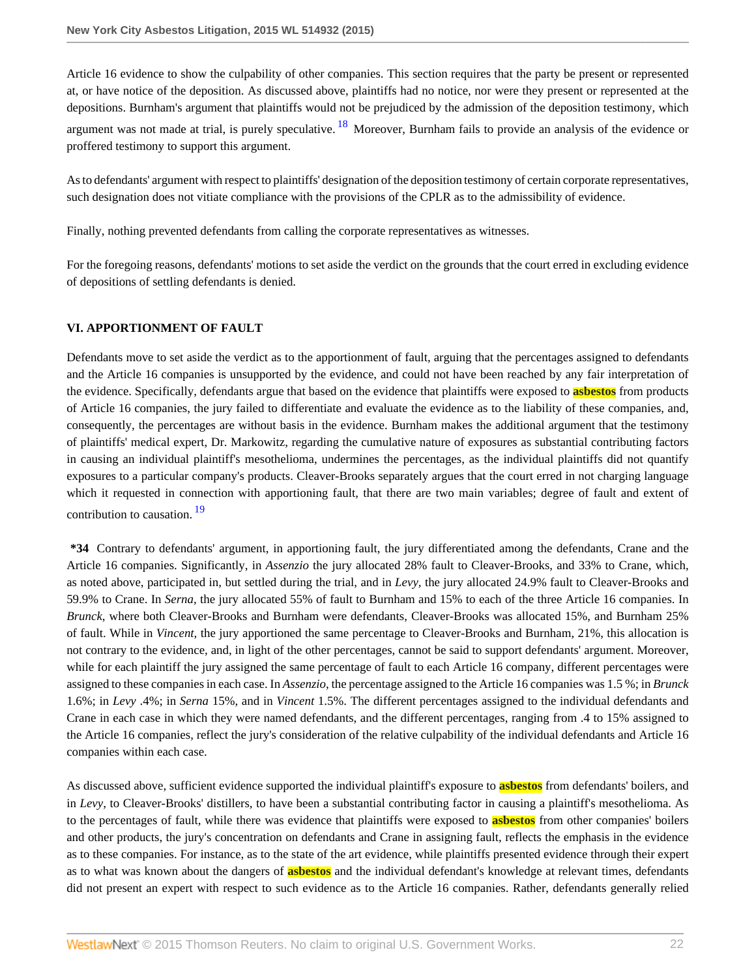<span id="page-21-0"></span>Article 16 evidence to show the culpability of other companies. This section requires that the party be present or represented at, or have notice of the deposition. As discussed above, plaintiffs had no notice, nor were they present or represented at the depositions. Burnham's argument that plaintiffs would not be prejudiced by the admission of the deposition testimony, which argument was not made at trial, is purely speculative.  $18$  Moreover, Burnham fails to provide an analysis of the evidence or proffered testimony to support this argument.

As to defendants' argument with respect to plaintiffs' designation of the deposition testimony of certain corporate representatives, such designation does not vitiate compliance with the provisions of the CPLR as to the admissibility of evidence.

Finally, nothing prevented defendants from calling the corporate representatives as witnesses.

For the foregoing reasons, defendants' motions to set aside the verdict on the grounds that the court erred in excluding evidence of depositions of settling defendants is denied.

### **VI. APPORTIONMENT OF FAULT**

Defendants move to set aside the verdict as to the apportionment of fault, arguing that the percentages assigned to defendants and the Article 16 companies is unsupported by the evidence, and could not have been reached by any fair interpretation of the evidence. Specifically, defendants argue that based on the evidence that plaintiffs were exposed to **asbestos** from products of Article 16 companies, the jury failed to differentiate and evaluate the evidence as to the liability of these companies, and, consequently, the percentages are without basis in the evidence. Burnham makes the additional argument that the testimony of plaintiffs' medical expert, Dr. Markowitz, regarding the cumulative nature of exposures as substantial contributing factors in causing an individual plaintiff's mesothelioma, undermines the percentages, as the individual plaintiffs did not quantify exposures to a particular company's products. Cleaver-Brooks separately argues that the court erred in not charging language which it requested in connection with apportioning fault, that there are two main variables; degree of fault and extent of contribution to causation. [19](#page-28-0)

<span id="page-21-1"></span>**\*34** Contrary to defendants' argument, in apportioning fault, the jury differentiated among the defendants, Crane and the Article 16 companies. Significantly, in *Assenzio* the jury allocated 28% fault to Cleaver-Brooks, and 33% to Crane, which, as noted above, participated in, but settled during the trial, and in *Levy,* the jury allocated 24.9% fault to Cleaver-Brooks and 59.9% to Crane. In *Serna*, the jury allocated 55% of fault to Burnham and 15% to each of the three Article 16 companies. In *Brunck*, where both Cleaver-Brooks and Burnham were defendants, Cleaver-Brooks was allocated 15%, and Burnham 25% of fault. While in *Vincent*, the jury apportioned the same percentage to Cleaver-Brooks and Burnham, 21%, this allocation is not contrary to the evidence, and, in light of the other percentages, cannot be said to support defendants' argument. Moreover, while for each plaintiff the jury assigned the same percentage of fault to each Article 16 company, different percentages were assigned to these companies in each case. In *Assenzio*, the percentage assigned to the Article 16 companies was 1.5 %; in *Brunck* 1.6%; in *Levy* .4%; in *Serna* 15%, and in *Vincent* 1.5%. The different percentages assigned to the individual defendants and Crane in each case in which they were named defendants, and the different percentages, ranging from .4 to 15% assigned to the Article 16 companies, reflect the jury's consideration of the relative culpability of the individual defendants and Article 16 companies within each case.

As discussed above, sufficient evidence supported the individual plaintiff's exposure to **asbestos** from defendants' boilers, and in *Levy*, to Cleaver-Brooks' distillers, to have been a substantial contributing factor in causing a plaintiff's mesothelioma. As to the percentages of fault, while there was evidence that plaintiffs were exposed to **asbestos** from other companies' boilers and other products, the jury's concentration on defendants and Crane in assigning fault, reflects the emphasis in the evidence as to these companies. For instance, as to the state of the art evidence, while plaintiffs presented evidence through their expert as to what was known about the dangers of **asbestos** and the individual defendant's knowledge at relevant times, defendants did not present an expert with respect to such evidence as to the Article 16 companies. Rather, defendants generally relied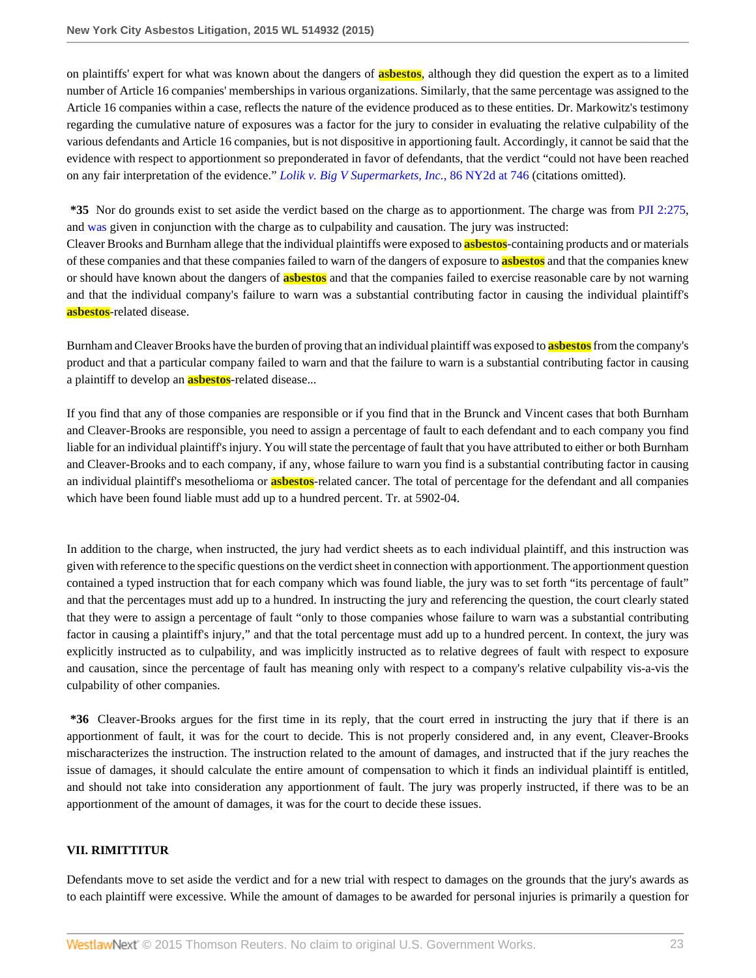on plaintiffs' expert for what was known about the dangers of **asbestos**, although they did question the expert as to a limited number of Article 16 companies' memberships in various organizations. Similarly, that the same percentage was assigned to the Article 16 companies within a case, reflects the nature of the evidence produced as to these entities. Dr. Markowitz's testimony regarding the cumulative nature of exposures was a factor for the jury to consider in evaluating the relative culpability of the various defendants and Article 16 companies, but is not dispositive in apportioning fault. Accordingly, it cannot be said that the evidence with respect to apportionment so preponderated in favor of defendants, that the verdict "could not have been reached on any fair interpretation of the evidence." *[Lolik v. Big V Supermarkets, Inc.](http://www.westlaw.com/Link/Document/FullText?findType=Y&serNum=1995141624&pubNum=0000605&originatingDoc=I6ed2fbecb0fe11e4b86bd602cb8781fa&refType=RP&fi=co_pp_sp_605_746&originationContext=document&vr=3.0&rs=cblt1.0&transitionType=DocumentItem&contextData=(sc.Search)#co_pp_sp_605_746)*, 86 NY2d at 746 (citations omitted).

**\*35** Nor do grounds exist to set aside the verdict based on the charge as to apportionment. The charge was from [PJI 2:275](http://www.westlaw.com/Link/Document/FullText?findType=Y&serNum=0287904181&pubNum=0123649&originatingDoc=I6ed2fbecb0fe11e4b86bd602cb8781fa&refType=TS&originationContext=document&vr=3.0&rs=cblt1.0&transitionType=DocumentItem&contextData=(sc.Search)), and [was](http://www.westlaw.com/Link/Document/FullText?findType=Y&pubNum=0123649&cite=NYPJIwas&originatingDoc=I6ed2fbecb0fe11e4b86bd602cb8781fa&refType=TS&originationContext=document&vr=3.0&rs=cblt1.0&transitionType=DocumentItem&contextData=(sc.Search)) given in conjunction with the charge as to culpability and causation. The jury was instructed:

Cleaver Brooks and Burnham allege that the individual plaintiffs were exposed to **asbestos**-containing products and or materials of these companies and that these companies failed to warn of the dangers of exposure to **asbestos** and that the companies knew or should have known about the dangers of **asbestos** and that the companies failed to exercise reasonable care by not warning and that the individual company's failure to warn was a substantial contributing factor in causing the individual plaintiff's **asbestos**-related disease.

Burnham and Cleaver Brooks have the burden of proving that an individual plaintiff was exposed to **asbestos** from the company's product and that a particular company failed to warn and that the failure to warn is a substantial contributing factor in causing a plaintiff to develop an **asbestos**-related disease...

If you find that any of those companies are responsible or if you find that in the Brunck and Vincent cases that both Burnham and Cleaver-Brooks are responsible, you need to assign a percentage of fault to each defendant and to each company you find liable for an individual plaintiff's injury. You will state the percentage of fault that you have attributed to either or both Burnham and Cleaver-Brooks and to each company, if any, whose failure to warn you find is a substantial contributing factor in causing an individual plaintiff's mesothelioma or **asbestos**-related cancer. The total of percentage for the defendant and all companies which have been found liable must add up to a hundred percent. Tr. at 5902-04.

In addition to the charge, when instructed, the jury had verdict sheets as to each individual plaintiff, and this instruction was given with reference to the specific questions on the verdict sheet in connection with apportionment. The apportionment question contained a typed instruction that for each company which was found liable, the jury was to set forth "its percentage of fault" and that the percentages must add up to a hundred. In instructing the jury and referencing the question, the court clearly stated that they were to assign a percentage of fault "only to those companies whose failure to warn was a substantial contributing factor in causing a plaintiff's injury," and that the total percentage must add up to a hundred percent. In context, the jury was explicitly instructed as to culpability, and was implicitly instructed as to relative degrees of fault with respect to exposure and causation, since the percentage of fault has meaning only with respect to a company's relative culpability vis-a-vis the culpability of other companies.

**\*36** Cleaver-Brooks argues for the first time in its reply, that the court erred in instructing the jury that if there is an apportionment of fault, it was for the court to decide. This is not properly considered and, in any event, Cleaver-Brooks mischaracterizes the instruction. The instruction related to the amount of damages, and instructed that if the jury reaches the issue of damages, it should calculate the entire amount of compensation to which it finds an individual plaintiff is entitled, and should not take into consideration any apportionment of fault. The jury was properly instructed, if there was to be an apportionment of the amount of damages, it was for the court to decide these issues.

### **VII. RIMITTITUR**

Defendants move to set aside the verdict and for a new trial with respect to damages on the grounds that the jury's awards as to each plaintiff were excessive. While the amount of damages to be awarded for personal injuries is primarily a question for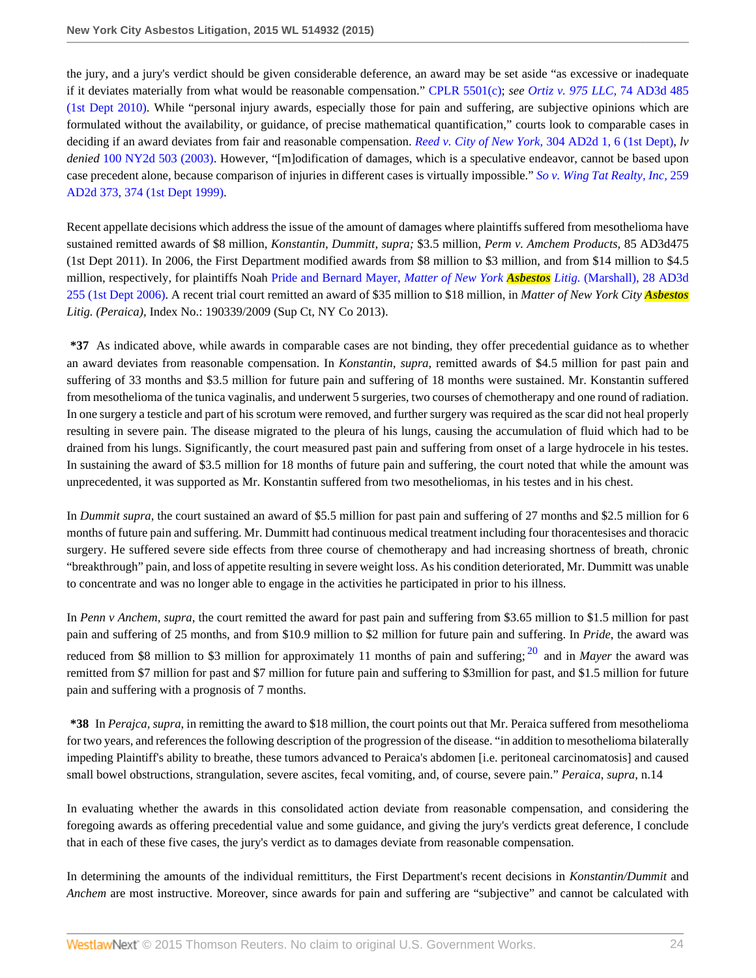the jury, and a jury's verdict should be given considerable deference, an award may be set aside "as excessive or inadequate if it deviates materially from what would be reasonable compensation." [CPLR 5501\(c\)](http://www.westlaw.com/Link/Document/FullText?findType=L&pubNum=1000059&cite=NYCPS5501&originatingDoc=I6ed2fbecb0fe11e4b86bd602cb8781fa&refType=LQ&originationContext=document&vr=3.0&rs=cblt1.0&transitionType=DocumentItem&contextData=(sc.Search)); *see [Ortiz v. 975 LLC,](http://www.westlaw.com/Link/Document/FullText?findType=Y&serNum=2022248494&pubNum=0007049&originatingDoc=I6ed2fbecb0fe11e4b86bd602cb8781fa&refType=RP&originationContext=document&vr=3.0&rs=cblt1.0&transitionType=DocumentItem&contextData=(sc.Search))* 74 AD3d 485 [\(1st Dept 2010\).](http://www.westlaw.com/Link/Document/FullText?findType=Y&serNum=2022248494&pubNum=0007049&originatingDoc=I6ed2fbecb0fe11e4b86bd602cb8781fa&refType=RP&originationContext=document&vr=3.0&rs=cblt1.0&transitionType=DocumentItem&contextData=(sc.Search)) While "personal injury awards, especially those for pain and suffering, are subjective opinions which are formulated without the availability, or guidance, of precise mathematical quantification," courts look to comparable cases in deciding if an award deviates from fair and reasonable compensation. *Reed v. City of New York,* [304 AD2d 1, 6 \(1st Dept\),](http://www.westlaw.com/Link/Document/FullText?findType=Y&serNum=2003160743&pubNum=0000155&originatingDoc=I6ed2fbecb0fe11e4b86bd602cb8781fa&refType=RP&fi=co_pp_sp_155_6&originationContext=document&vr=3.0&rs=cblt1.0&transitionType=DocumentItem&contextData=(sc.Search)#co_pp_sp_155_6) *lv denied* [100 NY2d 503 \(2003\)](http://www.westlaw.com/Link/Document/FullText?findType=Y&serNum=2003392426&pubNum=0000605&originatingDoc=I6ed2fbecb0fe11e4b86bd602cb8781fa&refType=RP&originationContext=document&vr=3.0&rs=cblt1.0&transitionType=DocumentItem&contextData=(sc.Search)). However, "[m]odification of damages, which is a speculative endeavor, cannot be based upon case precedent alone, because comparison of injuries in different cases is virtually impossible." *[So v. Wing Tat Realty, Inc,](http://www.westlaw.com/Link/Document/FullText?findType=Y&serNum=1999087101&pubNum=0000155&originatingDoc=I6ed2fbecb0fe11e4b86bd602cb8781fa&refType=RP&fi=co_pp_sp_155_374&originationContext=document&vr=3.0&rs=cblt1.0&transitionType=DocumentItem&contextData=(sc.Search)#co_pp_sp_155_374)* 259 [AD2d 373, 374 \(1st Dept 1999\)](http://www.westlaw.com/Link/Document/FullText?findType=Y&serNum=1999087101&pubNum=0000155&originatingDoc=I6ed2fbecb0fe11e4b86bd602cb8781fa&refType=RP&fi=co_pp_sp_155_374&originationContext=document&vr=3.0&rs=cblt1.0&transitionType=DocumentItem&contextData=(sc.Search)#co_pp_sp_155_374).

Recent appellate decisions which address the issue of the amount of damages where plaintiffs suffered from mesothelioma have sustained remitted awards of \$8 million, *Konstantin, Dummitt, supra;* \$3.5 million, *Perm v. Amchem Products,* 85 AD3d475 (1st Dept 2011). In 2006, the First Department modified awards from \$8 million to \$3 million, and from \$14 million to \$4.5 million, respectively, for plaintiffs Noah [Pride and Bernard Mayer,](http://www.westlaw.com/Link/Document/FullText?findType=Y&serNum=2008888317&pubNum=0007049&originatingDoc=I6ed2fbecb0fe11e4b86bd602cb8781fa&refType=RP&originationContext=document&vr=3.0&rs=cblt1.0&transitionType=DocumentItem&contextData=(sc.Search)) *Matter of New York Asbestos Litig.* (Marshall), 28 AD3d [255 \(1st Dept 2006\).](http://www.westlaw.com/Link/Document/FullText?findType=Y&serNum=2008888317&pubNum=0007049&originatingDoc=I6ed2fbecb0fe11e4b86bd602cb8781fa&refType=RP&originationContext=document&vr=3.0&rs=cblt1.0&transitionType=DocumentItem&contextData=(sc.Search)) A recent trial court remitted an award of \$35 million to \$18 million, in *Matter of New York City Asbestos Litig. (Peraica)*, Index No.: 190339/2009 (Sup Ct, NY Co 2013).

**\*37** As indicated above, while awards in comparable cases are not binding, they offer precedential guidance as to whether an award deviates from reasonable compensation. In *Konstantin, supra*, remitted awards of \$4.5 million for past pain and suffering of 33 months and \$3.5 million for future pain and suffering of 18 months were sustained. Mr. Konstantin suffered from mesothelioma of the tunica vaginalis, and underwent 5 surgeries, two courses of chemotherapy and one round of radiation. In one surgery a testicle and part of his scrotum were removed, and further surgery was required as the scar did not heal properly resulting in severe pain. The disease migrated to the pleura of his lungs, causing the accumulation of fluid which had to be drained from his lungs. Significantly, the court measured past pain and suffering from onset of a large hydrocele in his testes. In sustaining the award of \$3.5 million for 18 months of future pain and suffering, the court noted that while the amount was unprecedented, it was supported as Mr. Konstantin suffered from two mesotheliomas, in his testes and in his chest.

In *Dummit supra*, the court sustained an award of \$5.5 million for past pain and suffering of 27 months and \$2.5 million for 6 months of future pain and suffering. Mr. Dummitt had continuous medical treatment including four thoracentesises and thoracic surgery. He suffered severe side effects from three course of chemotherapy and had increasing shortness of breath, chronic "breakthrough" pain, and loss of appetite resulting in severe weight loss. As his condition deteriorated, Mr. Dummitt was unable to concentrate and was no longer able to engage in the activities he participated in prior to his illness.

<span id="page-23-0"></span>In *Penn v Anchem, supra*, the court remitted the award for past pain and suffering from \$3.65 million to \$1.5 million for past pain and suffering of 25 months, and from \$10.9 million to \$2 million for future pain and suffering. In *Pride*, the award was reduced from \$8 million to \$3 million for approximately 11 months of pain and suffering; <sup>[20](#page-28-1)</sup> and in *Mayer* the award was remitted from \$7 million for past and \$7 million for future pain and suffering to \$3million for past, and \$1.5 million for future pain and suffering with a prognosis of 7 months.

**\*38** In *Perajca, supra*, in remitting the award to \$18 million, the court points out that Mr. Peraica suffered from mesothelioma for two years, and references the following description of the progression of the disease. "in addition to mesothelioma bilaterally impeding Plaintiff's ability to breathe, these tumors advanced to Peraica's abdomen [i.e. peritoneal carcinomatosis] and caused small bowel obstructions, strangulation, severe ascites, fecal vomiting, and, of course, severe pain." *Peraica*, *supra*, n.14

In evaluating whether the awards in this consolidated action deviate from reasonable compensation, and considering the foregoing awards as offering precedential value and some guidance, and giving the jury's verdicts great deference, I conclude that in each of these five cases, the jury's verdict as to damages deviate from reasonable compensation.

In determining the amounts of the individual remittiturs, the First Department's recent decisions in *Konstantin/Dummit* and *Anchem* are most instructive. Moreover, since awards for pain and suffering are "subjective" and cannot be calculated with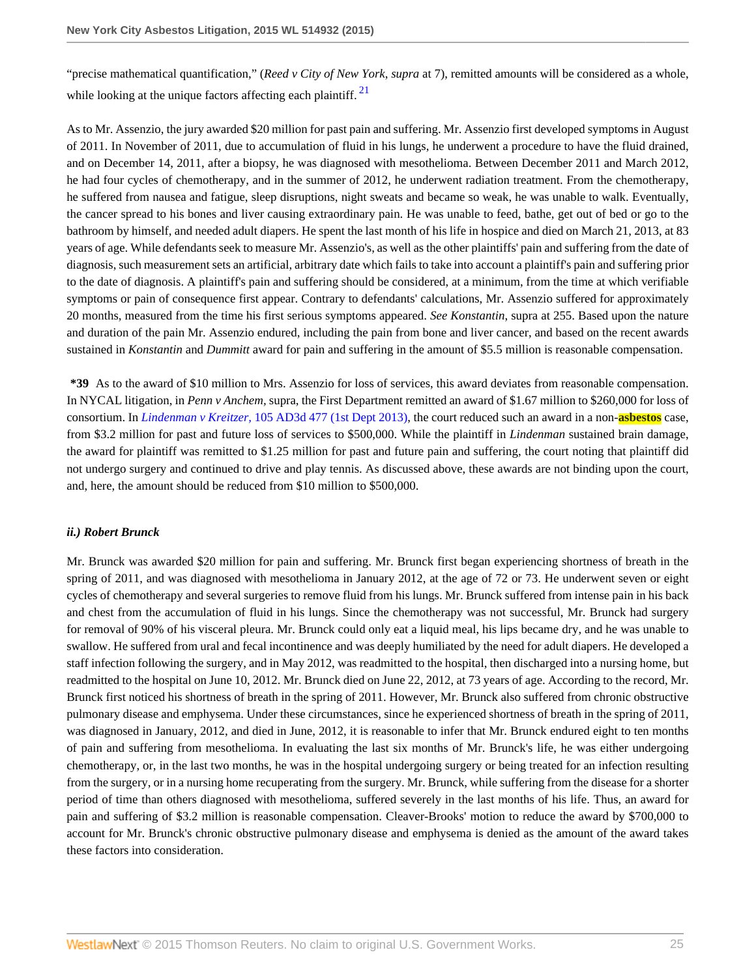<span id="page-24-0"></span>"precise mathematical quantification," (*Reed v City of New York*, *supra* at 7), remitted amounts will be considered as a whole, while looking at the unique factors affecting each plaintiff.  $2<sup>1</sup>$ 

As to Mr. Assenzio, the jury awarded \$20 million for past pain and suffering. Mr. Assenzio first developed symptoms in August of 2011. In November of 2011, due to accumulation of fluid in his lungs, he underwent a procedure to have the fluid drained, and on December 14, 2011, after a biopsy, he was diagnosed with mesothelioma. Between December 2011 and March 2012, he had four cycles of chemotherapy, and in the summer of 2012, he underwent radiation treatment. From the chemotherapy, he suffered from nausea and fatigue, sleep disruptions, night sweats and became so weak, he was unable to walk. Eventually, the cancer spread to his bones and liver causing extraordinary pain. He was unable to feed, bathe, get out of bed or go to the bathroom by himself, and needed adult diapers. He spent the last month of his life in hospice and died on March 21, 2013, at 83 years of age. While defendants seek to measure Mr. Assenzio's, as well as the other plaintiffs' pain and suffering from the date of diagnosis, such measurement sets an artificial, arbitrary date which fails to take into account a plaintiff's pain and suffering prior to the date of diagnosis. A plaintiff's pain and suffering should be considered, at a minimum, from the time at which verifiable symptoms or pain of consequence first appear. Contrary to defendants' calculations, Mr. Assenzio suffered for approximately 20 months, measured from the time his first serious symptoms appeared. *See Konstantin*, supra at 255. Based upon the nature and duration of the pain Mr. Assenzio endured, including the pain from bone and liver cancer, and based on the recent awards sustained in *Konstantin* and *Dummitt* award for pain and suffering in the amount of \$5.5 million is reasonable compensation.

**\*39** As to the award of \$10 million to Mrs. Assenzio for loss of services, this award deviates from reasonable compensation. In NYCAL litigation, in *Penn v Anchem,* supra, the First Department remitted an award of \$1.67 million to \$260,000 for loss of consortium. In *Lindenman v Kreitzer,* [105 AD3d 477 \(1st Dept 2013\)](http://www.westlaw.com/Link/Document/FullText?findType=Y&serNum=2030319402&pubNum=0007049&originatingDoc=I6ed2fbecb0fe11e4b86bd602cb8781fa&refType=RP&originationContext=document&vr=3.0&rs=cblt1.0&transitionType=DocumentItem&contextData=(sc.Search)), the court reduced such an award in a non-**asbestos** case, from \$3.2 million for past and future loss of services to \$500,000. While the plaintiff in *Lindenman* sustained brain damage, the award for plaintiff was remitted to \$1.25 million for past and future pain and suffering, the court noting that plaintiff did not undergo surgery and continued to drive and play tennis. As discussed above, these awards are not binding upon the court, and, here, the amount should be reduced from \$10 million to \$500,000.

### *ii.) Robert Brunck*

Mr. Brunck was awarded \$20 million for pain and suffering. Mr. Brunck first began experiencing shortness of breath in the spring of 2011, and was diagnosed with mesothelioma in January 2012, at the age of 72 or 73. He underwent seven or eight cycles of chemotherapy and several surgeries to remove fluid from his lungs. Mr. Brunck suffered from intense pain in his back and chest from the accumulation of fluid in his lungs. Since the chemotherapy was not successful, Mr. Brunck had surgery for removal of 90% of his visceral pleura. Mr. Brunck could only eat a liquid meal, his lips became dry, and he was unable to swallow. He suffered from ural and fecal incontinence and was deeply humiliated by the need for adult diapers. He developed a staff infection following the surgery, and in May 2012, was readmitted to the hospital, then discharged into a nursing home, but readmitted to the hospital on June 10, 2012. Mr. Brunck died on June 22, 2012, at 73 years of age. According to the record, Mr. Brunck first noticed his shortness of breath in the spring of 2011. However, Mr. Brunck also suffered from chronic obstructive pulmonary disease and emphysema. Under these circumstances, since he experienced shortness of breath in the spring of 2011, was diagnosed in January, 2012, and died in June, 2012, it is reasonable to infer that Mr. Brunck endured eight to ten months of pain and suffering from mesothelioma. In evaluating the last six months of Mr. Brunck's life, he was either undergoing chemotherapy, or, in the last two months, he was in the hospital undergoing surgery or being treated for an infection resulting from the surgery, or in a nursing home recuperating from the surgery. Mr. Brunck, while suffering from the disease for a shorter period of time than others diagnosed with mesothelioma, suffered severely in the last months of his life. Thus, an award for pain and suffering of \$3.2 million is reasonable compensation. Cleaver-Brooks' motion to reduce the award by \$700,000 to account for Mr. Brunck's chronic obstructive pulmonary disease and emphysema is denied as the amount of the award takes these factors into consideration.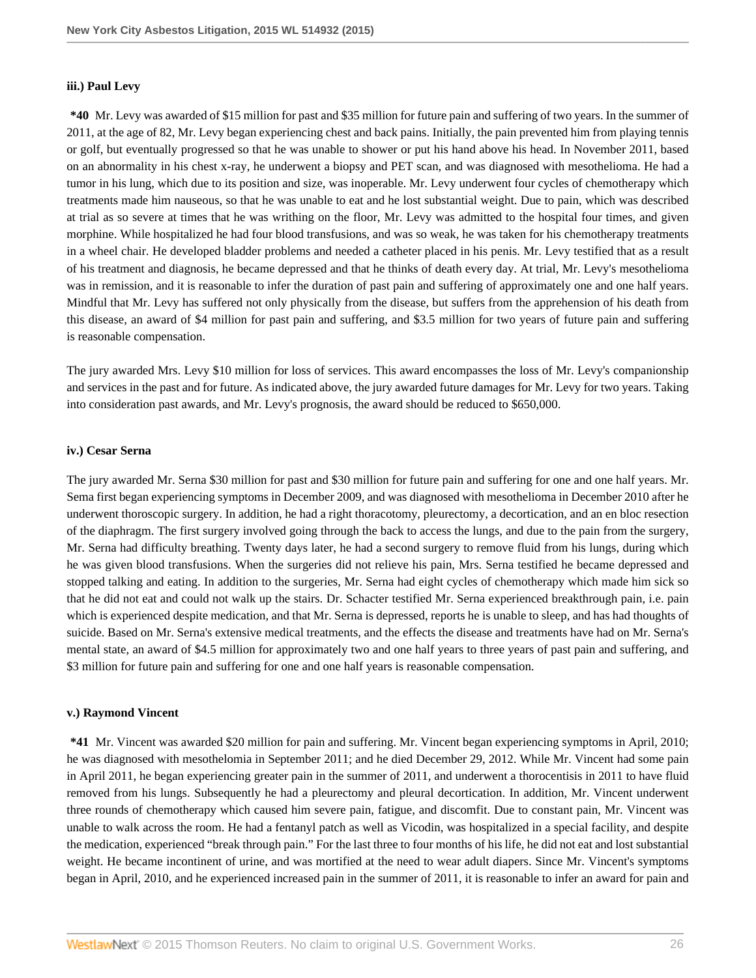#### **iii.) Paul Levy**

**\*40** Mr. Levy was awarded of \$15 million for past and \$35 million for future pain and suffering of two years. In the summer of 2011, at the age of 82, Mr. Levy began experiencing chest and back pains. Initially, the pain prevented him from playing tennis or golf, but eventually progressed so that he was unable to shower or put his hand above his head. In November 2011, based on an abnormality in his chest x-ray, he underwent a biopsy and PET scan, and was diagnosed with mesothelioma. He had a tumor in his lung, which due to its position and size, was inoperable. Mr. Levy underwent four cycles of chemotherapy which treatments made him nauseous, so that he was unable to eat and he lost substantial weight. Due to pain, which was described at trial as so severe at times that he was writhing on the floor, Mr. Levy was admitted to the hospital four times, and given morphine. While hospitalized he had four blood transfusions, and was so weak, he was taken for his chemotherapy treatments in a wheel chair. He developed bladder problems and needed a catheter placed in his penis. Mr. Levy testified that as a result of his treatment and diagnosis, he became depressed and that he thinks of death every day. At trial, Mr. Levy's mesothelioma was in remission, and it is reasonable to infer the duration of past pain and suffering of approximately one and one half years. Mindful that Mr. Levy has suffered not only physically from the disease, but suffers from the apprehension of his death from this disease, an award of \$4 million for past pain and suffering, and \$3.5 million for two years of future pain and suffering is reasonable compensation.

The jury awarded Mrs. Levy \$10 million for loss of services. This award encompasses the loss of Mr. Levy's companionship and services in the past and for future. As indicated above, the jury awarded future damages for Mr. Levy for two years. Taking into consideration past awards, and Mr. Levy's prognosis, the award should be reduced to \$650,000.

#### **iv.) Cesar Serna**

The jury awarded Mr. Serna \$30 million for past and \$30 million for future pain and suffering for one and one half years. Mr. Sema first began experiencing symptoms in December 2009, and was diagnosed with mesothelioma in December 2010 after he underwent thoroscopic surgery. In addition, he had a right thoracotomy, pleurectomy, a decortication, and an en bloc resection of the diaphragm. The first surgery involved going through the back to access the lungs, and due to the pain from the surgery, Mr. Serna had difficulty breathing. Twenty days later, he had a second surgery to remove fluid from his lungs, during which he was given blood transfusions. When the surgeries did not relieve his pain, Mrs. Serna testified he became depressed and stopped talking and eating. In addition to the surgeries, Mr. Serna had eight cycles of chemotherapy which made him sick so that he did not eat and could not walk up the stairs. Dr. Schacter testified Mr. Serna experienced breakthrough pain, i.e. pain which is experienced despite medication, and that Mr. Serna is depressed, reports he is unable to sleep, and has had thoughts of suicide. Based on Mr. Serna's extensive medical treatments, and the effects the disease and treatments have had on Mr. Serna's mental state, an award of \$4.5 million for approximately two and one half years to three years of past pain and suffering, and \$3 million for future pain and suffering for one and one half years is reasonable compensation.

#### **v.) Raymond Vincent**

**\*41** Mr. Vincent was awarded \$20 million for pain and suffering. Mr. Vincent began experiencing symptoms in April, 2010; he was diagnosed with mesothelomia in September 2011; and he died December 29, 2012. While Mr. Vincent had some pain in April 2011, he began experiencing greater pain in the summer of 2011, and underwent a thorocentisis in 2011 to have fluid removed from his lungs. Subsequently he had a pleurectomy and pleural decortication. In addition, Mr. Vincent underwent three rounds of chemotherapy which caused him severe pain, fatigue, and discomfit. Due to constant pain, Mr. Vincent was unable to walk across the room. He had a fentanyl patch as well as Vicodin, was hospitalized in a special facility, and despite the medication, experienced "break through pain." For the last three to four months of his life, he did not eat and lost substantial weight. He became incontinent of urine, and was mortified at the need to wear adult diapers. Since Mr. Vincent's symptoms began in April, 2010, and he experienced increased pain in the summer of 2011, it is reasonable to infer an award for pain and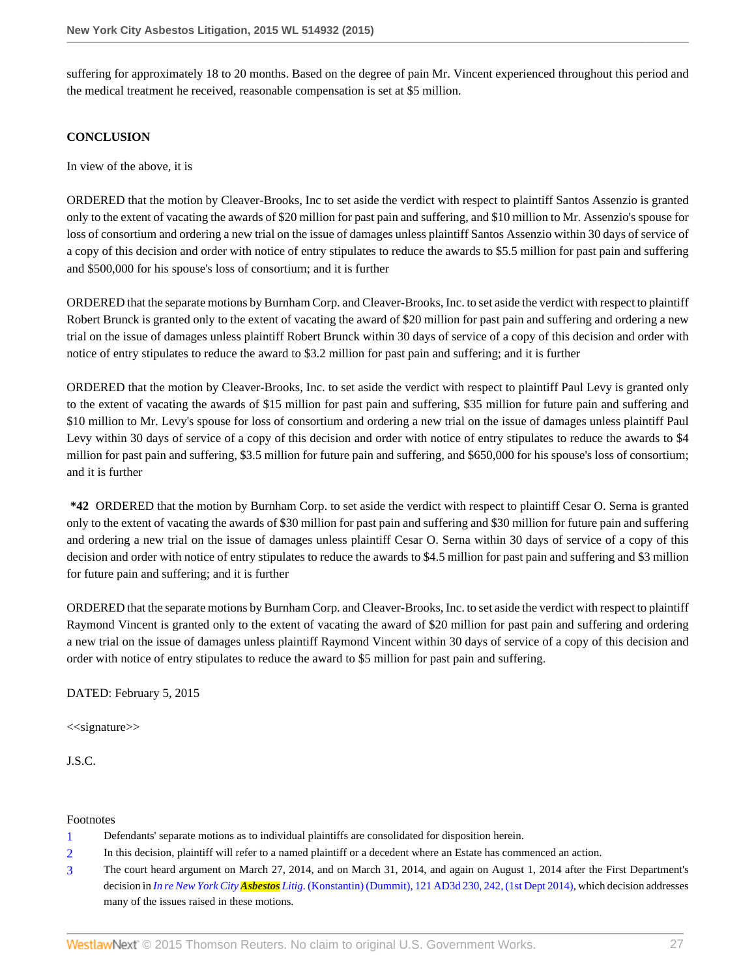suffering for approximately 18 to 20 months. Based on the degree of pain Mr. Vincent experienced throughout this period and the medical treatment he received, reasonable compensation is set at \$5 million.

### **CONCLUSION**

In view of the above, it is

ORDERED that the motion by Cleaver-Brooks, Inc to set aside the verdict with respect to plaintiff Santos Assenzio is granted only to the extent of vacating the awards of \$20 million for past pain and suffering, and \$10 million to Mr. Assenzio's spouse for loss of consortium and ordering a new trial on the issue of damages unless plaintiff Santos Assenzio within 30 days of service of a copy of this decision and order with notice of entry stipulates to reduce the awards to \$5.5 million for past pain and suffering and \$500,000 for his spouse's loss of consortium; and it is further

ORDERED that the separate motions by Burnham Corp. and Cleaver-Brooks, Inc. to set aside the verdict with respect to plaintiff Robert Brunck is granted only to the extent of vacating the award of \$20 million for past pain and suffering and ordering a new trial on the issue of damages unless plaintiff Robert Brunck within 30 days of service of a copy of this decision and order with notice of entry stipulates to reduce the award to \$3.2 million for past pain and suffering; and it is further

ORDERED that the motion by Cleaver-Brooks, Inc. to set aside the verdict with respect to plaintiff Paul Levy is granted only to the extent of vacating the awards of \$15 million for past pain and suffering, \$35 million for future pain and suffering and \$10 million to Mr. Levy's spouse for loss of consortium and ordering a new trial on the issue of damages unless plaintiff Paul Levy within 30 days of service of a copy of this decision and order with notice of entry stipulates to reduce the awards to \$4 million for past pain and suffering, \$3.5 million for future pain and suffering, and \$650,000 for his spouse's loss of consortium; and it is further

**\*42** ORDERED that the motion by Burnham Corp. to set aside the verdict with respect to plaintiff Cesar O. Serna is granted only to the extent of vacating the awards of \$30 million for past pain and suffering and \$30 million for future pain and suffering and ordering a new trial on the issue of damages unless plaintiff Cesar O. Serna within 30 days of service of a copy of this decision and order with notice of entry stipulates to reduce the awards to \$4.5 million for past pain and suffering and \$3 million for future pain and suffering; and it is further

ORDERED that the separate motions by Burnham Corp. and Cleaver-Brooks, Inc. to set aside the verdict with respect to plaintiff Raymond Vincent is granted only to the extent of vacating the award of \$20 million for past pain and suffering and ordering a new trial on the issue of damages unless plaintiff Raymond Vincent within 30 days of service of a copy of this decision and order with notice of entry stipulates to reduce the award to \$5 million for past pain and suffering.

DATED: February 5, 2015

<<signature>>

J.S.C.

Footnotes

- <span id="page-26-0"></span>[1](#page-0-0) Defendants' separate motions as to individual plaintiffs are consolidated for disposition herein.
- <span id="page-26-1"></span>[2](#page-0-1) In this decision, plaintiff will refer to a named plaintiff or a decedent where an Estate has commenced an action.
- <span id="page-26-2"></span>[3](#page-1-0) The court heard argument on March 27, 2014, and on March 31, 2014, and again on August 1, 2014 after the First Department's decision in *In re New York City Asbestos Litig.* [\(Konstantin\) \(Dummit\), 121 AD3d 230, 242, \(1st Dept 2014\),](http://www.westlaw.com/Link/Document/FullText?findType=Y&serNum=2033758918&pubNum=0007049&originatingDoc=I6ed2fbecb0fe11e4b86bd602cb8781fa&refType=RP&fi=co_pp_sp_7049_242&originationContext=document&vr=3.0&rs=cblt1.0&transitionType=DocumentItem&contextData=(sc.Search)#co_pp_sp_7049_242) which decision addresses many of the issues raised in these motions.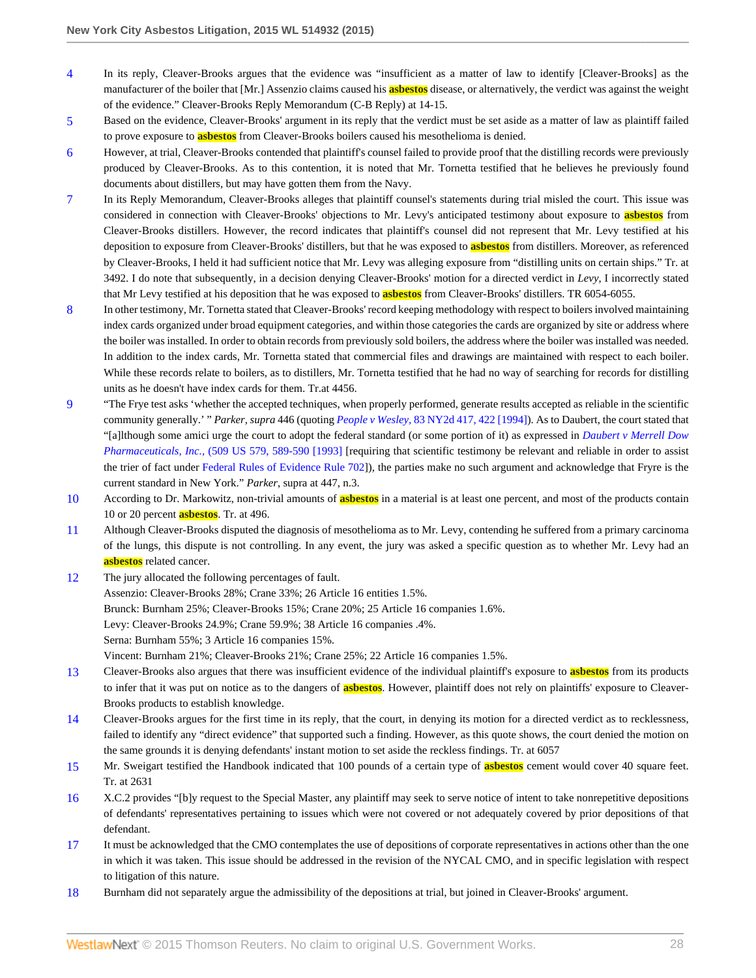- <span id="page-27-0"></span>[4](#page-1-1) In its reply, Cleaver-Brooks argues that the evidence was "insufficient as a matter of law to identify [Cleaver-Brooks] as the manufacturer of the boiler that [Mr.] Assenzio claims caused his **asbestos** disease, or alternatively, the verdict was against the weight of the evidence." Cleaver-Brooks Reply Memorandum (C-B Reply) at 14-15.
- <span id="page-27-1"></span>[5](#page-3-0) Based on the evidence, Cleaver-Brooks' argument in its reply that the verdict must be set aside as a matter of law as plaintiff failed to prove exposure to **asbestos** from Cleaver-Brooks boilers caused his mesothelioma is denied.
- <span id="page-27-2"></span>[6](#page-5-0) However, at trial, Cleaver-Brooks contended that plaintiff's counsel failed to provide proof that the distilling records were previously produced by Cleaver-Brooks. As to this contention, it is noted that Mr. Tornetta testified that he believes he previously found documents about distillers, but may have gotten them from the Navy.
- <span id="page-27-3"></span>[7](#page-5-1) In its Reply Memorandum, Cleaver-Brooks alleges that plaintiff counsel's statements during trial misled the court. This issue was considered in connection with Cleaver-Brooks' objections to Mr. Levy's anticipated testimony about exposure to **asbestos** from Cleaver-Brooks distillers. However, the record indicates that plaintiff's counsel did not represent that Mr. Levy testified at his deposition to exposure from Cleaver-Brooks' distillers, but that he was exposed to **asbestos** from distillers. Moreover, as referenced by Cleaver-Brooks, I held it had sufficient notice that Mr. Levy was alleging exposure from "distilling units on certain ships." Tr. at 3492. I do note that subsequently, in a decision denying Cleaver-Brooks' motion for a directed verdict in *Levy*, I incorrectly stated that Mr Levy testified at his deposition that he was exposed to **asbestos** from Cleaver-Brooks' distillers. TR 6054-6055.
- <span id="page-27-4"></span>[8](#page-6-0) In other testimony, Mr. Tornetta stated that Cleaver-Brooks' record keeping methodology with respect to boilers involved maintaining index cards organized under broad equipment categories, and within those categories the cards are organized by site or address where the boiler was installed. In order to obtain records from previously sold boilers, the address where the boiler was installed was needed. In addition to the index cards, Mr. Tornetta stated that commercial files and drawings are maintained with respect to each boiler. While these records relate to boilers, as to distillers, Mr. Tornetta testified that he had no way of searching for records for distilling units as he doesn't have index cards for them. Tr.at 4456.
- <span id="page-27-5"></span>[9](#page-10-0) "The Frye test asks 'whether the accepted techniques, when properly performed, generate results accepted as reliable in the scientific community generally.' " *Parker, supra* 446 (quoting *People v Wesley,* [83 NY2d 417, 422 \[1994\]](http://www.westlaw.com/Link/Document/FullText?findType=Y&serNum=1994072960&pubNum=0000605&originatingDoc=I6ed2fbecb0fe11e4b86bd602cb8781fa&refType=RP&fi=co_pp_sp_605_422&originationContext=document&vr=3.0&rs=cblt1.0&transitionType=DocumentItem&contextData=(sc.Search)#co_pp_sp_605_422)). As to Daubert, the court stated that "[a]lthough some amici urge the court to adopt the federal standard (or some portion of it) as expressed in *[Daubert v Merrell Dow](http://www.westlaw.com/Link/Document/FullText?findType=Y&serNum=1993130674&pubNum=0000780&originatingDoc=I6ed2fbecb0fe11e4b86bd602cb8781fa&refType=RP&fi=co_pp_sp_780_589&originationContext=document&vr=3.0&rs=cblt1.0&transitionType=DocumentItem&contextData=(sc.Search)#co_pp_sp_780_589) Pharmaceuticals, Inc.,* [\(509 US 579, 589-590 \[1993\]](http://www.westlaw.com/Link/Document/FullText?findType=Y&serNum=1993130674&pubNum=0000780&originatingDoc=I6ed2fbecb0fe11e4b86bd602cb8781fa&refType=RP&fi=co_pp_sp_780_589&originationContext=document&vr=3.0&rs=cblt1.0&transitionType=DocumentItem&contextData=(sc.Search)#co_pp_sp_780_589) [requiring that scientific testimony be relevant and reliable in order to assist the trier of fact under [Federal Rules of Evidence Rule 702](http://www.westlaw.com/Link/Document/FullText?findType=L&pubNum=1000607&cite=USFRER702&originatingDoc=I6ed2fbecb0fe11e4b86bd602cb8781fa&refType=LQ&originationContext=document&vr=3.0&rs=cblt1.0&transitionType=DocumentItem&contextData=(sc.Search))]), the parties make no such argument and acknowledge that Fryre is the current standard in New York." *Parker*, supra at 447, n.3.
- <span id="page-27-6"></span>[10](#page-11-0) According to Dr. Markowitz, non-trivial amounts of **asbestos** in a material is at least one percent, and most of the products contain 10 or 20 percent **asbestos**. Tr. at 496.
- <span id="page-27-7"></span>[11](#page-13-0) Although Cleaver-Brooks disputed the diagnosis of mesothelioma as to Mr. Levy, contending he suffered from a primary carcinoma of the lungs, this dispute is not controlling. In any event, the jury was asked a specific question as to whether Mr. Levy had an **asbestos** related cancer.
- <span id="page-27-8"></span>[12](#page-15-0) The jury allocated the following percentages of fault. Assenzio: Cleaver-Brooks 28%; Crane 33%; 26 Article 16 entities 1.5%. Brunck: Burnham 25%; Cleaver-Brooks 15%; Crane 20%; 25 Article 16 companies 1.6%. Levy: Cleaver-Brooks 24.9%; Crane 59.9%; 38 Article 16 companies .4%. Serna: Burnham 55%; 3 Article 16 companies 15%. Vincent: Burnham 21%; Cleaver-Brooks 21%; Crane 25%; 22 Article 16 companies 1.5%.
- <span id="page-27-9"></span>[13](#page-16-0) Cleaver-Brooks also argues that there was insufficient evidence of the individual plaintiff's exposure to **asbestos** from its products to infer that it was put on notice as to the dangers of **asbestos**. However, plaintiff does not rely on plaintiffs' exposure to Cleaver-Brooks products to establish knowledge.
- <span id="page-27-10"></span>[14](#page-17-0) Cleaver-Brooks argues for the first time in its reply, that the court, in denying its motion for a directed verdict as to recklessness, failed to identify any "direct evidence" that supported such a finding. However, as this quote shows, the court denied the motion on the same grounds it is denying defendants' instant motion to set aside the reckless findings. Tr. at 6057
- <span id="page-27-11"></span>[15](#page-18-0) Mr. Sweigart testified the Handbook indicated that 100 pounds of a certain type of **asbestos** cement would cover 40 square feet. Tr. at 2631
- <span id="page-27-12"></span>[16](#page-20-0) X.C.2 provides "[b]y request to the Special Master, any plaintiff may seek to serve notice of intent to take nonrepetitive depositions of defendants' representatives pertaining to issues which were not covered or not adequately covered by prior depositions of that defendant.
- <span id="page-27-13"></span>[17](#page-20-1) It must be acknowledged that the CMO contemplates the use of depositions of corporate representatives in actions other than the one in which it was taken. This issue should be addressed in the revision of the NYCAL CMO, and in specific legislation with respect to litigation of this nature.
- <span id="page-27-14"></span>[18](#page-21-0) Burnham did not separately argue the admissibility of the depositions at trial, but joined in Cleaver-Brooks' argument.